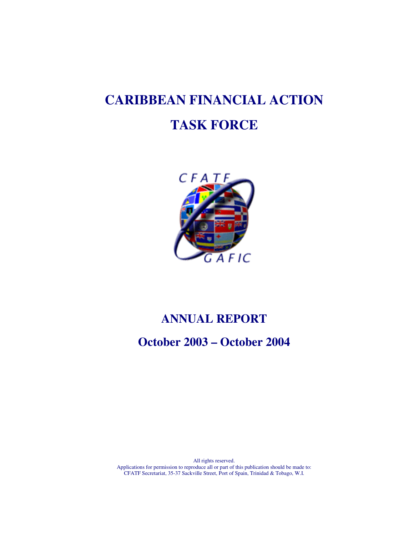# **CARIBBEAN FINANCIAL ACTION TASK FORCE**



# **ANNUAL REPORT**

**October 2003 – October 2004** 

All rights reserved. Applications for permission to reproduce all or part of this publication should be made to: CFATF Secretariat, 35-37 Sackville Street, Port of Spain, Trinidad & Tobago, W.I.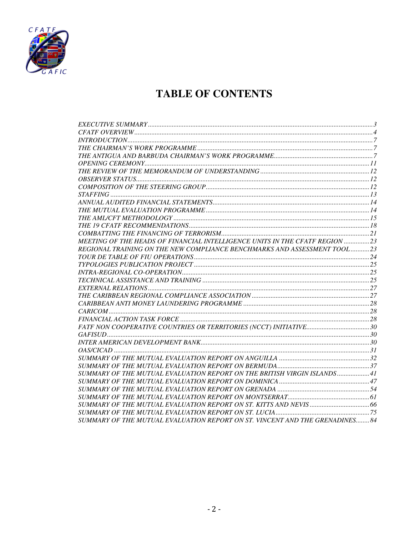

# **TABLE OF CONTENTS**

| MEETING OF THE HEADS OF FINANCIAL INTELLIGENCE UNITS IN THE CFATF REGION  23 |  |
|------------------------------------------------------------------------------|--|
| REGIONAL TRAINING ON THE NEW COMPLIANCE BENCHMARKS AND ASSESSMENT TOOL  23   |  |
|                                                                              |  |
|                                                                              |  |
|                                                                              |  |
|                                                                              |  |
|                                                                              |  |
|                                                                              |  |
|                                                                              |  |
|                                                                              |  |
|                                                                              |  |
|                                                                              |  |
|                                                                              |  |
|                                                                              |  |
|                                                                              |  |
|                                                                              |  |
|                                                                              |  |
| SUMMARY OF THE MUTUAL EVALUATION REPORT ON THE BRITISH VIRGIN ISLANDS41      |  |
|                                                                              |  |
|                                                                              |  |
|                                                                              |  |
|                                                                              |  |
|                                                                              |  |
| SUMMARY OF THE MUTUAL EVALUATION REPORT ON ST. VINCENT AND THE GRENADINES 84 |  |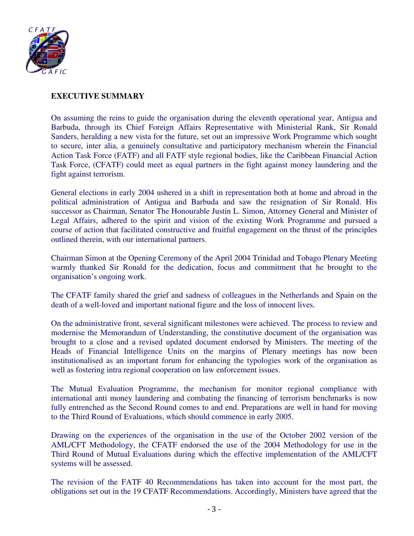

#### **EXECUTIVE SUMMARY**

On assuming the reins to guide the organisation during the eleventh operational year, Antigua and Barbuda, through its Chief Foreign Affairs Representative with Ministerial Rank, Sir Ronald Sanders, heralding a new vista for the future, set out an impressive Work Programme which sought to secure, inter alia, a genuinely consultative and participatory mechanism wherein the Financial Action Task Force (FATF) and all FATF style regional bodies, like the Caribbean Financial Action Task Force, (CFATF) could meet as equal partners in the fight against money laundering and the fight against terrorism.

General elections in early 2004 ushered in a shift in representation both at home and abroad in the political administration of Antigua and Barbuda and saw the resignation of Sir Ronald. His successor as Chairman, Senator The Honourable Justin L. Simon, Attorney General and Minister of Legal Affairs, adhered to the spirit and vision of the existing Work Programme and pursued a course of action that facilitated constructive and fruitful engagement on the thrust of the principles outlined therein, with our international partners.

Chairman Simon at the Opening Ceremony of the April 2004 Trinidad and Tobago Plenary Meeting warmly thanked Sir Ronald for the dedication, focus and commitment that he brought to the organisation's ongoing work.

The CFATF family shared the grief and sadness of colleagues in the Netherlands and Spain on the death of a well-loved and important national figure and the loss of innocent lives.

On the administrative front, several significant milestones were achieved. The process to review and modernise the Memorandum of Understanding, the constitutive document of the organisation was brought to a close and a revised updated document endorsed by Ministers. The meeting of the Heads of Financial Intelligence Units on the margins of Plenary meetings has now been institutionalised as an important forum for enhancing the typologies work of the organisation as well as fostering intra regional cooperation on law enforcement issues.

The Mutual Evaluation Programme, the mechanism for monitor regional compliance with international anti money laundering and combating the financing of terrorism benchmarks is now fully entrenched as the Second Round comes to and end. Preparations are well in hand for moving to the Third Round of Evaluations, which should commence in early 2005.

Drawing on the experiences of the organisation in the use of the October 2002 version of the AML/CFT Methodology, the CFATF endorsed the use of the 2004 Methodology for use in the Third Round of Mutual Evaluations during which the effective implementation of the AML/CFT systems will be assessed.

The revision of the FATF 40 Recommendations has taken into account for the most part, the obligations set out in the 19 CFATF Recommendations. Accordingly, Ministers have agreed that the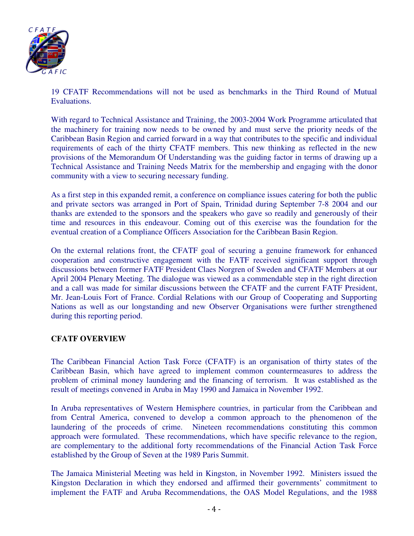

19 CFATF Recommendations will not be used as benchmarks in the Third Round of Mutual Evaluations.

With regard to Technical Assistance and Training, the 2003-2004 Work Programme articulated that the machinery for training now needs to be owned by and must serve the priority needs of the Caribbean Basin Region and carried forward in a way that contributes to the specific and individual requirements of each of the thirty CFATF members. This new thinking as reflected in the new provisions of the Memorandum Of Understanding was the guiding factor in terms of drawing up a Technical Assistance and Training Needs Matrix for the membership and engaging with the donor community with a view to securing necessary funding.

As a first step in this expanded remit, a conference on compliance issues catering for both the public and private sectors was arranged in Port of Spain, Trinidad during September 7-8 2004 and our thanks are extended to the sponsors and the speakers who gave so readily and generously of their time and resources in this endeavour. Coming out of this exercise was the foundation for the eventual creation of a Compliance Officers Association for the Caribbean Basin Region.

On the external relations front, the CFATF goal of securing a genuine framework for enhanced cooperation and constructive engagement with the FATF received significant support through discussions between former FATF President Claes Norgren of Sweden and CFATF Members at our April 2004 Plenary Meeting. The dialogue was viewed as a commendable step in the right direction and a call was made for similar discussions between the CFATF and the current FATF President, Mr. Jean-Louis Fort of France. Cordial Relations with our Group of Cooperating and Supporting Nations as well as our longstanding and new Observer Organisations were further strengthened during this reporting period.

#### **CFATF OVERVIEW**

The Caribbean Financial Action Task Force (CFATF) is an organisation of thirty states of the Caribbean Basin, which have agreed to implement common countermeasures to address the problem of criminal money laundering and the financing of terrorism. It was established as the result of meetings convened in Aruba in May 1990 and Jamaica in November 1992.

In Aruba representatives of Western Hemisphere countries, in particular from the Caribbean and from Central America, convened to develop a common approach to the phenomenon of the laundering of the proceeds of crime. Nineteen recommendations constituting this common approach were formulated. These recommendations, which have specific relevance to the region, are complementary to the additional forty recommendations of the Financial Action Task Force established by the Group of Seven at the 1989 Paris Summit.

The Jamaica Ministerial Meeting was held in Kingston, in November 1992. Ministers issued the Kingston Declaration in which they endorsed and affirmed their governments' commitment to implement the FATF and Aruba Recommendations, the OAS Model Regulations, and the 1988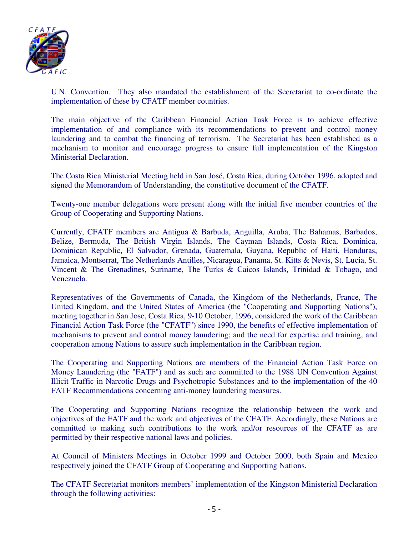

U.N. Convention. They also mandated the establishment of the Secretariat to co-ordinate the implementation of these by CFATF member countries.

The main objective of the Caribbean Financial Action Task Force is to achieve effective implementation of and compliance with its recommendations to prevent and control money laundering and to combat the financing of terrorism. The Secretariat has been established as a mechanism to monitor and encourage progress to ensure full implementation of the Kingston Ministerial Declaration.

The Costa Rica Ministerial Meeting held in San José, Costa Rica, during October 1996, adopted and signed the Memorandum of Understanding, the constitutive document of the CFATF.

Twenty-one member delegations were present along with the initial five member countries of the Group of Cooperating and Supporting Nations.

Currently, CFATF members are Antigua & Barbuda, Anguilla, Aruba, The Bahamas, Barbados, Belize, Bermuda, The British Virgin Islands, The Cayman Islands, Costa Rica, Dominica, Dominican Republic, El Salvador, Grenada, Guatemala, Guyana, Republic of Haiti, Honduras, Jamaica, Montserrat, The Netherlands Antilles, Nicaragua, Panama, St. Kitts & Nevis, St. Lucia, St. Vincent & The Grenadines, Suriname, The Turks & Caicos Islands, Trinidad & Tobago, and Venezuela.

Representatives of the Governments of Canada, the Kingdom of the Netherlands, France, The United Kingdom, and the United States of America (the "Cooperating and Supporting Nations"), meeting together in San Jose, Costa Rica, 9-10 October, 1996, considered the work of the Caribbean Financial Action Task Force (the "CFATF") since 1990, the benefits of effective implementation of mechanisms to prevent and control money laundering; and the need for expertise and training, and cooperation among Nations to assure such implementation in the Caribbean region.

The Cooperating and Supporting Nations are members of the Financial Action Task Force on Money Laundering (the "FATF") and as such are committed to the 1988 UN Convention Against Illicit Traffic in Narcotic Drugs and Psychotropic Substances and to the implementation of the 40 FATF Recommendations concerning anti-money laundering measures.

The Cooperating and Supporting Nations recognize the relationship between the work and objectives of the FATF and the work and objectives of the CFATF. Accordingly, these Nations are committed to making such contributions to the work and/or resources of the CFATF as are permitted by their respective national laws and policies.

At Council of Ministers Meetings in October 1999 and October 2000, both Spain and Mexico respectively joined the CFATF Group of Cooperating and Supporting Nations.

The CFATF Secretariat monitors members' implementation of the Kingston Ministerial Declaration through the following activities: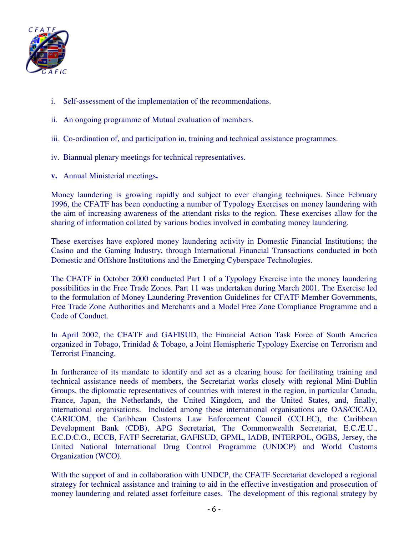

- i. Self-assessment of the implementation of the recommendations.
- ii. An ongoing programme of Mutual evaluation of members.
- iii. Co-ordination of, and participation in, training and technical assistance programmes.
- iv. Biannual plenary meetings for technical representatives.
- **v.** Annual Ministerial meetings**.**

Money laundering is growing rapidly and subject to ever changing techniques. Since February 1996, the CFATF has been conducting a number of Typology Exercises on money laundering with the aim of increasing awareness of the attendant risks to the region. These exercises allow for the sharing of information collated by various bodies involved in combating money laundering.

These exercises have explored money laundering activity in Domestic Financial Institutions; the Casino and the Gaming Industry, through International Financial Transactions conducted in both Domestic and Offshore Institutions and the Emerging Cyberspace Technologies.

The CFATF in October 2000 conducted Part 1 of a Typology Exercise into the money laundering possibilities in the Free Trade Zones. Part 11 was undertaken during March 2001. The Exercise led to the formulation of Money Laundering Prevention Guidelines for CFATF Member Governments, Free Trade Zone Authorities and Merchants and a Model Free Zone Compliance Programme and a Code of Conduct.

In April 2002, the CFATF and GAFISUD, the Financial Action Task Force of South America organized in Tobago, Trinidad & Tobago, a Joint Hemispheric Typology Exercise on Terrorism and Terrorist Financing.

In furtherance of its mandate to identify and act as a clearing house for facilitating training and technical assistance needs of members, the Secretariat works closely with regional Mini-Dublin Groups, the diplomatic representatives of countries with interest in the region, in particular Canada, France, Japan, the Netherlands, the United Kingdom, and the United States, and, finally, international organisations. Included among these international organisations are OAS/CICAD, CARICOM, the Caribbean Customs Law Enforcement Council (CCLEC), the Caribbean Development Bank (CDB), APG Secretariat, The Commonwealth Secretariat, E.C./E.U., E.C.D.C.O., ECCB, FATF Secretariat, GAFISUD, GPML, IADB, INTERPOL, OGBS, Jersey, the United National International Drug Control Programme (UNDCP) and World Customs Organization (WCO).

With the support of and in collaboration with UNDCP, the CFATF Secretariat developed a regional strategy for technical assistance and training to aid in the effective investigation and prosecution of money laundering and related asset forfeiture cases. The development of this regional strategy by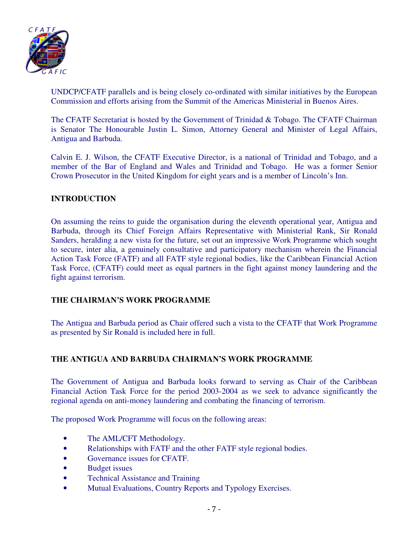

UNDCP/CFATF parallels and is being closely co-ordinated with similar initiatives by the European Commission and efforts arising from the Summit of the Americas Ministerial in Buenos Aires.

The CFATF Secretariat is hosted by the Government of Trinidad & Tobago. The CFATF Chairman is Senator The Honourable Justin L. Simon, Attorney General and Minister of Legal Affairs, Antigua and Barbuda.

Calvin E. J. Wilson, the CFATF Executive Director, is a national of Trinidad and Tobago, and a member of the Bar of England and Wales and Trinidad and Tobago. He was a former Senior Crown Prosecutor in the United Kingdom for eight years and is a member of Lincoln's Inn.

### **INTRODUCTION**

On assuming the reins to guide the organisation during the eleventh operational year, Antigua and Barbuda, through its Chief Foreign Affairs Representative with Ministerial Rank, Sir Ronald Sanders, heralding a new vista for the future, set out an impressive Work Programme which sought to secure, inter alia, a genuinely consultative and participatory mechanism wherein the Financial Action Task Force (FATF) and all FATF style regional bodies, like the Caribbean Financial Action Task Force, (CFATF) could meet as equal partners in the fight against money laundering and the fight against terrorism.

### **THE CHAIRMAN'S WORK PROGRAMME**

The Antigua and Barbuda period as Chair offered such a vista to the CFATF that Work Programme as presented by Sir Ronald is included here in full.

### **THE ANTIGUA AND BARBUDA CHAIRMAN'S WORK PROGRAMME**

The Government of Antigua and Barbuda looks forward to serving as Chair of the Caribbean Financial Action Task Force for the period 2003-2004 as we seek to advance significantly the regional agenda on anti-money laundering and combating the financing of terrorism.

The proposed Work Programme will focus on the following areas:

- The AML/CFT Methodology.
- Relationships with FATF and the other FATF style regional bodies.
- Governance issues for CFATF.
- Budget issues
- Technical Assistance and Training
- Mutual Evaluations, Country Reports and Typology Exercises.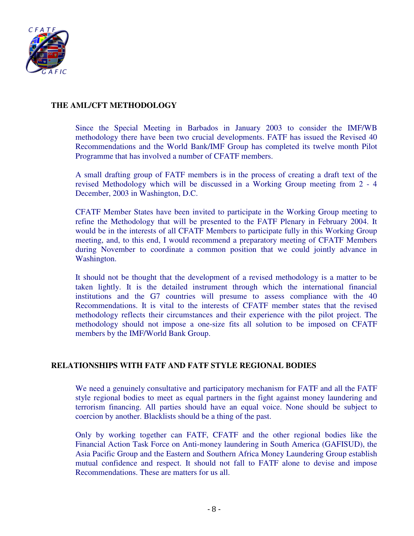

#### **THE AML/CFT METHODOLOGY**

Since the Special Meeting in Barbados in January 2003 to consider the IMF/WB methodology there have been two crucial developments. FATF has issued the Revised 40 Recommendations and the World Bank/IMF Group has completed its twelve month Pilot Programme that has involved a number of CFATF members.

A small drafting group of FATF members is in the process of creating a draft text of the revised Methodology which will be discussed in a Working Group meeting from 2 - 4 December, 2003 in Washington, D.C.

CFATF Member States have been invited to participate in the Working Group meeting to refine the Methodology that will be presented to the FATF Plenary in February 2004. It would be in the interests of all CFATF Members to participate fully in this Working Group meeting, and, to this end, I would recommend a preparatory meeting of CFATF Members during November to coordinate a common position that we could jointly advance in Washington.

It should not be thought that the development of a revised methodology is a matter to be taken lightly. It is the detailed instrument through which the international financial institutions and the G7 countries will presume to assess compliance with the 40 Recommendations. It is vital to the interests of CFATF member states that the revised methodology reflects their circumstances and their experience with the pilot project. The methodology should not impose a one-size fits all solution to be imposed on CFATF members by the IMF/World Bank Group.

### **RELATIONSHIPS WITH FATF AND FATF STYLE REGIONAL BODIES**

We need a genuinely consultative and participatory mechanism for FATF and all the FATF style regional bodies to meet as equal partners in the fight against money laundering and terrorism financing. All parties should have an equal voice. None should be subject to coercion by another. Blacklists should be a thing of the past.

Only by working together can FATF, CFATF and the other regional bodies like the Financial Action Task Force on Anti-money laundering in South America (GAFISUD), the Asia Pacific Group and the Eastern and Southern Africa Money Laundering Group establish mutual confidence and respect. It should not fall to FATF alone to devise and impose Recommendations. These are matters for us all.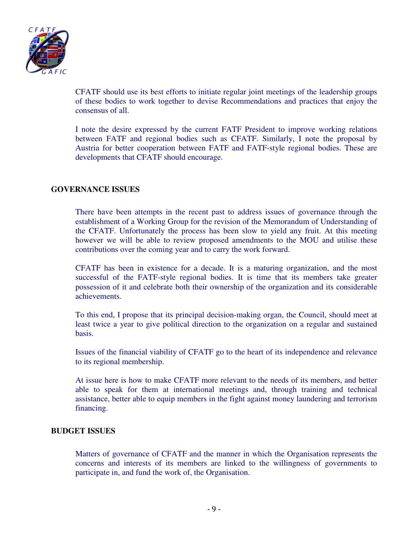

CFATF should use its best efforts to initiate regular joint meetings of the leadership groups of these bodies to work together to devise Recommendations and practices that enjoy the consensus of all.

I note the desire expressed by the current FATF President to improve working relations between FATF and regional bodies such as CFATF. Similarly, I note the proposal by Austria for better cooperation between FATF and FATF-style regional bodies. These are developments that CFATF should encourage.

#### **GOVERNANCE ISSUES**

There have been attempts in the recent past to address issues of governance through the establishment of a Working Group for the revision of the Memorandum of Understanding of the CFATF. Unfortunately the process has been slow to yield any fruit. At this meeting however we will be able to review proposed amendments to the MOU and utilise these contributions over the coming year and to carry the work forward.

CFATF has been in existence for a decade. It is a maturing organization, and the most successful of the FATF-style regional bodies. It is time that its members take greater possession of it and celebrate both their ownership of the organization and its considerable achievements.

To this end, I propose that its principal decision-making organ, the Council, should meet at least twice a year to give political direction to the organization on a regular and sustained basis.

Issues of the financial viability of CFATF go to the heart of its independence and relevance to its regional membership.

At issue here is how to make CFATF more relevant to the needs of its members, and better able to speak for them at international meetings and, through training and technical assistance, better able to equip members in the fight against money laundering and terrorism financing.

#### **BUDGET ISSUES**

Matters of governance of CFATF and the manner in which the Organisation represents the concerns and interests of its members are linked to the willingness of governments to participate in, and fund the work of, the Organisation.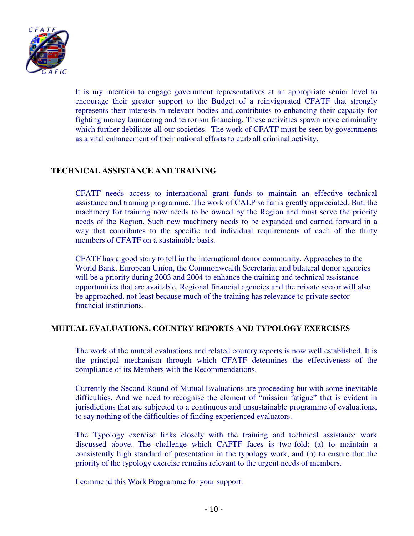

It is my intention to engage government representatives at an appropriate senior level to encourage their greater support to the Budget of a reinvigorated CFATF that strongly represents their interests in relevant bodies and contributes to enhancing their capacity for fighting money laundering and terrorism financing. These activities spawn more criminality which further debilitate all our societies. The work of CFATF must be seen by governments as a vital enhancement of their national efforts to curb all criminal activity.

### **TECHNICAL ASSISTANCE AND TRAINING**

CFATF needs access to international grant funds to maintain an effective technical assistance and training programme. The work of CALP so far is greatly appreciated. But, the machinery for training now needs to be owned by the Region and must serve the priority needs of the Region. Such new machinery needs to be expanded and carried forward in a way that contributes to the specific and individual requirements of each of the thirty members of CFATF on a sustainable basis.

CFATF has a good story to tell in the international donor community. Approaches to the World Bank, European Union, the Commonwealth Secretariat and bilateral donor agencies will be a priority during 2003 and 2004 to enhance the training and technical assistance opportunities that are available. Regional financial agencies and the private sector will also be approached, not least because much of the training has relevance to private sector financial institutions.

#### **MUTUAL EVALUATIONS, COUNTRY REPORTS AND TYPOLOGY EXERCISES**

The work of the mutual evaluations and related country reports is now well established. It is the principal mechanism through which CFATF determines the effectiveness of the compliance of its Members with the Recommendations.

Currently the Second Round of Mutual Evaluations are proceeding but with some inevitable difficulties. And we need to recognise the element of "mission fatigue" that is evident in jurisdictions that are subjected to a continuous and unsustainable programme of evaluations, to say nothing of the difficulties of finding experienced evaluators.

The Typology exercise links closely with the training and technical assistance work discussed above. The challenge which CAFTF faces is two-fold: (a) to maintain a consistently high standard of presentation in the typology work, and (b) to ensure that the priority of the typology exercise remains relevant to the urgent needs of members.

I commend this Work Programme for your support.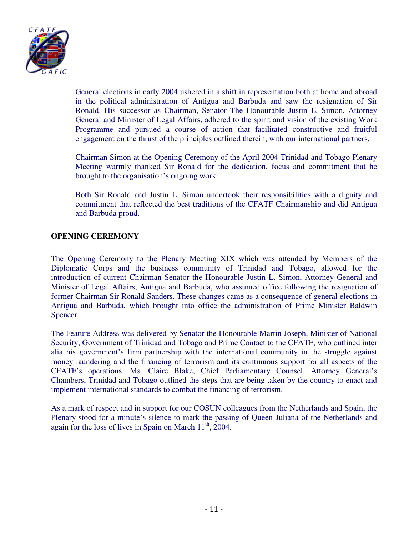

General elections in early 2004 ushered in a shift in representation both at home and abroad in the political administration of Antigua and Barbuda and saw the resignation of Sir Ronald. His successor as Chairman, Senator The Honourable Justin L. Simon, Attorney General and Minister of Legal Affairs, adhered to the spirit and vision of the existing Work Programme and pursued a course of action that facilitated constructive and fruitful engagement on the thrust of the principles outlined therein, with our international partners.

Chairman Simon at the Opening Ceremony of the April 2004 Trinidad and Tobago Plenary Meeting warmly thanked Sir Ronald for the dedication, focus and commitment that he brought to the organisation's ongoing work.

Both Sir Ronald and Justin L. Simon undertook their responsibilities with a dignity and commitment that reflected the best traditions of the CFATF Chairmanship and did Antigua and Barbuda proud.

#### **OPENING CEREMONY**

The Opening Ceremony to the Plenary Meeting XIX which was attended by Members of the Diplomatic Corps and the business community of Trinidad and Tobago, allowed for the introduction of current Chairman Senator the Honourable Justin L. Simon, Attorney General and Minister of Legal Affairs, Antigua and Barbuda, who assumed office following the resignation of former Chairman Sir Ronald Sanders. These changes came as a consequence of general elections in Antigua and Barbuda, which brought into office the administration of Prime Minister Baldwin Spencer.

The Feature Address was delivered by Senator the Honourable Martin Joseph, Minister of National Security, Government of Trinidad and Tobago and Prime Contact to the CFATF, who outlined inter alia his government's firm partnership with the international community in the struggle against money laundering and the financing of terrorism and its continuous support for all aspects of the CFATF's operations. Ms. Claire Blake, Chief Parliamentary Counsel, Attorney General's Chambers, Trinidad and Tobago outlined the steps that are being taken by the country to enact and implement international standards to combat the financing of terrorism.

As a mark of respect and in support for our COSUN colleagues from the Netherlands and Spain, the Plenary stood for a minute's silence to mark the passing of Queen Juliana of the Netherlands and again for the loss of lives in Spain on March  $11<sup>th</sup>$ , 2004.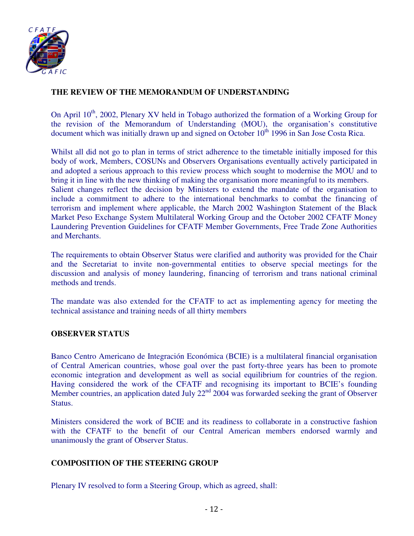

# **THE REVIEW OF THE MEMORANDUM OF UNDERSTANDING**

On April  $10^{th}$ , 2002, Plenary XV held in Tobago authorized the formation of a Working Group for the revision of the Memorandum of Understanding (MOU), the organisation's constitutive document which was initially drawn up and signed on October  $10<sup>th</sup>$  1996 in San Jose Costa Rica.

Whilst all did not go to plan in terms of strict adherence to the timetable initially imposed for this body of work, Members, COSUNs and Observers Organisations eventually actively participated in and adopted a serious approach to this review process which sought to modernise the MOU and to bring it in line with the new thinking of making the organisation more meaningful to its members. Salient changes reflect the decision by Ministers to extend the mandate of the organisation to include a commitment to adhere to the international benchmarks to combat the financing of terrorism and implement where applicable, the March 2002 Washington Statement of the Black Market Peso Exchange System Multilateral Working Group and the October 2002 CFATF Money Laundering Prevention Guidelines for CFATF Member Governments, Free Trade Zone Authorities and Merchants.

The requirements to obtain Observer Status were clarified and authority was provided for the Chair and the Secretariat to invite non-governmental entities to observe special meetings for the discussion and analysis of money laundering, financing of terrorism and trans national criminal methods and trends.

The mandate was also extended for the CFATF to act as implementing agency for meeting the technical assistance and training needs of all thirty members

#### **OBSERVER STATUS**

Banco Centro Americano de Integración Económica (BCIE) is a multilateral financial organisation of Central American countries, whose goal over the past forty-three years has been to promote economic integration and development as well as social equilibrium for countries of the region. Having considered the work of the CFATF and recognising its important to BCIE's founding Member countries, an application dated July 22<sup>nd</sup> 2004 was forwarded seeking the grant of Observer Status.

Ministers considered the work of BCIE and its readiness to collaborate in a constructive fashion with the CFATF to the benefit of our Central American members endorsed warmly and unanimously the grant of Observer Status.

#### **COMPOSITION OF THE STEERING GROUP**

Plenary IV resolved to form a Steering Group, which as agreed, shall: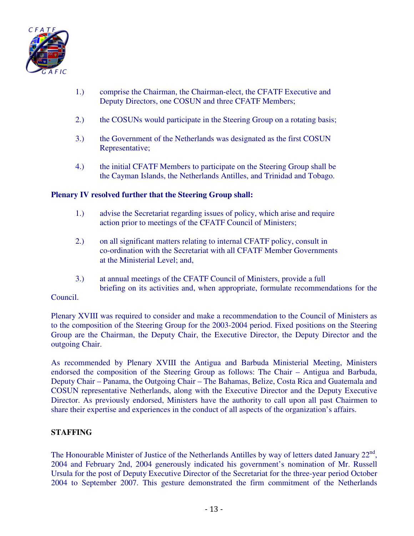

- 1.) comprise the Chairman, the Chairman-elect, the CFATF Executive and Deputy Directors, one COSUN and three CFATF Members;
- 2.) the COSUNs would participate in the Steering Group on a rotating basis;
- 3.) the Government of the Netherlands was designated as the first COSUN Representative;
- 4.) the initial CFATF Members to participate on the Steering Group shall be the Cayman Islands, the Netherlands Antilles, and Trinidad and Tobago.

#### **Plenary IV resolved further that the Steering Group shall:**

- 1.) advise the Secretariat regarding issues of policy, which arise and require action prior to meetings of the CFATF Council of Ministers;
- 2.) on all significant matters relating to internal CFATF policy, consult in co-ordination with the Secretariat with all CFATF Member Governments at the Ministerial Level; and,
- 3.) at annual meetings of the CFATF Council of Ministers, provide a full briefing on its activities and, when appropriate, formulate recommendations for the

#### Council.

Plenary XVIII was required to consider and make a recommendation to the Council of Ministers as to the composition of the Steering Group for the 2003-2004 period. Fixed positions on the Steering Group are the Chairman, the Deputy Chair, the Executive Director, the Deputy Director and the outgoing Chair.

As recommended by Plenary XVIII the Antigua and Barbuda Ministerial Meeting, Ministers endorsed the composition of the Steering Group as follows: The Chair – Antigua and Barbuda, Deputy Chair – Panama, the Outgoing Chair – The Bahamas, Belize, Costa Rica and Guatemala and COSUN representative Netherlands, along with the Executive Director and the Deputy Executive Director. As previously endorsed, Ministers have the authority to call upon all past Chairmen to share their expertise and experiences in the conduct of all aspects of the organization's affairs.

### **STAFFING**

The Honourable Minister of Justice of the Netherlands Antilles by way of letters dated January  $22<sup>nd</sup>$ , 2004 and February 2nd, 2004 generously indicated his government's nomination of Mr. Russell Ursula for the post of Deputy Executive Director of the Secretariat for the three-year period October 2004 to September 2007. This gesture demonstrated the firm commitment of the Netherlands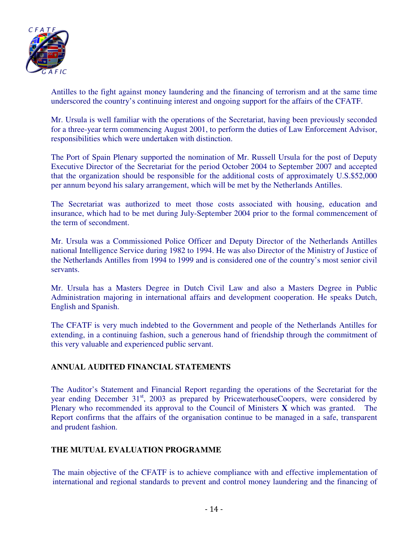

Antilles to the fight against money laundering and the financing of terrorism and at the same time underscored the country's continuing interest and ongoing support for the affairs of the CFATF.

Mr. Ursula is well familiar with the operations of the Secretariat, having been previously seconded for a three-year term commencing August 2001, to perform the duties of Law Enforcement Advisor, responsibilities which were undertaken with distinction.

The Port of Spain Plenary supported the nomination of Mr. Russell Ursula for the post of Deputy Executive Director of the Secretariat for the period October 2004 to September 2007 and accepted that the organization should be responsible for the additional costs of approximately U.S.\$52,000 per annum beyond his salary arrangement, which will be met by the Netherlands Antilles.

The Secretariat was authorized to meet those costs associated with housing, education and insurance, which had to be met during July-September 2004 prior to the formal commencement of the term of secondment.

Mr. Ursula was a Commissioned Police Officer and Deputy Director of the Netherlands Antilles national Intelligence Service during 1982 to 1994. He was also Director of the Ministry of Justice of the Netherlands Antilles from 1994 to 1999 and is considered one of the country's most senior civil servants.

Mr. Ursula has a Masters Degree in Dutch Civil Law and also a Masters Degree in Public Administration majoring in international affairs and development cooperation. He speaks Dutch, English and Spanish.

The CFATF is very much indebted to the Government and people of the Netherlands Antilles for extending, in a continuing fashion, such a generous hand of friendship through the commitment of this very valuable and experienced public servant.

### **ANNUAL AUDITED FINANCIAL STATEMENTS**

The Auditor's Statement and Financial Report regarding the operations of the Secretariat for the year ending December  $31<sup>st</sup>$ , 2003 as prepared by PricewaterhouseCoopers, were considered by Plenary who recommended its approval to the Council of Ministers **X** which was granted. The Report confirms that the affairs of the organisation continue to be managed in a safe, transparent and prudent fashion.

### **THE MUTUAL EVALUATION PROGRAMME**

The main objective of the CFATF is to achieve compliance with and effective implementation of international and regional standards to prevent and control money laundering and the financing of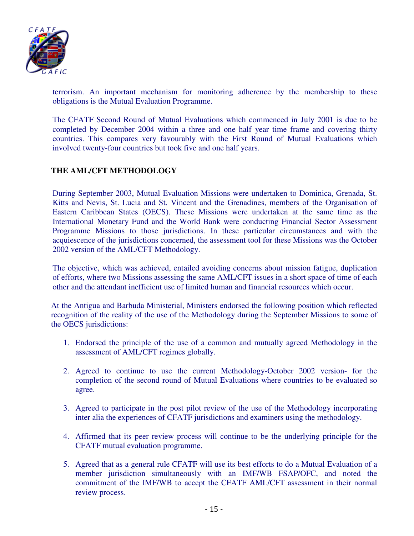

terrorism. An important mechanism for monitoring adherence by the membership to these obligations is the Mutual Evaluation Programme.

The CFATF Second Round of Mutual Evaluations which commenced in July 2001 is due to be completed by December 2004 within a three and one half year time frame and covering thirty countries. This compares very favourably with the First Round of Mutual Evaluations which involved twenty-four countries but took five and one half years.

# **THE AML/CFT METHODOLOGY**

During September 2003, Mutual Evaluation Missions were undertaken to Dominica, Grenada, St. Kitts and Nevis, St. Lucia and St. Vincent and the Grenadines, members of the Organisation of Eastern Caribbean States (OECS). These Missions were undertaken at the same time as the International Monetary Fund and the World Bank were conducting Financial Sector Assessment Programme Missions to those jurisdictions. In these particular circumstances and with the acquiescence of the jurisdictions concerned, the assessment tool for these Missions was the October 2002 version of the AML/CFT Methodology.

The objective, which was achieved, entailed avoiding concerns about mission fatigue, duplication of efforts, where two Missions assessing the same AML/CFT issues in a short space of time of each other and the attendant inefficient use of limited human and financial resources which occur.

At the Antigua and Barbuda Ministerial, Ministers endorsed the following position which reflected recognition of the reality of the use of the Methodology during the September Missions to some of the OECS jurisdictions:

- 1. Endorsed the principle of the use of a common and mutually agreed Methodology in the assessment of AML/CFT regimes globally.
- 2. Agreed to continue to use the current Methodology-October 2002 version- for the completion of the second round of Mutual Evaluations where countries to be evaluated so agree.
- 3. Agreed to participate in the post pilot review of the use of the Methodology incorporating inter alia the experiences of CFATF jurisdictions and examiners using the methodology.
- 4. Affirmed that its peer review process will continue to be the underlying principle for the CFATF mutual evaluation programme.
- 5. Agreed that as a general rule CFATF will use its best efforts to do a Mutual Evaluation of a member jurisdiction simultaneously with an IMF/WB FSAP/OFC, and noted the commitment of the IMF/WB to accept the CFATF AML/CFT assessment in their normal review process.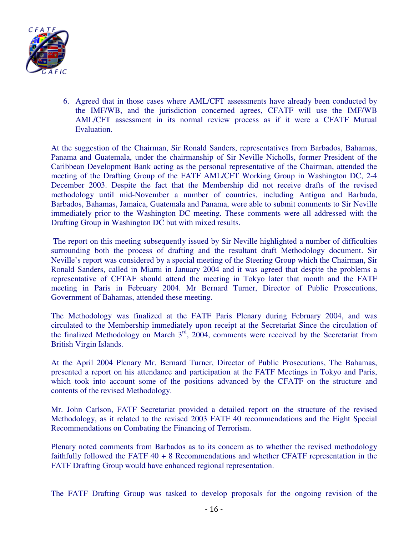

6. Agreed that in those cases where AML/CFT assessments have already been conducted by the IMF/WB, and the jurisdiction concerned agrees, CFATF will use the IMF/WB AML/CFT assessment in its normal review process as if it were a CFATF Mutual Evaluation.

At the suggestion of the Chairman, Sir Ronald Sanders, representatives from Barbados, Bahamas, Panama and Guatemala, under the chairmanship of Sir Neville Nicholls, former President of the Caribbean Development Bank acting as the personal representative of the Chairman, attended the meeting of the Drafting Group of the FATF AML/CFT Working Group in Washington DC, 2-4 December 2003. Despite the fact that the Membership did not receive drafts of the revised methodology until mid-November a number of countries, including Antigua and Barbuda, Barbados, Bahamas, Jamaica, Guatemala and Panama, were able to submit comments to Sir Neville immediately prior to the Washington DC meeting. These comments were all addressed with the Drafting Group in Washington DC but with mixed results.

 The report on this meeting subsequently issued by Sir Neville highlighted a number of difficulties surrounding both the process of drafting and the resultant draft Methodology document. Sir Neville's report was considered by a special meeting of the Steering Group which the Chairman, Sir Ronald Sanders, called in Miami in January 2004 and it was agreed that despite the problems a representative of CFTAF should attend the meeting in Tokyo later that month and the FATF meeting in Paris in February 2004. Mr Bernard Turner, Director of Public Prosecutions, Government of Bahamas, attended these meeting.

The Methodology was finalized at the FATF Paris Plenary during February 2004, and was circulated to the Membership immediately upon receipt at the Secretariat Since the circulation of the finalized Methodology on March  $3<sup>rd</sup>$ , 2004, comments were received by the Secretariat from British Virgin Islands.

At the April 2004 Plenary Mr. Bernard Turner, Director of Public Prosecutions, The Bahamas, presented a report on his attendance and participation at the FATF Meetings in Tokyo and Paris, which took into account some of the positions advanced by the CFATF on the structure and contents of the revised Methodology.

Mr. John Carlson, FATF Secretariat provided a detailed report on the structure of the revised Methodology, as it related to the revised 2003 FATF 40 recommendations and the Eight Special Recommendations on Combating the Financing of Terrorism.

Plenary noted comments from Barbados as to its concern as to whether the revised methodology faithfully followed the FATF 40 + 8 Recommendations and whether CFATF representation in the FATF Drafting Group would have enhanced regional representation.

The FATF Drafting Group was tasked to develop proposals for the ongoing revision of the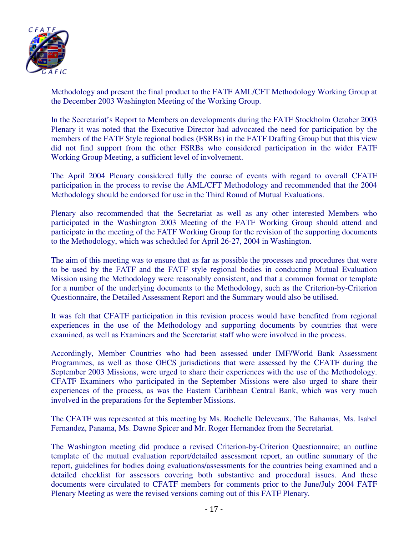

Methodology and present the final product to the FATF AML/CFT Methodology Working Group at the December 2003 Washington Meeting of the Working Group.

In the Secretariat's Report to Members on developments during the FATF Stockholm October 2003 Plenary it was noted that the Executive Director had advocated the need for participation by the members of the FATF Style regional bodies (FSRBs) in the FATF Drafting Group but that this view did not find support from the other FSRBs who considered participation in the wider FATF Working Group Meeting, a sufficient level of involvement.

The April 2004 Plenary considered fully the course of events with regard to overall CFATF participation in the process to revise the AML/CFT Methodology and recommended that the 2004 Methodology should be endorsed for use in the Third Round of Mutual Evaluations.

Plenary also recommended that the Secretariat as well as any other interested Members who participated in the Washington 2003 Meeting of the FATF Working Group should attend and participate in the meeting of the FATF Working Group for the revision of the supporting documents to the Methodology, which was scheduled for April 26-27, 2004 in Washington.

The aim of this meeting was to ensure that as far as possible the processes and procedures that were to be used by the FATF and the FATF style regional bodies in conducting Mutual Evaluation Mission using the Methodology were reasonably consistent, and that a common format or template for a number of the underlying documents to the Methodology, such as the Criterion-by-Criterion Questionnaire, the Detailed Assessment Report and the Summary would also be utilised.

It was felt that CFATF participation in this revision process would have benefited from regional experiences in the use of the Methodology and supporting documents by countries that were examined, as well as Examiners and the Secretariat staff who were involved in the process.

Accordingly, Member Countries who had been assessed under IMF/World Bank Assessment Programmes, as well as those OECS jurisdictions that were assessed by the CFATF during the September 2003 Missions, were urged to share their experiences with the use of the Methodology. CFATF Examiners who participated in the September Missions were also urged to share their experiences of the process, as was the Eastern Caribbean Central Bank, which was very much involved in the preparations for the September Missions.

The CFATF was represented at this meeting by Ms. Rochelle Deleveaux, The Bahamas, Ms. Isabel Fernandez, Panama, Ms. Dawne Spicer and Mr. Roger Hernandez from the Secretariat.

The Washington meeting did produce a revised Criterion-by-Criterion Questionnaire; an outline template of the mutual evaluation report/detailed assessment report, an outline summary of the report, guidelines for bodies doing evaluations/assessments for the countries being examined and a detailed checklist for assessors covering both substantive and procedural issues. And these documents were circulated to CFATF members for comments prior to the June/July 2004 FATF Plenary Meeting as were the revised versions coming out of this FATF Plenary.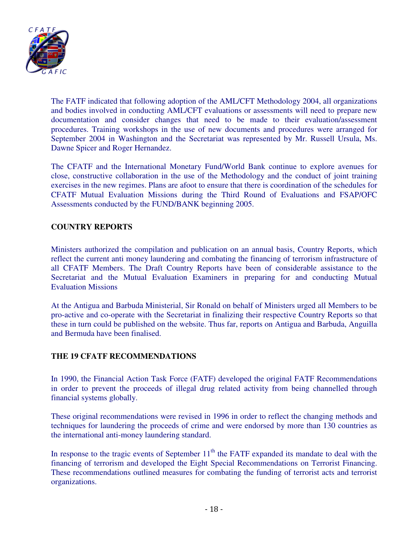

The FATF indicated that following adoption of the AML/CFT Methodology 2004, all organizations and bodies involved in conducting AML/CFT evaluations or assessments will need to prepare new documentation and consider changes that need to be made to their evaluation/assessment procedures. Training workshops in the use of new documents and procedures were arranged for September 2004 in Washington and the Secretariat was represented by Mr. Russell Ursula, Ms. Dawne Spicer and Roger Hernandez.

The CFATF and the International Monetary Fund/World Bank continue to explore avenues for close, constructive collaboration in the use of the Methodology and the conduct of joint training exercises in the new regimes. Plans are afoot to ensure that there is coordination of the schedules for CFATF Mutual Evaluation Missions during the Third Round of Evaluations and FSAP/OFC Assessments conducted by the FUND/BANK beginning 2005.

# **COUNTRY REPORTS**

Ministers authorized the compilation and publication on an annual basis, Country Reports, which reflect the current anti money laundering and combating the financing of terrorism infrastructure of all CFATF Members. The Draft Country Reports have been of considerable assistance to the Secretariat and the Mutual Evaluation Examiners in preparing for and conducting Mutual Evaluation Missions

At the Antigua and Barbuda Ministerial, Sir Ronald on behalf of Ministers urged all Members to be pro-active and co-operate with the Secretariat in finalizing their respective Country Reports so that these in turn could be published on the website. Thus far, reports on Antigua and Barbuda, Anguilla and Bermuda have been finalised.

### **THE 19 CFATF RECOMMENDATIONS**

In 1990, the Financial Action Task Force (FATF) developed the original FATF Recommendations in order to prevent the proceeds of illegal drug related activity from being channelled through financial systems globally.

These original recommendations were revised in 1996 in order to reflect the changing methods and techniques for laundering the proceeds of crime and were endorsed by more than 130 countries as the international anti-money laundering standard.

In response to the tragic events of September  $11<sup>th</sup>$  the FATF expanded its mandate to deal with the financing of terrorism and developed the Eight Special Recommendations on Terrorist Financing. These recommendations outlined measures for combating the funding of terrorist acts and terrorist organizations.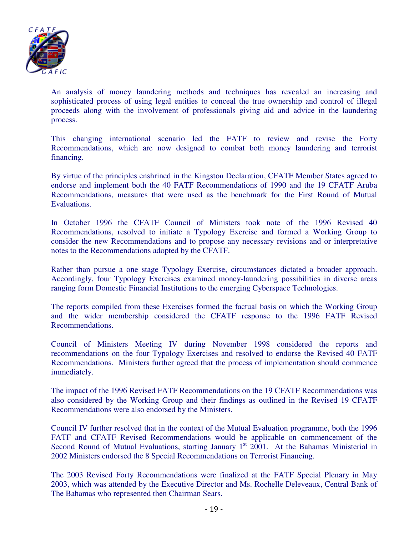

An analysis of money laundering methods and techniques has revealed an increasing and sophisticated process of using legal entities to conceal the true ownership and control of illegal proceeds along with the involvement of professionals giving aid and advice in the laundering process.

This changing international scenario led the FATF to review and revise the Forty Recommendations, which are now designed to combat both money laundering and terrorist financing.

By virtue of the principles enshrined in the Kingston Declaration, CFATF Member States agreed to endorse and implement both the 40 FATF Recommendations of 1990 and the 19 CFATF Aruba Recommendations, measures that were used as the benchmark for the First Round of Mutual Evaluations.

In October 1996 the CFATF Council of Ministers took note of the 1996 Revised 40 Recommendations, resolved to initiate a Typology Exercise and formed a Working Group to consider the new Recommendations and to propose any necessary revisions and or interpretative notes to the Recommendations adopted by the CFATF.

Rather than pursue a one stage Typology Exercise, circumstances dictated a broader approach. Accordingly, four Typology Exercises examined money-laundering possibilities in diverse areas ranging form Domestic Financial Institutions to the emerging Cyberspace Technologies.

The reports compiled from these Exercises formed the factual basis on which the Working Group and the wider membership considered the CFATF response to the 1996 FATF Revised Recommendations.

Council of Ministers Meeting IV during November 1998 considered the reports and recommendations on the four Typology Exercises and resolved to endorse the Revised 40 FATF Recommendations. Ministers further agreed that the process of implementation should commence immediately.

The impact of the 1996 Revised FATF Recommendations on the 19 CFATF Recommendations was also considered by the Working Group and their findings as outlined in the Revised 19 CFATF Recommendations were also endorsed by the Ministers.

Council IV further resolved that in the context of the Mutual Evaluation programme, both the 1996 FATF and CFATF Revised Recommendations would be applicable on commencement of the Second Round of Mutual Evaluations, starting January  $1<sup>st</sup>$  2001. At the Bahamas Ministerial in 2002 Ministers endorsed the 8 Special Recommendations on Terrorist Financing.

The 2003 Revised Forty Recommendations were finalized at the FATF Special Plenary in May 2003, which was attended by the Executive Director and Ms. Rochelle Deleveaux, Central Bank of The Bahamas who represented then Chairman Sears.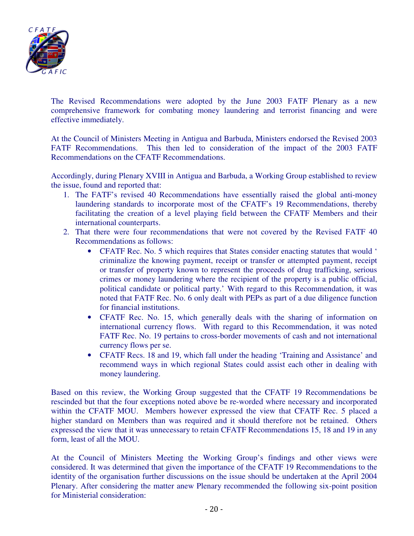

The Revised Recommendations were adopted by the June 2003 FATF Plenary as a new comprehensive framework for combating money laundering and terrorist financing and were effective immediately.

At the Council of Ministers Meeting in Antigua and Barbuda, Ministers endorsed the Revised 2003 FATF Recommendations. This then led to consideration of the impact of the 2003 FATF Recommendations on the CFATF Recommendations.

Accordingly, during Plenary XVIII in Antigua and Barbuda, a Working Group established to review the issue, found and reported that:

- 1. The FATF's revised 40 Recommendations have essentially raised the global anti-money laundering standards to incorporate most of the CFATF's 19 Recommendations, thereby facilitating the creation of a level playing field between the CFATF Members and their international counterparts.
- 2. That there were four recommendations that were not covered by the Revised FATF 40 Recommendations as follows:
	- CFATF Rec. No. 5 which requires that States consider enacting statutes that would ' criminalize the knowing payment, receipt or transfer or attempted payment, receipt or transfer of property known to represent the proceeds of drug trafficking, serious crimes or money laundering where the recipient of the property is a public official, political candidate or political party.' With regard to this Recommendation, it was noted that FATF Rec. No. 6 only dealt with PEPs as part of a due diligence function for financial institutions.
	- CFATF Rec. No. 15, which generally deals with the sharing of information on international currency flows. With regard to this Recommendation, it was noted FATF Rec. No. 19 pertains to cross-border movements of cash and not international currency flows per se.
	- CFATF Recs. 18 and 19, which fall under the heading 'Training and Assistance' and recommend ways in which regional States could assist each other in dealing with money laundering.

Based on this review, the Working Group suggested that the CFATF 19 Recommendations be rescinded but that the four exceptions noted above be re-worded where necessary and incorporated within the CFATF MOU. Members however expressed the view that CFATF Rec. 5 placed a higher standard on Members than was required and it should therefore not be retained. Others expressed the view that it was unnecessary to retain CFATF Recommendations 15, 18 and 19 in any form, least of all the MOU.

At the Council of Ministers Meeting the Working Group's findings and other views were considered. It was determined that given the importance of the CFATF 19 Recommendations to the identity of the organisation further discussions on the issue should be undertaken at the April 2004 Plenary. After considering the matter anew Plenary recommended the following six-point position for Ministerial consideration: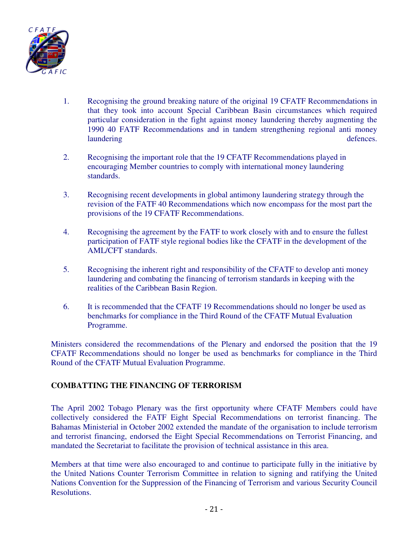

- 1. Recognising the ground breaking nature of the original 19 CFATF Recommendations in that they took into account Special Caribbean Basin circumstances which required particular consideration in the fight against money laundering thereby augmenting the 1990 40 FATF Recommendations and in tandem strengthening regional anti money laundering defences.
- 2. Recognising the important role that the 19 CFATF Recommendations played in encouraging Member countries to comply with international money laundering standards.
- 3. Recognising recent developments in global antimony laundering strategy through the revision of the FATF 40 Recommendations which now encompass for the most part the provisions of the 19 CFATF Recommendations.
- 4. Recognising the agreement by the FATF to work closely with and to ensure the fullest participation of FATF style regional bodies like the CFATF in the development of the AML/CFT standards.
- 5. Recognising the inherent right and responsibility of the CFATF to develop anti money laundering and combating the financing of terrorism standards in keeping with the realities of the Caribbean Basin Region.
- 6. It is recommended that the CFATF 19 Recommendations should no longer be used as benchmarks for compliance in the Third Round of the CFATF Mutual Evaluation Programme.

Ministers considered the recommendations of the Plenary and endorsed the position that the 19 CFATF Recommendations should no longer be used as benchmarks for compliance in the Third Round of the CFATF Mutual Evaluation Programme.

# **COMBATTING THE FINANCING OF TERRORISM**

The April 2002 Tobago Plenary was the first opportunity where CFATF Members could have collectively considered the FATF Eight Special Recommendations on terrorist financing. The Bahamas Ministerial in October 2002 extended the mandate of the organisation to include terrorism and terrorist financing, endorsed the Eight Special Recommendations on Terrorist Financing, and mandated the Secretariat to facilitate the provision of technical assistance in this area.

Members at that time were also encouraged to and continue to participate fully in the initiative by the United Nations Counter Terrorism Committee in relation to signing and ratifying the United Nations Convention for the Suppression of the Financing of Terrorism and various Security Council Resolutions.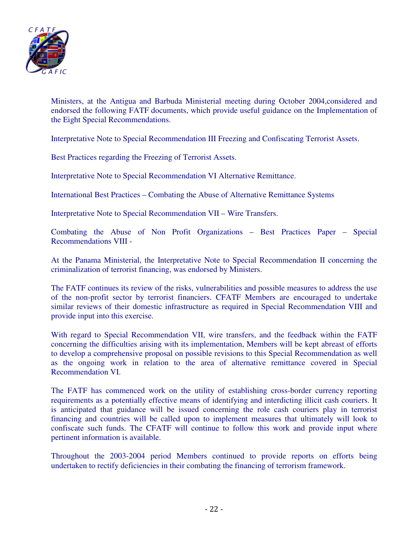

Ministers, at the Antigua and Barbuda Ministerial meeting during October 2004,considered and endorsed the following FATF documents, which provide useful guidance on the Implementation of the Eight Special Recommendations.

Interpretative Note to Special Recommendation III Freezing and Confiscating Terrorist Assets.

Best Practices regarding the Freezing of Terrorist Assets.

Interpretative Note to Special Recommendation VI Alternative Remittance.

International Best Practices – Combating the Abuse of Alternative Remittance Systems

Interpretative Note to Special Recommendation VII – Wire Transfers.

Combating the Abuse of Non Profit Organizations – Best Practices Paper – Special Recommendations VIII -

At the Panama Ministerial, the Interpretative Note to Special Recommendation II concerning the criminalization of terrorist financing, was endorsed by Ministers.

The FATF continues its review of the risks, vulnerabilities and possible measures to address the use of the non-profit sector by terrorist financiers. CFATF Members are encouraged to undertake similar reviews of their domestic infrastructure as required in Special Recommendation VIII and provide input into this exercise.

With regard to Special Recommendation VII, wire transfers, and the feedback within the FATF concerning the difficulties arising with its implementation, Members will be kept abreast of efforts to develop a comprehensive proposal on possible revisions to this Special Recommendation as well as the ongoing work in relation to the area of alternative remittance covered in Special Recommendation VI.

The FATF has commenced work on the utility of establishing cross-border currency reporting requirements as a potentially effective means of identifying and interdicting illicit cash couriers. It is anticipated that guidance will be issued concerning the role cash couriers play in terrorist financing and countries will be called upon to implement measures that ultimately will look to confiscate such funds. The CFATF will continue to follow this work and provide input where pertinent information is available.

Throughout the 2003-2004 period Members continued to provide reports on efforts being undertaken to rectify deficiencies in their combating the financing of terrorism framework.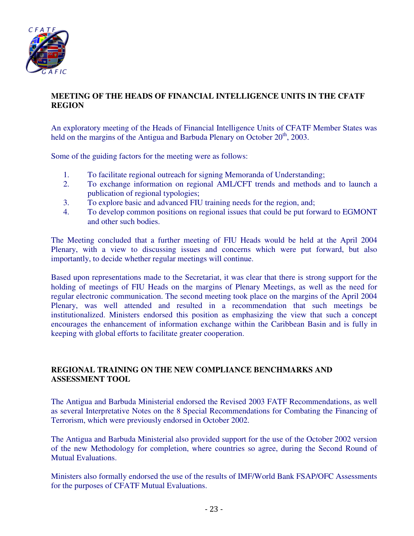

# **MEETING OF THE HEADS OF FINANCIAL INTELLIGENCE UNITS IN THE CFATF REGION**

An exploratory meeting of the Heads of Financial Intelligence Units of CFATF Member States was held on the margins of the Antigua and Barbuda Plenary on October  $20<sup>th</sup>$ , 2003.

Some of the guiding factors for the meeting were as follows:

- 1. To facilitate regional outreach for signing Memoranda of Understanding;
- 2. To exchange information on regional AML/CFT trends and methods and to launch a publication of regional typologies;
- 3. To explore basic and advanced FIU training needs for the region, and;
- 4. To develop common positions on regional issues that could be put forward to EGMONT and other such bodies.

The Meeting concluded that a further meeting of FIU Heads would be held at the April 2004 Plenary, with a view to discussing issues and concerns which were put forward, but also importantly, to decide whether regular meetings will continue.

Based upon representations made to the Secretariat, it was clear that there is strong support for the holding of meetings of FIU Heads on the margins of Plenary Meetings, as well as the need for regular electronic communication. The second meeting took place on the margins of the April 2004 Plenary, was well attended and resulted in a recommendation that such meetings be institutionalized. Ministers endorsed this position as emphasizing the view that such a concept encourages the enhancement of information exchange within the Caribbean Basin and is fully in keeping with global efforts to facilitate greater cooperation.

### **REGIONAL TRAINING ON THE NEW COMPLIANCE BENCHMARKS AND ASSESSMENT TOOL**

The Antigua and Barbuda Ministerial endorsed the Revised 2003 FATF Recommendations, as well as several Interpretative Notes on the 8 Special Recommendations for Combating the Financing of Terrorism, which were previously endorsed in October 2002.

The Antigua and Barbuda Ministerial also provided support for the use of the October 2002 version of the new Methodology for completion, where countries so agree, during the Second Round of Mutual Evaluations.

Ministers also formally endorsed the use of the results of IMF/World Bank FSAP/OFC Assessments for the purposes of CFATF Mutual Evaluations.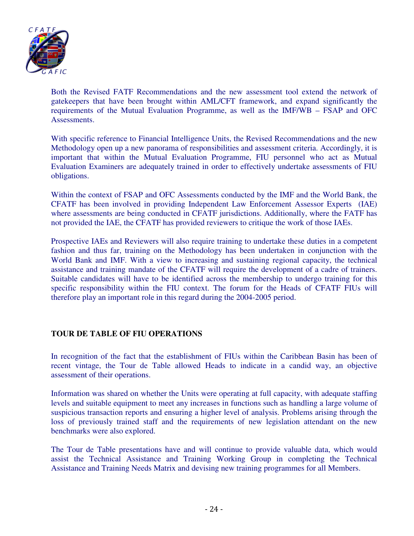

Both the Revised FATF Recommendations and the new assessment tool extend the network of gatekeepers that have been brought within AML/CFT framework, and expand significantly the requirements of the Mutual Evaluation Programme, as well as the IMF/WB – FSAP and OFC Assessments.

With specific reference to Financial Intelligence Units, the Revised Recommendations and the new Methodology open up a new panorama of responsibilities and assessment criteria. Accordingly, it is important that within the Mutual Evaluation Programme, FIU personnel who act as Mutual Evaluation Examiners are adequately trained in order to effectively undertake assessments of FIU obligations.

Within the context of FSAP and OFC Assessments conducted by the IMF and the World Bank, the CFATF has been involved in providing Independent Law Enforcement Assessor Experts (IAE) where assessments are being conducted in CFATF jurisdictions. Additionally, where the FATF has not provided the IAE, the CFATF has provided reviewers to critique the work of those IAEs.

Prospective IAEs and Reviewers will also require training to undertake these duties in a competent fashion and thus far, training on the Methodology has been undertaken in conjunction with the World Bank and IMF. With a view to increasing and sustaining regional capacity, the technical assistance and training mandate of the CFATF will require the development of a cadre of trainers. Suitable candidates will have to be identified across the membership to undergo training for this specific responsibility within the FIU context. The forum for the Heads of CFATF FIUs will therefore play an important role in this regard during the 2004-2005 period.

#### **TOUR DE TABLE OF FIU OPERATIONS**

In recognition of the fact that the establishment of FIUs within the Caribbean Basin has been of recent vintage, the Tour de Table allowed Heads to indicate in a candid way, an objective assessment of their operations.

Information was shared on whether the Units were operating at full capacity, with adequate staffing levels and suitable equipment to meet any increases in functions such as handling a large volume of suspicious transaction reports and ensuring a higher level of analysis. Problems arising through the loss of previously trained staff and the requirements of new legislation attendant on the new benchmarks were also explored.

The Tour de Table presentations have and will continue to provide valuable data, which would assist the Technical Assistance and Training Working Group in completing the Technical Assistance and Training Needs Matrix and devising new training programmes for all Members.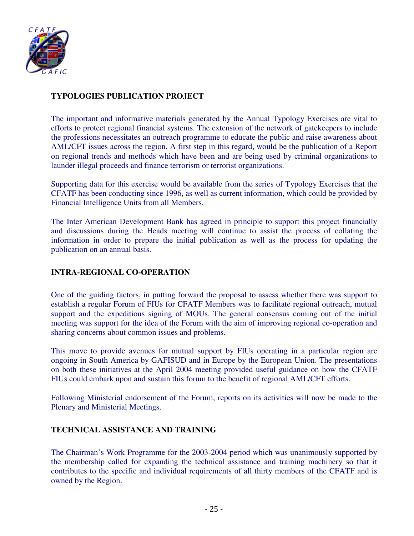

# **TYPOLOGIES PUBLICATION PROJECT**

The important and informative materials generated by the Annual Typology Exercises are vital to efforts to protect regional financial systems. The extension of the network of gatekeepers to include the professions necessitates an outreach programme to educate the public and raise awareness about AML/CFT issues across the region. A first step in this regard, would be the publication of a Report on regional trends and methods which have been and are being used by criminal organizations to launder illegal proceeds and finance terrorism or terrorist organizations.

Supporting data for this exercise would be available from the series of Typology Exercises that the CFATF has been conducting since 1996, as well as current information, which could be provided by Financial Intelligence Units from all Members.

The Inter American Development Bank has agreed in principle to support this project financially and discussions during the Heads meeting will continue to assist the process of collating the information in order to prepare the initial publication as well as the process for updating the publication on an annual basis.

#### **INTRA-REGIONAL CO-OPERATION**

One of the guiding factors, in putting forward the proposal to assess whether there was support to establish a regular Forum of FIUs for CFATF Members was to facilitate regional outreach, mutual support and the expeditious signing of MOUs. The general consensus coming out of the initial meeting was support for the idea of the Forum with the aim of improving regional co-operation and sharing concerns about common issues and problems.

This move to provide avenues for mutual support by FIUs operating in a particular region are ongoing in South America by GAFISUD and in Europe by the European Union. The presentations on both these initiatives at the April 2004 meeting provided useful guidance on how the CFATF FIUs could embark upon and sustain this forum to the benefit of regional AML/CFT efforts.

Following Ministerial endorsement of the Forum, reports on its activities will now be made to the Plenary and Ministerial Meetings.

#### **TECHNICAL ASSISTANCE AND TRAINING**

The Chairman's Work Programme for the 2003-2004 period which was unanimously supported by the membership called for expanding the technical assistance and training machinery so that it contributes to the specific and individual requirements of all thirty members of the CFATF and is owned by the Region.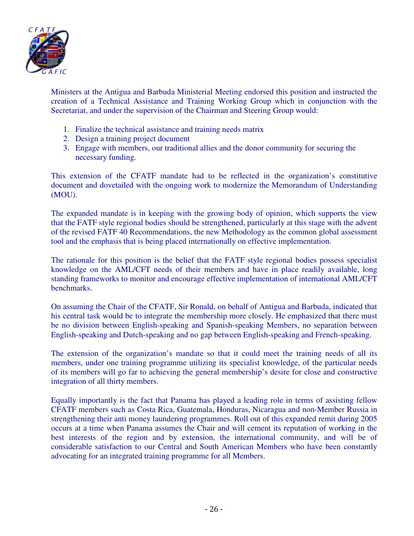

Ministers at the Antigua and Barbuda Ministerial Meeting endorsed this position and instructed the creation of a Technical Assistance and Training Working Group which in conjunction with the Secretariat, and under the supervision of the Chairman and Steering Group would:

- 1. Finalize the technical assistance and training needs matrix
- 2. Design a training project document
- 3. Engage with members, our traditional allies and the donor community for securing the necessary funding.

This extension of the CFATF mandate had to be reflected in the organization's constitutive document and dovetailed with the ongoing work to modernize the Memorandum of Understanding (MOU).

The expanded mandate is in keeping with the growing body of opinion, which supports the view that the FATF style regional bodies should be strengthened, particularly at this stage with the advent of the revised FATF 40 Recommendations, the new Methodology as the common global assessment tool and the emphasis that is being placed internationally on effective implementation.

The rationale for this position is the belief that the FATF style regional bodies possess specialist knowledge on the AML/CFT needs of their members and have in place readily available, long standing frameworks to monitor and encourage effective implementation of international AML/CFT benchmarks.

On assuming the Chair of the CFATF, Sir Ronald, on behalf of Antigua and Barbuda, indicated that his central task would be to integrate the membership more closely. He emphasized that there must be no division between English-speaking and Spanish-speaking Members, no separation between English-speaking and Dutch-speaking and no gap between English-speaking and French-speaking.

The extension of the organization's mandate so that it could meet the training needs of all its members, under one training programme utilizing its specialist knowledge, of the particular needs of its members will go far to achieving the general membership's desire for close and constructive integration of all thirty members.

Equally importantly is the fact that Panama has played a leading role in terms of assisting fellow CFATF members such as Costa Rica, Guatemala, Honduras, Nicaragua and non-Member Russia in strengthening their anti money laundering programmes. Roll out of this expanded remit during 2005 occurs at a time when Panama assumes the Chair and will cement its reputation of working in the best interests of the region and by extension, the international community, and will be of considerable satisfaction to our Central and South American Members who have been constantly advocating for an integrated training programme for all Members.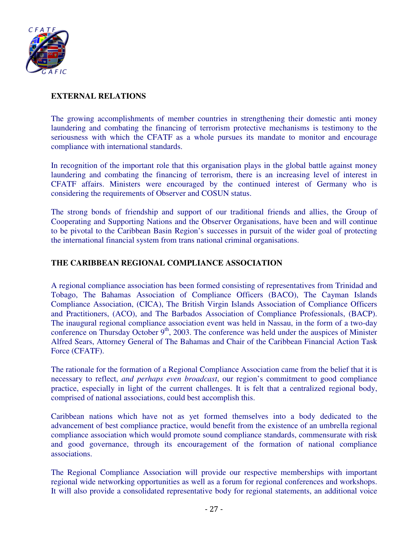

# **EXTERNAL RELATIONS**

The growing accomplishments of member countries in strengthening their domestic anti money laundering and combating the financing of terrorism protective mechanisms is testimony to the seriousness with which the CFATF as a whole pursues its mandate to monitor and encourage compliance with international standards.

In recognition of the important role that this organisation plays in the global battle against money laundering and combating the financing of terrorism, there is an increasing level of interest in CFATF affairs. Ministers were encouraged by the continued interest of Germany who is considering the requirements of Observer and COSUN status.

The strong bonds of friendship and support of our traditional friends and allies, the Group of Cooperating and Supporting Nations and the Observer Organisations, have been and will continue to be pivotal to the Caribbean Basin Region's successes in pursuit of the wider goal of protecting the international financial system from trans national criminal organisations.

# **THE CARIBBEAN REGIONAL COMPLIANCE ASSOCIATION**

A regional compliance association has been formed consisting of representatives from Trinidad and Tobago, The Bahamas Association of Compliance Officers (BACO), The Cayman Islands Compliance Association, (CICA), The British Virgin Islands Association of Compliance Officers and Practitioners, (ACO), and The Barbados Association of Compliance Professionals, (BACP). The inaugural regional compliance association event was held in Nassau, in the form of a two-day conference on Thursday October  $9<sup>th</sup>$ , 2003. The conference was held under the auspices of Minister Alfred Sears, Attorney General of The Bahamas and Chair of the Caribbean Financial Action Task Force (CFATF).

The rationale for the formation of a Regional Compliance Association came from the belief that it is necessary to reflect, *and perhaps even broadcast*, our region's commitment to good compliance practice, especially in light of the current challenges. It is felt that a centralized regional body, comprised of national associations, could best accomplish this.

Caribbean nations which have not as yet formed themselves into a body dedicated to the advancement of best compliance practice, would benefit from the existence of an umbrella regional compliance association which would promote sound compliance standards, commensurate with risk and good governance, through its encouragement of the formation of national compliance associations.

The Regional Compliance Association will provide our respective memberships with important regional wide networking opportunities as well as a forum for regional conferences and workshops. It will also provide a consolidated representative body for regional statements, an additional voice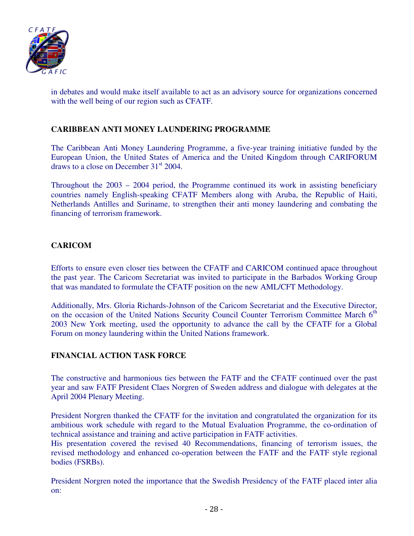

in debates and would make itself available to act as an advisory source for organizations concerned with the well being of our region such as CFATF.

# **CARIBBEAN ANTI MONEY LAUNDERING PROGRAMME**

The Caribbean Anti Money Laundering Programme, a five-year training initiative funded by the European Union, the United States of America and the United Kingdom through CARIFORUM draws to a close on December  $31<sup>st</sup>$  2004.

Throughout the 2003 – 2004 period, the Programme continued its work in assisting beneficiary countries namely English-speaking CFATF Members along with Aruba, the Republic of Haiti, Netherlands Antilles and Suriname, to strengthen their anti money laundering and combating the financing of terrorism framework.

### **CARICOM**

Efforts to ensure even closer ties between the CFATF and CARICOM continued apace throughout the past year. The Caricom Secretariat was invited to participate in the Barbados Working Group that was mandated to formulate the CFATF position on the new AML/CFT Methodology.

Additionally, Mrs. Gloria Richards-Johnson of the Caricom Secretariat and the Executive Director, on the occasion of the United Nations Security Council Counter Terrorism Committee March 6<sup>th</sup> 2003 New York meeting, used the opportunity to advance the call by the CFATF for a Global Forum on money laundering within the United Nations framework.

### **FINANCIAL ACTION TASK FORCE**

The constructive and harmonious ties between the FATF and the CFATF continued over the past year and saw FATF President Claes Norgren of Sweden address and dialogue with delegates at the April 2004 Plenary Meeting.

President Norgren thanked the CFATF for the invitation and congratulated the organization for its ambitious work schedule with regard to the Mutual Evaluation Programme, the co-ordination of technical assistance and training and active participation in FATF activities.

His presentation covered the revised 40 Recommendations, financing of terrorism issues, the revised methodology and enhanced co-operation between the FATF and the FATF style regional bodies (FSRBs).

President Norgren noted the importance that the Swedish Presidency of the FATF placed inter alia on: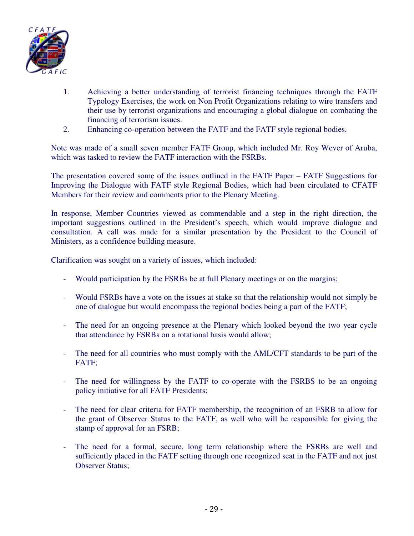

- 1. Achieving a better understanding of terrorist financing techniques through the FATF Typology Exercises, the work on Non Profit Organizations relating to wire transfers and their use by terrorist organizations and encouraging a global dialogue on combating the financing of terrorism issues.
- 2. Enhancing co-operation between the FATF and the FATF style regional bodies.

Note was made of a small seven member FATF Group, which included Mr. Roy Wever of Aruba, which was tasked to review the FATF interaction with the FSRBs.

The presentation covered some of the issues outlined in the FATF Paper – FATF Suggestions for Improving the Dialogue with FATF style Regional Bodies, which had been circulated to CFATF Members for their review and comments prior to the Plenary Meeting.

In response, Member Countries viewed as commendable and a step in the right direction, the important suggestions outlined in the President's speech, which would improve dialogue and consultation. A call was made for a similar presentation by the President to the Council of Ministers, as a confidence building measure.

Clarification was sought on a variety of issues, which included:

- Would participation by the FSRBs be at full Plenary meetings or on the margins;
- Would FSRBs have a vote on the issues at stake so that the relationship would not simply be one of dialogue but would encompass the regional bodies being a part of the FATF;
- The need for an ongoing presence at the Plenary which looked beyond the two year cycle that attendance by FSRBs on a rotational basis would allow;
- The need for all countries who must comply with the AML/CFT standards to be part of the FATF;
- The need for willingness by the FATF to co-operate with the FSRBS to be an ongoing policy initiative for all FATF Presidents;
- The need for clear criteria for FATF membership, the recognition of an FSRB to allow for the grant of Observer Status to the FATF, as well who will be responsible for giving the stamp of approval for an FSRB;
- The need for a formal, secure, long term relationship where the FSRBs are well and sufficiently placed in the FATF setting through one recognized seat in the FATF and not just Observer Status;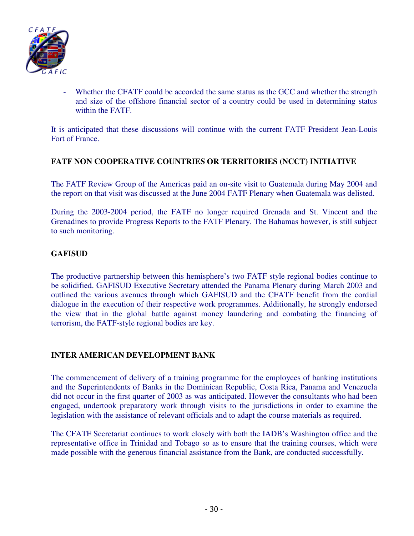

Whether the CFATF could be accorded the same status as the GCC and whether the strength and size of the offshore financial sector of a country could be used in determining status within the FATF.

It is anticipated that these discussions will continue with the current FATF President Jean-Louis Fort of France.

### **FATF NON COOPERATIVE COUNTRIES OR TERRITORIES (NCCT) INITIATIVE**

The FATF Review Group of the Americas paid an on-site visit to Guatemala during May 2004 and the report on that visit was discussed at the June 2004 FATF Plenary when Guatemala was delisted.

During the 2003-2004 period, the FATF no longer required Grenada and St. Vincent and the Grenadines to provide Progress Reports to the FATF Plenary. The Bahamas however, is still subject to such monitoring.

#### **GAFISUD**

The productive partnership between this hemisphere's two FATF style regional bodies continue to be solidified. GAFISUD Executive Secretary attended the Panama Plenary during March 2003 and outlined the various avenues through which GAFISUD and the CFATF benefit from the cordial dialogue in the execution of their respective work programmes. Additionally, he strongly endorsed the view that in the global battle against money laundering and combating the financing of terrorism, the FATF-style regional bodies are key.

### **INTER AMERICAN DEVELOPMENT BANK**

The commencement of delivery of a training programme for the employees of banking institutions and the Superintendents of Banks in the Dominican Republic, Costa Rica, Panama and Venezuela did not occur in the first quarter of 2003 as was anticipated. However the consultants who had been engaged, undertook preparatory work through visits to the jurisdictions in order to examine the legislation with the assistance of relevant officials and to adapt the course materials as required.

The CFATF Secretariat continues to work closely with both the IADB's Washington office and the representative office in Trinidad and Tobago so as to ensure that the training courses, which were made possible with the generous financial assistance from the Bank, are conducted successfully.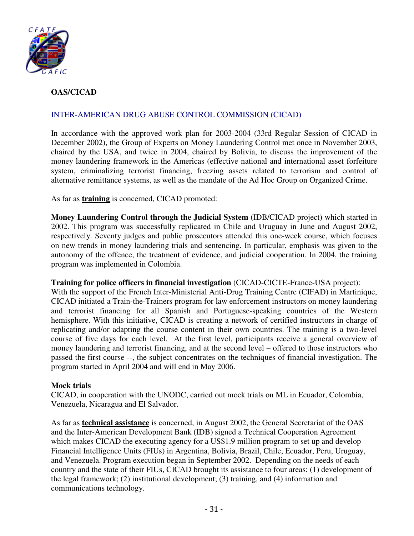

# **OAS/CICAD**

# INTER-AMERICAN DRUG ABUSE CONTROL COMMISSION (CICAD)

In accordance with the approved work plan for 2003-2004 (33rd Regular Session of CICAD in December 2002), the Group of Experts on Money Laundering Control met once in November 2003, chaired by the USA, and twice in 2004, chaired by Bolivia, to discuss the improvement of the money laundering framework in the Americas (effective national and international asset forfeiture system, criminalizing terrorist financing, freezing assets related to terrorism and control of alternative remittance systems, as well as the mandate of the Ad Hoc Group on Organized Crime.

As far as **training** is concerned, CICAD promoted:

**Money Laundering Control through the Judicial System** (IDB/CICAD project) which started in 2002. This program was successfully replicated in Chile and Uruguay in June and August 2002, respectively. Seventy judges and public prosecutors attended this one-week course, which focuses on new trends in money laundering trials and sentencing. In particular, emphasis was given to the autonomy of the offence, the treatment of evidence, and judicial cooperation. In 2004, the training program was implemented in Colombia.

#### **Training for police officers in financial investigation** (CICAD-CICTE-France-USA project):

With the support of the French Inter-Ministerial Anti-Drug Training Centre (CIFAD) in Martinique, CICAD initiated a Train-the-Trainers program for law enforcement instructors on money laundering and terrorist financing for all Spanish and Portuguese-speaking countries of the Western hemisphere. With this initiative, CICAD is creating a network of certified instructors in charge of replicating and/or adapting the course content in their own countries. The training is a two-level course of five days for each level. At the first level, participants receive a general overview of money laundering and terrorist financing, and at the second level – offered to those instructors who passed the first course --, the subject concentrates on the techniques of financial investigation. The program started in April 2004 and will end in May 2006.

### **Mock trials**

CICAD, in cooperation with the UNODC, carried out mock trials on ML in Ecuador, Colombia, Venezuela, Nicaragua and El Salvador.

As far as **technical assistance** is concerned, in August 2002, the General Secretariat of the OAS and the Inter-American Development Bank (IDB) signed a Technical Cooperation Agreement which makes CICAD the executing agency for a US\$1.9 million program to set up and develop Financial Intelligence Units (FIUs) in Argentina, Bolivia, Brazil, Chile, Ecuador, Peru, Uruguay, and Venezuela. Program execution began in September 2002. Depending on the needs of each country and the state of their FIUs, CICAD brought its assistance to four areas: (1) development of the legal framework; (2) institutional development; (3) training, and (4) information and communications technology.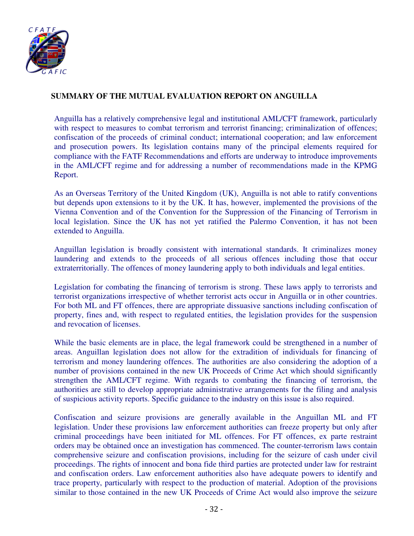

# **SUMMARY OF THE MUTUAL EVALUATION REPORT ON ANGUILLA**

Anguilla has a relatively comprehensive legal and institutional AML/CFT framework, particularly with respect to measures to combat terrorism and terrorist financing; criminalization of offences; confiscation of the proceeds of criminal conduct; international cooperation; and law enforcement and prosecution powers. Its legislation contains many of the principal elements required for compliance with the FATF Recommendations and efforts are underway to introduce improvements in the AML/CFT regime and for addressing a number of recommendations made in the KPMG Report.

As an Overseas Territory of the United Kingdom (UK), Anguilla is not able to ratify conventions but depends upon extensions to it by the UK. It has, however, implemented the provisions of the Vienna Convention and of the Convention for the Suppression of the Financing of Terrorism in local legislation. Since the UK has not yet ratified the Palermo Convention, it has not been extended to Anguilla.

Anguillan legislation is broadly consistent with international standards. It criminalizes money laundering and extends to the proceeds of all serious offences including those that occur extraterritorially. The offences of money laundering apply to both individuals and legal entities.

Legislation for combating the financing of terrorism is strong. These laws apply to terrorists and terrorist organizations irrespective of whether terrorist acts occur in Anguilla or in other countries. For both ML and FT offences, there are appropriate dissuasive sanctions including confiscation of property, fines and, with respect to regulated entities, the legislation provides for the suspension and revocation of licenses.

While the basic elements are in place, the legal framework could be strengthened in a number of areas. Anguillan legislation does not allow for the extradition of individuals for financing of terrorism and money laundering offences. The authorities are also considering the adoption of a number of provisions contained in the new UK Proceeds of Crime Act which should significantly strengthen the AML/CFT regime. With regards to combating the financing of terrorism, the authorities are still to develop appropriate administrative arrangements for the filing and analysis of suspicious activity reports. Specific guidance to the industry on this issue is also required.

Confiscation and seizure provisions are generally available in the Anguillan ML and FT legislation. Under these provisions law enforcement authorities can freeze property but only after criminal proceedings have been initiated for ML offences. For FT offences, ex parte restraint orders may be obtained once an investigation has commenced. The counter-terrorism laws contain comprehensive seizure and confiscation provisions, including for the seizure of cash under civil proceedings. The rights of innocent and bona fide third parties are protected under law for restraint and confiscation orders. Law enforcement authorities also have adequate powers to identify and trace property, particularly with respect to the production of material. Adoption of the provisions similar to those contained in the new UK Proceeds of Crime Act would also improve the seizure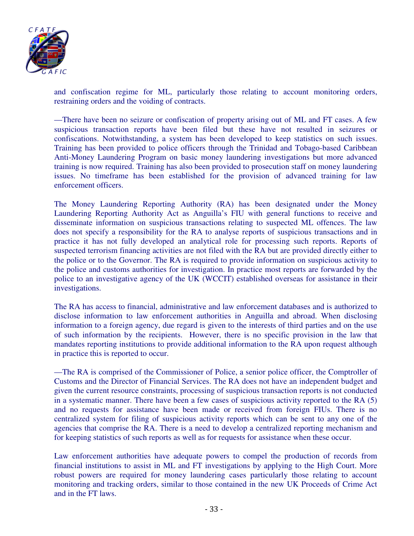

and confiscation regime for ML, particularly those relating to account monitoring orders, restraining orders and the voiding of contracts.

––There have been no seizure or confiscation of property arising out of ML and FT cases. A few suspicious transaction reports have been filed but these have not resulted in seizures or confiscations. Notwithstanding, a system has been developed to keep statistics on such issues. Training has been provided to police officers through the Trinidad and Tobago-based Caribbean Anti-Money Laundering Program on basic money laundering investigations but more advanced training is now required. Training has also been provided to prosecution staff on money laundering issues. No timeframe has been established for the provision of advanced training for law enforcement officers.

The Money Laundering Reporting Authority (RA) has been designated under the Money Laundering Reporting Authority Act as Anguilla's FIU with general functions to receive and disseminate information on suspicious transactions relating to suspected ML offences. The law does not specify a responsibility for the RA to analyse reports of suspicious transactions and in practice it has not fully developed an analytical role for processing such reports. Reports of suspected terrorism financing activities are not filed with the RA but are provided directly either to the police or to the Governor. The RA is required to provide information on suspicious activity to the police and customs authorities for investigation. In practice most reports are forwarded by the police to an investigative agency of the UK (WCCIT) established overseas for assistance in their investigations.

The RA has access to financial, administrative and law enforcement databases and is authorized to disclose information to law enforcement authorities in Anguilla and abroad. When disclosing information to a foreign agency, due regard is given to the interests of third parties and on the use of such information by the recipients. However, there is no specific provision in the law that mandates reporting institutions to provide additional information to the RA upon request although in practice this is reported to occur.

––The RA is comprised of the Commissioner of Police, a senior police officer, the Comptroller of Customs and the Director of Financial Services. The RA does not have an independent budget and given the current resource constraints, processing of suspicious transaction reports is not conducted in a systematic manner. There have been a few cases of suspicious activity reported to the RA (5) and no requests for assistance have been made or received from foreign FIUs. There is no centralized system for filing of suspicious activity reports which can be sent to any one of the agencies that comprise the RA. There is a need to develop a centralized reporting mechanism and for keeping statistics of such reports as well as for requests for assistance when these occur.

Law enforcement authorities have adequate powers to compel the production of records from financial institutions to assist in ML and FT investigations by applying to the High Court. More robust powers are required for money laundering cases particularly those relating to account monitoring and tracking orders, similar to those contained in the new UK Proceeds of Crime Act and in the FT laws.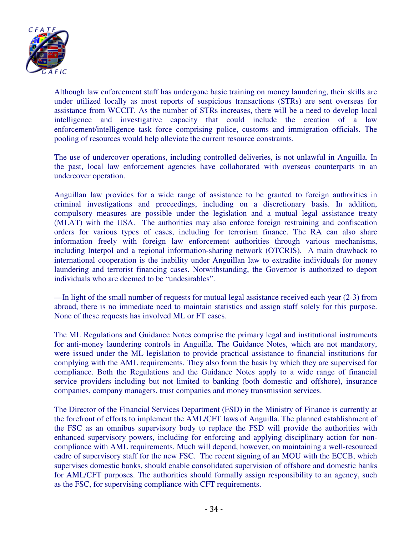

Although law enforcement staff has undergone basic training on money laundering, their skills are under utilized locally as most reports of suspicious transactions (STRs) are sent overseas for assistance from WCCIT. As the number of STRs increases, there will be a need to develop local intelligence and investigative capacity that could include the creation of a law enforcement/intelligence task force comprising police, customs and immigration officials. The pooling of resources would help alleviate the current resource constraints.

The use of undercover operations, including controlled deliveries, is not unlawful in Anguilla. In the past, local law enforcement agencies have collaborated with overseas counterparts in an undercover operation.

Anguillan law provides for a wide range of assistance to be granted to foreign authorities in criminal investigations and proceedings, including on a discretionary basis. In addition, compulsory measures are possible under the legislation and a mutual legal assistance treaty (MLAT) with the USA. The authorities may also enforce foreign restraining and confiscation orders for various types of cases, including for terrorism finance. The RA can also share information freely with foreign law enforcement authorities through various mechanisms, including Interpol and a regional information-sharing network (OTCRIS). A main drawback to international cooperation is the inability under Anguillan law to extradite individuals for money laundering and terrorist financing cases. Notwithstanding, the Governor is authorized to deport individuals who are deemed to be "undesirables".

––In light of the small number of requests for mutual legal assistance received each year (2-3) from abroad, there is no immediate need to maintain statistics and assign staff solely for this purpose. None of these requests has involved ML or FT cases.

The ML Regulations and Guidance Notes comprise the primary legal and institutional instruments for anti-money laundering controls in Anguilla. The Guidance Notes, which are not mandatory, were issued under the ML legislation to provide practical assistance to financial institutions for complying with the AML requirements. They also form the basis by which they are supervised for compliance. Both the Regulations and the Guidance Notes apply to a wide range of financial service providers including but not limited to banking (both domestic and offshore), insurance companies, company managers, trust companies and money transmission services.

The Director of the Financial Services Department (FSD) in the Ministry of Finance is currently at the forefront of efforts to implement the AML/CFT laws of Anguilla. The planned establishment of the FSC as an omnibus supervisory body to replace the FSD will provide the authorities with enhanced supervisory powers, including for enforcing and applying disciplinary action for noncompliance with AML requirements. Much will depend, however, on maintaining a well-resourced cadre of supervisory staff for the new FSC. The recent signing of an MOU with the ECCB, which supervises domestic banks, should enable consolidated supervision of offshore and domestic banks for AML/CFT purposes. The authorities should formally assign responsibility to an agency, such as the FSC, for supervising compliance with CFT requirements.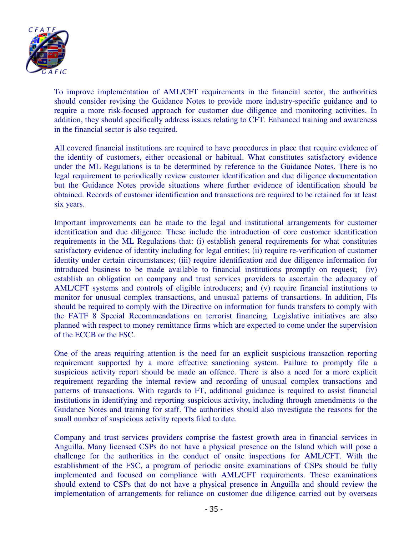

To improve implementation of AML/CFT requirements in the financial sector, the authorities should consider revising the Guidance Notes to provide more industry-specific guidance and to require a more risk-focused approach for customer due diligence and monitoring activities. In addition, they should specifically address issues relating to CFT. Enhanced training and awareness in the financial sector is also required.

All covered financial institutions are required to have procedures in place that require evidence of the identity of customers, either occasional or habitual. What constitutes satisfactory evidence under the ML Regulations is to be determined by reference to the Guidance Notes. There is no legal requirement to periodically review customer identification and due diligence documentation but the Guidance Notes provide situations where further evidence of identification should be obtained. Records of customer identification and transactions are required to be retained for at least six years.

Important improvements can be made to the legal and institutional arrangements for customer identification and due diligence. These include the introduction of core customer identification requirements in the ML Regulations that: (i) establish general requirements for what constitutes satisfactory evidence of identity including for legal entities; (ii) require re-verification of customer identity under certain circumstances; (iii) require identification and due diligence information for introduced business to be made available to financial institutions promptly on request; (iv) establish an obligation on company and trust services providers to ascertain the adequacy of AML/CFT systems and controls of eligible introducers; and (v) require financial institutions to monitor for unusual complex transactions, and unusual patterns of transactions. In addition, FIs should be required to comply with the Directive on information for funds transfers to comply with the FATF 8 Special Recommendations on terrorist financing. Legislative initiatives are also planned with respect to money remittance firms which are expected to come under the supervision of the ECCB or the FSC.

One of the areas requiring attention is the need for an explicit suspicious transaction reporting requirement supported by a more effective sanctioning system. Failure to promptly file a suspicious activity report should be made an offence. There is also a need for a more explicit requirement regarding the internal review and recording of unusual complex transactions and patterns of transactions. With regards to FT, additional guidance is required to assist financial institutions in identifying and reporting suspicious activity, including through amendments to the Guidance Notes and training for staff. The authorities should also investigate the reasons for the small number of suspicious activity reports filed to date.

Company and trust services providers comprise the fastest growth area in financial services in Anguilla. Many licensed CSPs do not have a physical presence on the Island which will pose a challenge for the authorities in the conduct of onsite inspections for AML/CFT. With the establishment of the FSC, a program of periodic onsite examinations of CSPs should be fully implemented and focused on compliance with AML/CFT requirements. These examinations should extend to CSPs that do not have a physical presence in Anguilla and should review the implementation of arrangements for reliance on customer due diligence carried out by overseas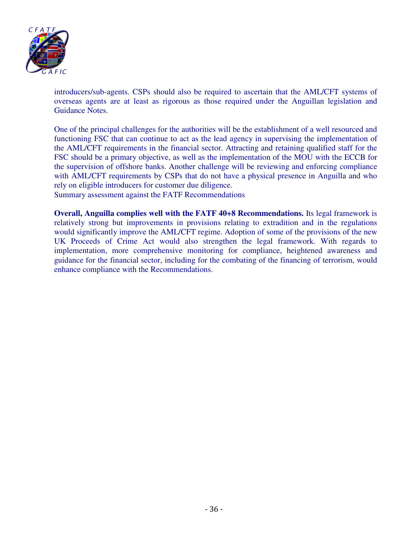

introducers/sub-agents. CSPs should also be required to ascertain that the AML/CFT systems of overseas agents are at least as rigorous as those required under the Anguillan legislation and Guidance Notes.

One of the principal challenges for the authorities will be the establishment of a well resourced and functioning FSC that can continue to act as the lead agency in supervising the implementation of the AML/CFT requirements in the financial sector. Attracting and retaining qualified staff for the FSC should be a primary objective, as well as the implementation of the MOU with the ECCB for the supervision of offshore banks. Another challenge will be reviewing and enforcing compliance with AML/CFT requirements by CSPs that do not have a physical presence in Anguilla and who rely on eligible introducers for customer due diligence.

Summary assessment against the FATF Recommendations

**Overall, Anguilla complies well with the FATF 40+8 Recommendations.** Its legal framework is relatively strong but improvements in provisions relating to extradition and in the regulations would significantly improve the AML/CFT regime. Adoption of some of the provisions of the new UK Proceeds of Crime Act would also strengthen the legal framework. With regards to implementation, more comprehensive monitoring for compliance, heightened awareness and guidance for the financial sector, including for the combating of the financing of terrorism, would enhance compliance with the Recommendations.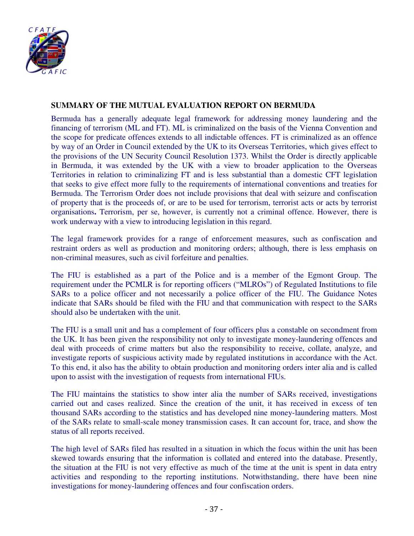

## **SUMMARY OF THE MUTUAL EVALUATION REPORT ON BERMUDA**

Bermuda has a generally adequate legal framework for addressing money laundering and the financing of terrorism (ML and FT). ML is criminalized on the basis of the Vienna Convention and the scope for predicate offences extends to all indictable offences. FT is criminalized as an offence by way of an Order in Council extended by the UK to its Overseas Territories, which gives effect to the provisions of the UN Security Council Resolution 1373. Whilst the Order is directly applicable in Bermuda, it was extended by the UK with a view to broader application to the Overseas Territories in relation to criminalizing FT and is less substantial than a domestic CFT legislation that seeks to give effect more fully to the requirements of international conventions and treaties for Bermuda. The Terrorism Order does not include provisions that deal with seizure and confiscation of property that is the proceeds of, or are to be used for terrorism, terrorist acts or acts by terrorist organisations**.** Terrorism, per se, however, is currently not a criminal offence. However, there is work underway with a view to introducing legislation in this regard.

The legal framework provides for a range of enforcement measures, such as confiscation and restraint orders as well as production and monitoring orders; although, there is less emphasis on non-criminal measures, such as civil forfeiture and penalties.

The FIU is established as a part of the Police and is a member of the Egmont Group. The requirement under the PCMLR is for reporting officers ("MLROs") of Regulated Institutions to file SARs to a police officer and not necessarily a police officer of the FIU. The Guidance Notes indicate that SARs should be filed with the FIU and that communication with respect to the SARs should also be undertaken with the unit.

The FIU is a small unit and has a complement of four officers plus a constable on secondment from the UK. It has been given the responsibility not only to investigate money-laundering offences and deal with proceeds of crime matters but also the responsibility to receive, collate, analyze, and investigate reports of suspicious activity made by regulated institutions in accordance with the Act. To this end, it also has the ability to obtain production and monitoring orders inter alia and is called upon to assist with the investigation of requests from international FIUs.

The FIU maintains the statistics to show inter alia the number of SARs received, investigations carried out and cases realized. Since the creation of the unit, it has received in excess of ten thousand SARs according to the statistics and has developed nine money-laundering matters. Most of the SARs relate to small-scale money transmission cases. It can account for, trace, and show the status of all reports received.

The high level of SARs filed has resulted in a situation in which the focus within the unit has been skewed towards ensuring that the information is collated and entered into the database. Presently, the situation at the FIU is not very effective as much of the time at the unit is spent in data entry activities and responding to the reporting institutions. Notwithstanding, there have been nine investigations for money-laundering offences and four confiscation orders.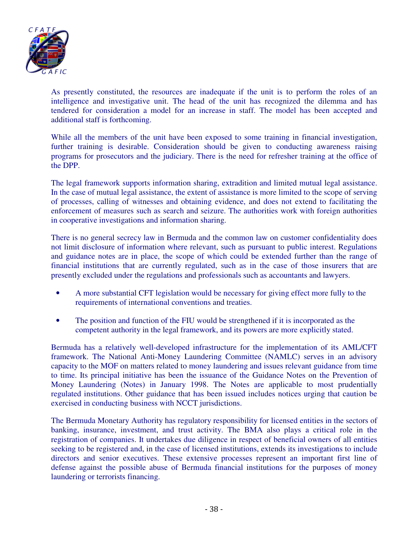

As presently constituted, the resources are inadequate if the unit is to perform the roles of an intelligence and investigative unit. The head of the unit has recognized the dilemma and has tendered for consideration a model for an increase in staff. The model has been accepted and additional staff is forthcoming.

While all the members of the unit have been exposed to some training in financial investigation, further training is desirable. Consideration should be given to conducting awareness raising programs for prosecutors and the judiciary. There is the need for refresher training at the office of the DPP.

The legal framework supports information sharing, extradition and limited mutual legal assistance. In the case of mutual legal assistance, the extent of assistance is more limited to the scope of serving of processes, calling of witnesses and obtaining evidence, and does not extend to facilitating the enforcement of measures such as search and seizure. The authorities work with foreign authorities in cooperative investigations and information sharing.

There is no general secrecy law in Bermuda and the common law on customer confidentiality does not limit disclosure of information where relevant, such as pursuant to public interest. Regulations and guidance notes are in place, the scope of which could be extended further than the range of financial institutions that are currently regulated, such as in the case of those insurers that are presently excluded under the regulations and professionals such as accountants and lawyers.

- A more substantial CFT legislation would be necessary for giving effect more fully to the requirements of international conventions and treaties.
- The position and function of the FIU would be strengthened if it is incorporated as the competent authority in the legal framework, and its powers are more explicitly stated.

Bermuda has a relatively well-developed infrastructure for the implementation of its AML/CFT framework. The National Anti-Money Laundering Committee (NAMLC) serves in an advisory capacity to the MOF on matters related to money laundering and issues relevant guidance from time to time. Its principal initiative has been the issuance of the Guidance Notes on the Prevention of Money Laundering (Notes) in January 1998. The Notes are applicable to most prudentially regulated institutions. Other guidance that has been issued includes notices urging that caution be exercised in conducting business with NCCT jurisdictions.

The Bermuda Monetary Authority has regulatory responsibility for licensed entities in the sectors of banking, insurance, investment, and trust activity. The BMA also plays a critical role in the registration of companies. It undertakes due diligence in respect of beneficial owners of all entities seeking to be registered and, in the case of licensed institutions, extends its investigations to include directors and senior executives. These extensive processes represent an important first line of defense against the possible abuse of Bermuda financial institutions for the purposes of money laundering or terrorists financing.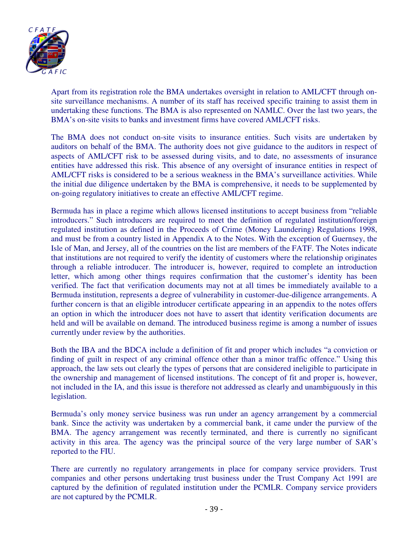

Apart from its registration role the BMA undertakes oversight in relation to AML/CFT through onsite surveillance mechanisms. A number of its staff has received specific training to assist them in undertaking these functions. The BMA is also represented on NAMLC. Over the last two years, the BMA's on-site visits to banks and investment firms have covered AML/CFT risks.

The BMA does not conduct on-site visits to insurance entities. Such visits are undertaken by auditors on behalf of the BMA. The authority does not give guidance to the auditors in respect of aspects of AML/CFT risk to be assessed during visits, and to date, no assessments of insurance entities have addressed this risk. This absence of any oversight of insurance entities in respect of AML/CFT risks is considered to be a serious weakness in the BMA's surveillance activities. While the initial due diligence undertaken by the BMA is comprehensive, it needs to be supplemented by on-going regulatory initiatives to create an effective AML/CFT regime.

Bermuda has in place a regime which allows licensed institutions to accept business from "reliable introducers." Such introducers are required to meet the definition of regulated institution/foreign regulated institution as defined in the Proceeds of Crime (Money Laundering) Regulations 1998, and must be from a country listed in Appendix A to the Notes. With the exception of Guernsey, the Isle of Man, and Jersey, all of the countries on the list are members of the FATF. The Notes indicate that institutions are not required to verify the identity of customers where the relationship originates through a reliable introducer. The introducer is, however, required to complete an introduction letter, which among other things requires confirmation that the customer's identity has been verified. The fact that verification documents may not at all times be immediately available to a Bermuda institution, represents a degree of vulnerability in customer-due-diligence arrangements. A further concern is that an eligible introducer certificate appearing in an appendix to the notes offers an option in which the introducer does not have to assert that identity verification documents are held and will be available on demand. The introduced business regime is among a number of issues currently under review by the authorities.

Both the IBA and the BDCA include a definition of fit and proper which includes "a conviction or finding of guilt in respect of any criminal offence other than a minor traffic offence." Using this approach, the law sets out clearly the types of persons that are considered ineligible to participate in the ownership and management of licensed institutions. The concept of fit and proper is, however, not included in the IA, and this issue is therefore not addressed as clearly and unambiguously in this legislation.

Bermuda's only money service business was run under an agency arrangement by a commercial bank. Since the activity was undertaken by a commercial bank, it came under the purview of the BMA. The agency arrangement was recently terminated, and there is currently no significant activity in this area. The agency was the principal source of the very large number of SAR's reported to the FIU.

There are currently no regulatory arrangements in place for company service providers. Trust companies and other persons undertaking trust business under the Trust Company Act 1991 are captured by the definition of regulated institution under the PCMLR. Company service providers are not captured by the PCMLR.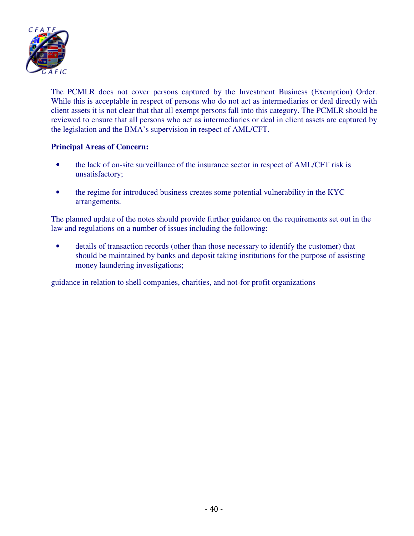

The PCMLR does not cover persons captured by the Investment Business (Exemption) Order. While this is acceptable in respect of persons who do not act as intermediaries or deal directly with client assets it is not clear that that all exempt persons fall into this category. The PCMLR should be reviewed to ensure that all persons who act as intermediaries or deal in client assets are captured by the legislation and the BMA's supervision in respect of AML/CFT.

## **Principal Areas of Concern:**

- the lack of on-site surveillance of the insurance sector in respect of AML/CFT risk is unsatisfactory;
- the regime for introduced business creates some potential vulnerability in the KYC arrangements.

The planned update of the notes should provide further guidance on the requirements set out in the law and regulations on a number of issues including the following:

• details of transaction records (other than those necessary to identify the customer) that should be maintained by banks and deposit taking institutions for the purpose of assisting money laundering investigations;

guidance in relation to shell companies, charities, and not-for profit organizations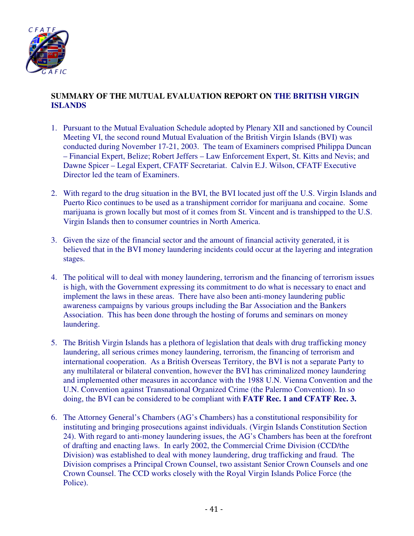

## **SUMMARY OF THE MUTUAL EVALUATION REPORT ON THE BRITISH VIRGIN ISLANDS**

- 1. Pursuant to the Mutual Evaluation Schedule adopted by Plenary XII and sanctioned by Council Meeting VI, the second round Mutual Evaluation of the British Virgin Islands (BVI) was conducted during November 17-21, 2003. The team of Examiners comprised Philippa Duncan – Financial Expert, Belize; Robert Jeffers – Law Enforcement Expert, St. Kitts and Nevis; and Dawne Spicer – Legal Expert, CFATF Secretariat. Calvin E.J. Wilson, CFATF Executive Director led the team of Examiners.
- 2. With regard to the drug situation in the BVI, the BVI located just off the U.S. Virgin Islands and Puerto Rico continues to be used as a transhipment corridor for marijuana and cocaine. Some marijuana is grown locally but most of it comes from St. Vincent and is transhipped to the U.S. Virgin Islands then to consumer countries in North America.
- 3. Given the size of the financial sector and the amount of financial activity generated, it is believed that in the BVI money laundering incidents could occur at the layering and integration stages.
- 4. The political will to deal with money laundering, terrorism and the financing of terrorism issues is high, with the Government expressing its commitment to do what is necessary to enact and implement the laws in these areas. There have also been anti-money laundering public awareness campaigns by various groups including the Bar Association and the Bankers Association. This has been done through the hosting of forums and seminars on money laundering.
- 5. The British Virgin Islands has a plethora of legislation that deals with drug trafficking money laundering, all serious crimes money laundering, terrorism, the financing of terrorism and international cooperation. As a British Overseas Territory, the BVI is not a separate Party to any multilateral or bilateral convention, however the BVI has criminalized money laundering and implemented other measures in accordance with the 1988 U.N. Vienna Convention and the U.N. Convention against Transnational Organized Crime (the Palermo Convention). In so doing, the BVI can be considered to be compliant with **FATF Rec. 1 and CFATF Rec. 3.**
- 6. The Attorney General's Chambers (AG's Chambers) has a constitutional responsibility for instituting and bringing prosecutions against individuals. (Virgin Islands Constitution Section 24). With regard to anti-money laundering issues, the AG's Chambers has been at the forefront of drafting and enacting laws. In early 2002, the Commercial Crime Division (CCD/the Division) was established to deal with money laundering, drug trafficking and fraud. The Division comprises a Principal Crown Counsel, two assistant Senior Crown Counsels and one Crown Counsel. The CCD works closely with the Royal Virgin Islands Police Force (the Police).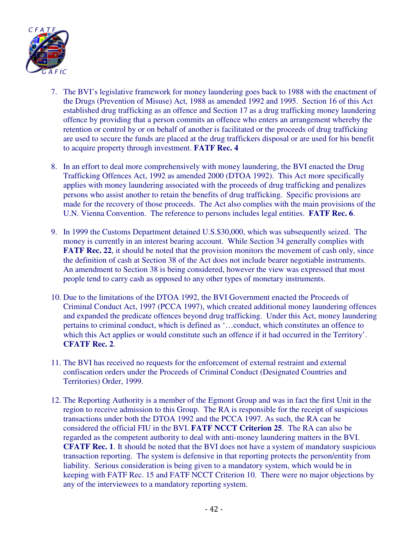

- 7. The BVI's legislative framework for money laundering goes back to 1988 with the enactment of the Drugs (Prevention of Misuse) Act, 1988 as amended 1992 and 1995. Section 16 of this Act established drug trafficking as an offence and Section 17 as a drug trafficking money laundering offence by providing that a person commits an offence who enters an arrangement whereby the retention or control by or on behalf of another is facilitated or the proceeds of drug trafficking are used to secure the funds are placed at the drug traffickers disposal or are used for his benefit to acquire property through investment. **FATF Rec. 4**
- 8. In an effort to deal more comprehensively with money laundering, the BVI enacted the Drug Trafficking Offences Act, 1992 as amended 2000 (DTOA 1992). This Act more specifically applies with money laundering associated with the proceeds of drug trafficking and penalizes persons who assist another to retain the benefits of drug trafficking. Specific provisions are made for the recovery of those proceeds. The Act also complies with the main provisions of the U.N. Vienna Convention. The reference to persons includes legal entities. **FATF Rec. 6**.
- 9. In 1999 the Customs Department detained U.S.\$30,000, which was subsequently seized. The money is currently in an interest bearing account. While Section 34 generally complies with **FATF Rec. 22**, it should be noted that the provision monitors the movement of cash only, since the definition of cash at Section 38 of the Act does not include bearer negotiable instruments. An amendment to Section 38 is being considered, however the view was expressed that most people tend to carry cash as opposed to any other types of monetary instruments.
- 10. Due to the limitations of the DTOA 1992, the BVI Government enacted the Proceeds of Criminal Conduct Act, 1997 (PCCA 1997), which created additional money laundering offences and expanded the predicate offences beyond drug trafficking. Under this Act, money laundering pertains to criminal conduct, which is defined as '…conduct, which constitutes an offence to which this Act applies or would constitute such an offence if it had occurred in the Territory'. **CFATF Rec. 2**.
- 11. The BVI has received no requests for the enforcement of external restraint and external confiscation orders under the Proceeds of Criminal Conduct (Designated Countries and Territories) Order, 1999.
- 12. The Reporting Authority is a member of the Egmont Group and was in fact the first Unit in the region to receive admission to this Group. The RA is responsible for the receipt of suspicious transactions under both the DTOA 1992 and the PCCA 1997. As such, the RA can be considered the official FIU in the BVI. **FATF NCCT Criterion 25**. The RA can also be regarded as the competent authority to deal with anti-money laundering matters in the BVI. **CFATF Rec. 1**. It should be noted that the BVI does not have a system of mandatory suspicious transaction reporting. The system is defensive in that reporting protects the person/entity from liability. Serious consideration is being given to a mandatory system, which would be in keeping with FATF Rec. 15 and FATF NCCT Criterion 10. There were no major objections by any of the interviewees to a mandatory reporting system.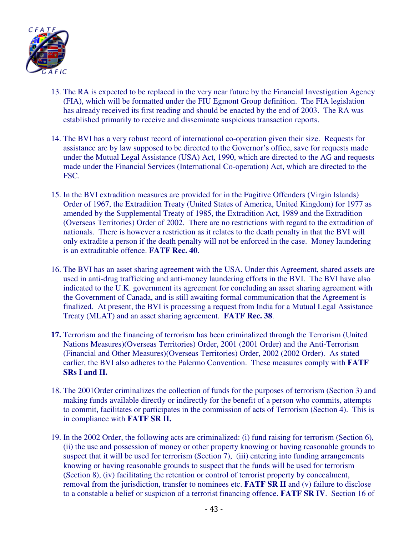

- 13. The RA is expected to be replaced in the very near future by the Financial Investigation Agency (FIA), which will be formatted under the FIU Egmont Group definition. The FIA legislation has already received its first reading and should be enacted by the end of 2003. The RA was established primarily to receive and disseminate suspicious transaction reports.
- 14. The BVI has a very robust record of international co-operation given their size. Requests for assistance are by law supposed to be directed to the Governor's office, save for requests made under the Mutual Legal Assistance (USA) Act, 1990, which are directed to the AG and requests made under the Financial Services (International Co-operation) Act, which are directed to the FSC.
- 15. In the BVI extradition measures are provided for in the Fugitive Offenders (Virgin Islands) Order of 1967, the Extradition Treaty (United States of America, United Kingdom) for 1977 as amended by the Supplemental Treaty of 1985, the Extradition Act, 1989 and the Extradition (Overseas Territories) Order of 2002. There are no restrictions with regard to the extradition of nationals. There is however a restriction as it relates to the death penalty in that the BVI will only extradite a person if the death penalty will not be enforced in the case. Money laundering is an extraditable offence. **FATF Rec. 40**.
- 16. The BVI has an asset sharing agreement with the USA. Under this Agreement, shared assets are used in anti-drug trafficking and anti-money laundering efforts in the BVI. The BVI have also indicated to the U.K. government its agreement for concluding an asset sharing agreement with the Government of Canada, and is still awaiting formal communication that the Agreement is finalized. At present, the BVI is processing a request from India for a Mutual Legal Assistance Treaty (MLAT) and an asset sharing agreement. **FATF Rec. 38**.
- **17.** Terrorism and the financing of terrorism has been criminalized through the Terrorism (United Nations Measures)(Overseas Territories) Order, 2001 (2001 Order) and the Anti-Terrorism (Financial and Other Measures)(Overseas Territories) Order, 2002 (2002 Order). As stated earlier, the BVI also adheres to the Palermo Convention. These measures comply with **FATF SRs I and II.**
- 18. The 2001Order criminalizes the collection of funds for the purposes of terrorism (Section 3) and making funds available directly or indirectly for the benefit of a person who commits, attempts to commit, facilitates or participates in the commission of acts of Terrorism (Section 4). This is in compliance with **FATF SR II.**
- 19. In the 2002 Order, the following acts are criminalized: (i) fund raising for terrorism (Section 6), (ii) the use and possession of money or other property knowing or having reasonable grounds to suspect that it will be used for terrorism (Section 7), (iii) entering into funding arrangements knowing or having reasonable grounds to suspect that the funds will be used for terrorism (Section 8), (iv) facilitating the retention or control of terrorist property by concealment, removal from the jurisdiction, transfer to nominees etc. **FATF SR II** and (v) failure to disclose to a constable a belief or suspicion of a terrorist financing offence. **FATF SR IV**. Section 16 of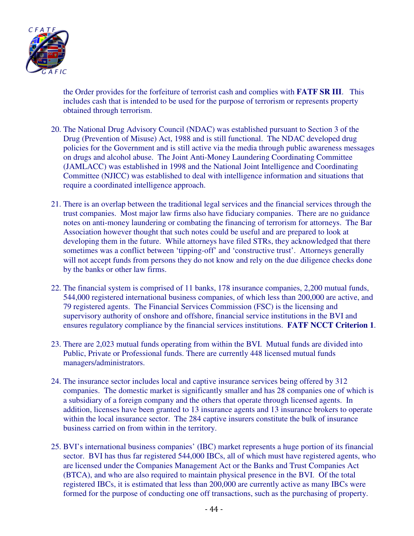

the Order provides for the forfeiture of terrorist cash and complies with **FATF SR III**. This includes cash that is intended to be used for the purpose of terrorism or represents property obtained through terrorism.

- 20. The National Drug Advisory Council (NDAC) was established pursuant to Section 3 of the Drug (Prevention of Misuse) Act, 1988 and is still functional. The NDAC developed drug policies for the Government and is still active via the media through public awareness messages on drugs and alcohol abuse. The Joint Anti-Money Laundering Coordinating Committee (JAMLACC) was established in 1998 and the National Joint Intelligence and Coordinating Committee (NJICC) was established to deal with intelligence information and situations that require a coordinated intelligence approach.
- 21. There is an overlap between the traditional legal services and the financial services through the trust companies. Most major law firms also have fiduciary companies. There are no guidance notes on anti-money laundering or combating the financing of terrorism for attorneys. The Bar Association however thought that such notes could be useful and are prepared to look at developing them in the future. While attorneys have filed STRs, they acknowledged that there sometimes was a conflict between 'tipping-off' and 'constructive trust'. Attorneys generally will not accept funds from persons they do not know and rely on the due diligence checks done by the banks or other law firms.
- 22. The financial system is comprised of 11 banks, 178 insurance companies, 2,200 mutual funds, 544,000 registered international business companies, of which less than 200,000 are active, and 79 registered agents. The Financial Services Commission (FSC) is the licensing and supervisory authority of onshore and offshore, financial service institutions in the BVI and ensures regulatory compliance by the financial services institutions. **FATF NCCT Criterion 1**.
- 23. There are 2,023 mutual funds operating from within the BVI. Mutual funds are divided into Public, Private or Professional funds. There are currently 448 licensed mutual funds managers/administrators.
- 24. The insurance sector includes local and captive insurance services being offered by 312 companies. The domestic market is significantly smaller and has 28 companies one of which is a subsidiary of a foreign company and the others that operate through licensed agents. In addition, licenses have been granted to 13 insurance agents and 13 insurance brokers to operate within the local insurance sector. The 284 captive insurers constitute the bulk of insurance business carried on from within in the territory.
- 25. BVI's international business companies' (IBC) market represents a huge portion of its financial sector. BVI has thus far registered 544,000 IBCs, all of which must have registered agents, who are licensed under the Companies Management Act or the Banks and Trust Companies Act (BTCA), and who are also required to maintain physical presence in the BVI. Of the total registered IBCs, it is estimated that less than 200,000 are currently active as many IBCs were formed for the purpose of conducting one off transactions, such as the purchasing of property.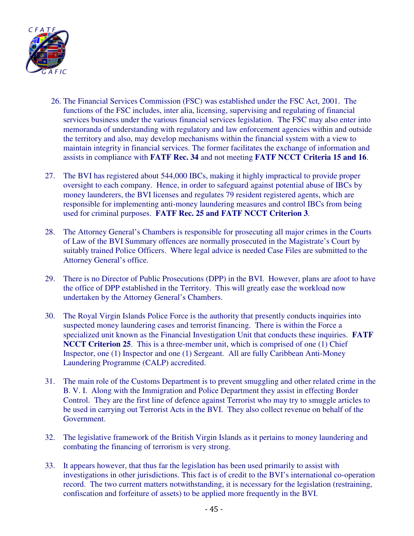

- 26. The Financial Services Commission (FSC) was established under the FSC Act, 2001. The functions of the FSC includes, inter alia, licensing, supervising and regulating of financial services business under the various financial services legislation. The FSC may also enter into memoranda of understanding with regulatory and law enforcement agencies within and outside the territory and also, may develop mechanisms within the financial system with a view to maintain integrity in financial services. The former facilitates the exchange of information and assists in compliance with **FATF Rec. 34** and not meeting **FATF NCCT Criteria 15 and 16**.
- 27. The BVI has registered about 544,000 IBCs, making it highly impractical to provide proper oversight to each company. Hence, in order to safeguard against potential abuse of IBCs by money launderers, the BVI licenses and regulates 79 resident registered agents, which are responsible for implementing anti-money laundering measures and control IBCs from being used for criminal purposes. **FATF Rec. 25 and FATF NCCT Criterion 3**.
- 28. The Attorney General's Chambers is responsible for prosecuting all major crimes in the Courts of Law of the BVI Summary offences are normally prosecuted in the Magistrate's Court by suitably trained Police Officers. Where legal advice is needed Case Files are submitted to the Attorney General's office.
- 29. There is no Director of Public Prosecutions (DPP) in the BVI. However, plans are afoot to have the office of DPP established in the Territory. This will greatly ease the workload now undertaken by the Attorney General's Chambers.
- 30. The Royal Virgin Islands Police Force is the authority that presently conducts inquiries into suspected money laundering cases and terrorist financing. There is within the Force a specialized unit known as the Financial Investigation Unit that conducts these inquiries. **FATF NCCT Criterion 25.** This is a three-member unit, which is comprised of one (1) Chief Inspector, one (1) Inspector and one (1) Sergeant. All are fully Caribbean Anti-Money Laundering Programme (CALP) accredited.
- 31. The main role of the Customs Department is to prevent smuggling and other related crime in the B. V. I. Along with the Immigration and Police Department they assist in effecting Border Control. They are the first line of defence against Terrorist who may try to smuggle articles to be used in carrying out Terrorist Acts in the BVI. They also collect revenue on behalf of the Government.
- 32. The legislative framework of the British Virgin Islands as it pertains to money laundering and combating the financing of terrorism is very strong.
- 33. It appears however, that thus far the legislation has been used primarily to assist with investigations in other jurisdictions. This fact is of credit to the BVI's international co-operation record. The two current matters notwithstanding, it is necessary for the legislation (restraining, confiscation and forfeiture of assets) to be applied more frequently in the BVI.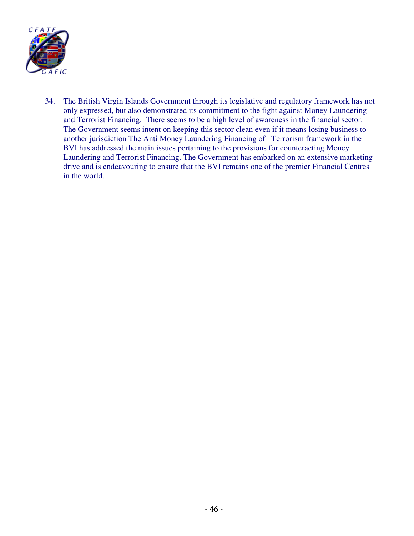

34. The British Virgin Islands Government through its legislative and regulatory framework has not only expressed, but also demonstrated its commitment to the fight against Money Laundering and Terrorist Financing. There seems to be a high level of awareness in the financial sector. The Government seems intent on keeping this sector clean even if it means losing business to another jurisdiction The Anti Money Laundering Financing of Terrorism framework in the BVI has addressed the main issues pertaining to the provisions for counteracting Money Laundering and Terrorist Financing. The Government has embarked on an extensive marketing drive and is endeavouring to ensure that the BVI remains one of the premier Financial Centres in the world.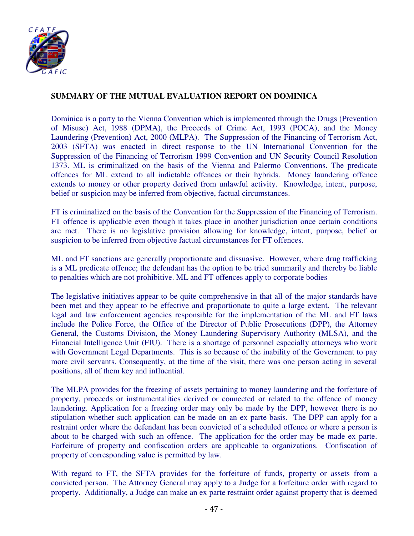

## **SUMMARY OF THE MUTUAL EVALUATION REPORT ON DOMINICA**

Dominica is a party to the Vienna Convention which is implemented through the Drugs (Prevention of Misuse) Act, 1988 (DPMA), the Proceeds of Crime Act, 1993 (POCA), and the Money Laundering (Prevention) Act, 2000 (MLPA). The Suppression of the Financing of Terrorism Act, 2003 (SFTA) was enacted in direct response to the UN International Convention for the Suppression of the Financing of Terrorism 1999 Convention and UN Security Council Resolution 1373. ML is criminalized on the basis of the Vienna and Palermo Conventions. The predicate offences for ML extend to all indictable offences or their hybrids. Money laundering offence extends to money or other property derived from unlawful activity. Knowledge, intent, purpose, belief or suspicion may be inferred from objective, factual circumstances.

FT is criminalized on the basis of the Convention for the Suppression of the Financing of Terrorism. FT offence is applicable even though it takes place in another jurisdiction once certain conditions are met. There is no legislative provision allowing for knowledge, intent, purpose, belief or suspicion to be inferred from objective factual circumstances for FT offences.

ML and FT sanctions are generally proportionate and dissuasive. However, where drug trafficking is a ML predicate offence; the defendant has the option to be tried summarily and thereby be liable to penalties which are not prohibitive. ML and FT offences apply to corporate bodies

The legislative initiatives appear to be quite comprehensive in that all of the major standards have been met and they appear to be effective and proportionate to quite a large extent. The relevant legal and law enforcement agencies responsible for the implementation of the ML and FT laws include the Police Force, the Office of the Director of Public Prosecutions (DPP), the Attorney General, the Customs Division, the Money Laundering Supervisory Authority (MLSA), and the Financial Intelligence Unit (FIU). There is a shortage of personnel especially attorneys who work with Government Legal Departments. This is so because of the inability of the Government to pay more civil servants. Consequently, at the time of the visit, there was one person acting in several positions, all of them key and influential.

The MLPA provides for the freezing of assets pertaining to money laundering and the forfeiture of property, proceeds or instrumentalities derived or connected or related to the offence of money laundering. Application for a freezing order may only be made by the DPP, however there is no stipulation whether such application can be made on an ex parte basis. The DPP can apply for a restraint order where the defendant has been convicted of a scheduled offence or where a person is about to be charged with such an offence. The application for the order may be made ex parte. Forfeiture of property and confiscation orders are applicable to organizations. Confiscation of property of corresponding value is permitted by law.

With regard to FT, the SFTA provides for the forfeiture of funds, property or assets from a convicted person. The Attorney General may apply to a Judge for a forfeiture order with regard to property. Additionally, a Judge can make an ex parte restraint order against property that is deemed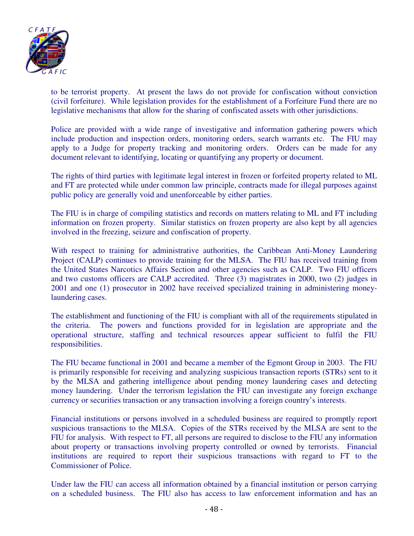

to be terrorist property. At present the laws do not provide for confiscation without conviction (civil forfeiture). While legislation provides for the establishment of a Forfeiture Fund there are no legislative mechanisms that allow for the sharing of confiscated assets with other jurisdictions.

Police are provided with a wide range of investigative and information gathering powers which include production and inspection orders, monitoring orders, search warrants etc. The FIU may apply to a Judge for property tracking and monitoring orders. Orders can be made for any document relevant to identifying, locating or quantifying any property or document.

The rights of third parties with legitimate legal interest in frozen or forfeited property related to ML and FT are protected while under common law principle, contracts made for illegal purposes against public policy are generally void and unenforceable by either parties.

The FIU is in charge of compiling statistics and records on matters relating to ML and FT including information on frozen property. Similar statistics on frozen property are also kept by all agencies involved in the freezing, seizure and confiscation of property.

With respect to training for administrative authorities, the Caribbean Anti-Money Laundering Project (CALP) continues to provide training for the MLSA. The FIU has received training from the United States Narcotics Affairs Section and other agencies such as CALP. Two FIU officers and two customs officers are CALP accredited. Three (3) magistrates in 2000, two (2) judges in 2001 and one (1) prosecutor in 2002 have received specialized training in administering moneylaundering cases.

The establishment and functioning of the FIU is compliant with all of the requirements stipulated in the criteria. The powers and functions provided for in legislation are appropriate and the operational structure, staffing and technical resources appear sufficient to fulfil the FIU responsibilities.

The FIU became functional in 2001 and became a member of the Egmont Group in 2003. The FIU is primarily responsible for receiving and analyzing suspicious transaction reports (STRs) sent to it by the MLSA and gathering intelligence about pending money laundering cases and detecting money laundering. Under the terrorism legislation the FIU can investigate any foreign exchange currency or securities transaction or any transaction involving a foreign country's interests.

Financial institutions or persons involved in a scheduled business are required to promptly report suspicious transactions to the MLSA. Copies of the STRs received by the MLSA are sent to the FIU for analysis. With respect to FT, all persons are required to disclose to the FIU any information about property or transactions involving property controlled or owned by terrorists. Financial institutions are required to report their suspicious transactions with regard to FT to the Commissioner of Police.

Under law the FIU can access all information obtained by a financial institution or person carrying on a scheduled business. The FIU also has access to law enforcement information and has an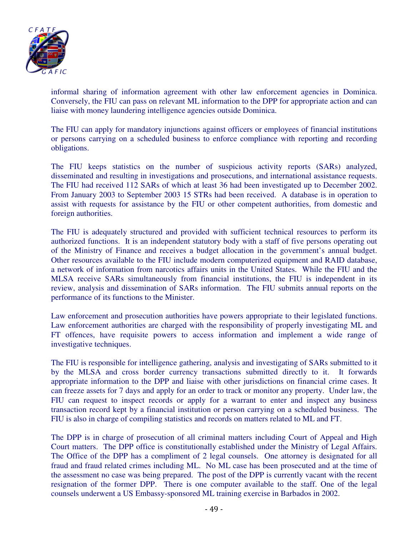

informal sharing of information agreement with other law enforcement agencies in Dominica. Conversely, the FIU can pass on relevant ML information to the DPP for appropriate action and can liaise with money laundering intelligence agencies outside Dominica.

The FIU can apply for mandatory injunctions against officers or employees of financial institutions or persons carrying on a scheduled business to enforce compliance with reporting and recording obligations.

The FIU keeps statistics on the number of suspicious activity reports (SARs) analyzed, disseminated and resulting in investigations and prosecutions, and international assistance requests. The FIU had received 112 SARs of which at least 36 had been investigated up to December 2002. From January 2003 to September 2003 15 STRs had been received. A database is in operation to assist with requests for assistance by the FIU or other competent authorities, from domestic and foreign authorities.

The FIU is adequately structured and provided with sufficient technical resources to perform its authorized functions. It is an independent statutory body with a staff of five persons operating out of the Ministry of Finance and receives a budget allocation in the government's annual budget. Other resources available to the FIU include modern computerized equipment and RAID database, a network of information from narcotics affairs units in the United States. While the FIU and the MLSA receive SARs simultaneously from financial institutions, the FIU is independent in its review, analysis and dissemination of SARs information. The FIU submits annual reports on the performance of its functions to the Minister.

Law enforcement and prosecution authorities have powers appropriate to their legislated functions. Law enforcement authorities are charged with the responsibility of properly investigating ML and FT offences, have requisite powers to access information and implement a wide range of investigative techniques.

The FIU is responsible for intelligence gathering, analysis and investigating of SARs submitted to it by the MLSA and cross border currency transactions submitted directly to it. It forwards appropriate information to the DPP and liaise with other jurisdictions on financial crime cases. It can freeze assets for 7 days and apply for an order to track or monitor any property. Under law, the FIU can request to inspect records or apply for a warrant to enter and inspect any business transaction record kept by a financial institution or person carrying on a scheduled business. The FIU is also in charge of compiling statistics and records on matters related to ML and FT.

The DPP is in charge of prosecution of all criminal matters including Court of Appeal and High Court matters. The DPP office is constitutionally established under the Ministry of Legal Affairs. The Office of the DPP has a compliment of 2 legal counsels. One attorney is designated for all fraud and fraud related crimes including ML. No ML case has been prosecuted and at the time of the assessment no case was being prepared. The post of the DPP is currently vacant with the recent resignation of the former DPP. There is one computer available to the staff. One of the legal counsels underwent a US Embassy-sponsored ML training exercise in Barbados in 2002.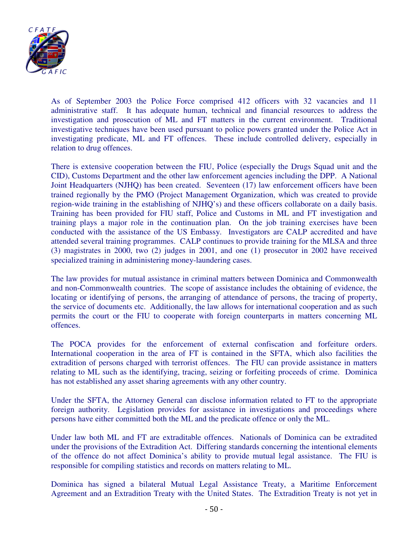

As of September 2003 the Police Force comprised 412 officers with 32 vacancies and 11 administrative staff. It has adequate human, technical and financial resources to address the investigation and prosecution of ML and FT matters in the current environment. Traditional investigative techniques have been used pursuant to police powers granted under the Police Act in investigating predicate, ML and FT offences. These include controlled delivery, especially in relation to drug offences.

There is extensive cooperation between the FIU, Police (especially the Drugs Squad unit and the CID), Customs Department and the other law enforcement agencies including the DPP. A National Joint Headquarters (NJHQ) has been created. Seventeen (17) law enforcement officers have been trained regionally by the PMO (Project Management Organization, which was created to provide region-wide training in the establishing of NJHQ's) and these officers collaborate on a daily basis. Training has been provided for FIU staff, Police and Customs in ML and FT investigation and training plays a major role in the continuation plan. On the job training exercises have been conducted with the assistance of the US Embassy. Investigators are CALP accredited and have attended several training programmes. CALP continues to provide training for the MLSA and three (3) magistrates in 2000, two (2) judges in 2001, and one (1) prosecutor in 2002 have received specialized training in administering money-laundering cases.

The law provides for mutual assistance in criminal matters between Dominica and Commonwealth and non-Commonwealth countries. The scope of assistance includes the obtaining of evidence, the locating or identifying of persons, the arranging of attendance of persons, the tracing of property, the service of documents etc. Additionally, the law allows for international cooperation and as such permits the court or the FIU to cooperate with foreign counterparts in matters concerning ML offences.

The POCA provides for the enforcement of external confiscation and forfeiture orders. International cooperation in the area of FT is contained in the SFTA, which also facilities the extradition of persons charged with terrorist offences. The FIU can provide assistance in matters relating to ML such as the identifying, tracing, seizing or forfeiting proceeds of crime. Dominica has not established any asset sharing agreements with any other country.

Under the SFTA, the Attorney General can disclose information related to FT to the appropriate foreign authority. Legislation provides for assistance in investigations and proceedings where persons have either committed both the ML and the predicate offence or only the ML.

Under law both ML and FT are extraditable offences. Nationals of Dominica can be extradited under the provisions of the Extradition Act. Differing standards concerning the intentional elements of the offence do not affect Dominica's ability to provide mutual legal assistance. The FIU is responsible for compiling statistics and records on matters relating to ML.

Dominica has signed a bilateral Mutual Legal Assistance Treaty, a Maritime Enforcement Agreement and an Extradition Treaty with the United States. The Extradition Treaty is not yet in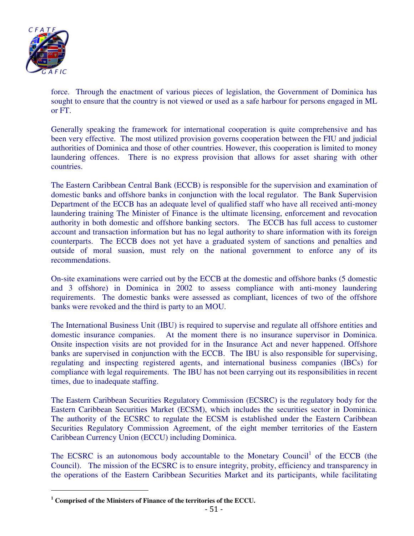

force. Through the enactment of various pieces of legislation, the Government of Dominica has sought to ensure that the country is not viewed or used as a safe harbour for persons engaged in ML or FT.

Generally speaking the framework for international cooperation is quite comprehensive and has been very effective. The most utilized provision governs cooperation between the FIU and judicial authorities of Dominica and those of other countries. However, this cooperation is limited to money laundering offences. There is no express provision that allows for asset sharing with other countries.

The Eastern Caribbean Central Bank (ECCB) is responsible for the supervision and examination of domestic banks and offshore banks in conjunction with the local regulator. The Bank Supervision Department of the ECCB has an adequate level of qualified staff who have all received anti-money laundering training The Minister of Finance is the ultimate licensing, enforcement and revocation authority in both domestic and offshore banking sectors. The ECCB has full access to customer account and transaction information but has no legal authority to share information with its foreign counterparts. The ECCB does not yet have a graduated system of sanctions and penalties and outside of moral suasion, must rely on the national government to enforce any of its recommendations.

On-site examinations were carried out by the ECCB at the domestic and offshore banks (5 domestic and 3 offshore) in Dominica in 2002 to assess compliance with anti-money laundering requirements. The domestic banks were assessed as compliant, licences of two of the offshore banks were revoked and the third is party to an MOU.

The International Business Unit (IBU) is required to supervise and regulate all offshore entities and domestic insurance companies. At the moment there is no insurance supervisor in Dominica. Onsite inspection visits are not provided for in the Insurance Act and never happened. Offshore banks are supervised in conjunction with the ECCB. The IBU is also responsible for supervising, regulating and inspecting registered agents, and international business companies (IBCs) for compliance with legal requirements. The IBU has not been carrying out its responsibilities in recent times, due to inadequate staffing.

The Eastern Caribbean Securities Regulatory Commission (ECSRC) is the regulatory body for the Eastern Caribbean Securities Market (ECSM), which includes the securities sector in Dominica. The authority of the ECSRC to regulate the ECSM is established under the Eastern Caribbean Securities Regulatory Commission Agreement, of the eight member territories of the Eastern Caribbean Currency Union (ECCU) including Dominica.

The ECSRC is an autonomous body accountable to the Monetary Council<sup>1</sup> of the ECCB (the Council). The mission of the ECSRC is to ensure integrity, probity, efficiency and transparency in the operations of the Eastern Caribbean Securities Market and its participants, while facilitating

 **1 Comprised of the Ministers of Finance of the territories of the ECCU.**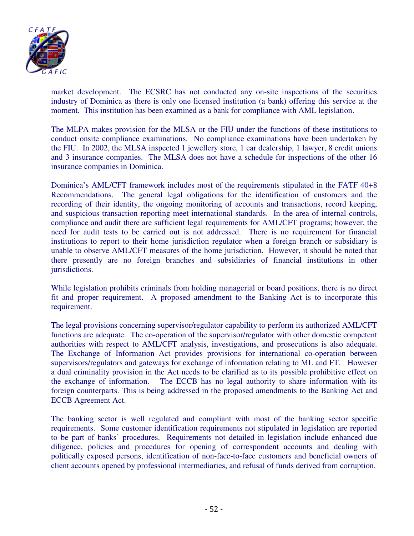

market development. The ECSRC has not conducted any on-site inspections of the securities industry of Dominica as there is only one licensed institution (a bank) offering this service at the moment. This institution has been examined as a bank for compliance with AML legislation.

The MLPA makes provision for the MLSA or the FIU under the functions of these institutions to conduct onsite compliance examinations. No compliance examinations have been undertaken by the FIU. In 2002, the MLSA inspected 1 jewellery store, 1 car dealership, 1 lawyer, 8 credit unions and 3 insurance companies. The MLSA does not have a schedule for inspections of the other 16 insurance companies in Dominica.

Dominica's AML/CFT framework includes most of the requirements stipulated in the FATF 40+8 Recommendations. The general legal obligations for the identification of customers and the recording of their identity, the ongoing monitoring of accounts and transactions, record keeping, and suspicious transaction reporting meet international standards. In the area of internal controls, compliance and audit there are sufficient legal requirements for AML/CFT programs; however, the need for audit tests to be carried out is not addressed. There is no requirement for financial institutions to report to their home jurisdiction regulator when a foreign branch or subsidiary is unable to observe AML/CFT measures of the home jurisdiction. However, it should be noted that there presently are no foreign branches and subsidiaries of financial institutions in other jurisdictions.

While legislation prohibits criminals from holding managerial or board positions, there is no direct fit and proper requirement. A proposed amendment to the Banking Act is to incorporate this requirement.

The legal provisions concerning supervisor/regulator capability to perform its authorized AML/CFT functions are adequate. The co-operation of the supervisor/regulator with other domestic competent authorities with respect to AML/CFT analysis, investigations, and prosecutions is also adequate. The Exchange of Information Act provides provisions for international co-operation between supervisors/regulators and gateways for exchange of information relating to ML and FT. However a dual criminality provision in the Act needs to be clarified as to its possible prohibitive effect on the exchange of information. The ECCB has no legal authority to share information with its foreign counterparts. This is being addressed in the proposed amendments to the Banking Act and ECCB Agreement Act.

The banking sector is well regulated and compliant with most of the banking sector specific requirements. Some customer identification requirements not stipulated in legislation are reported to be part of banks' procedures. Requirements not detailed in legislation include enhanced due diligence, policies and procedures for opening of correspondent accounts and dealing with politically exposed persons, identification of non-face-to-face customers and beneficial owners of client accounts opened by professional intermediaries, and refusal of funds derived from corruption.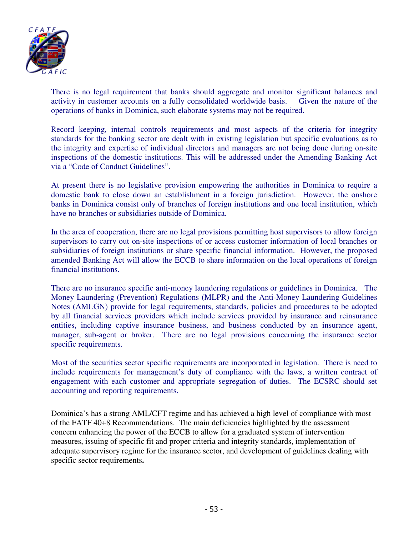

There is no legal requirement that banks should aggregate and monitor significant balances and activity in customer accounts on a fully consolidated worldwide basis. Given the nature of the operations of banks in Dominica, such elaborate systems may not be required.

Record keeping, internal controls requirements and most aspects of the criteria for integrity standards for the banking sector are dealt with in existing legislation but specific evaluations as to the integrity and expertise of individual directors and managers are not being done during on-site inspections of the domestic institutions. This will be addressed under the Amending Banking Act via a "Code of Conduct Guidelines".

At present there is no legislative provision empowering the authorities in Dominica to require a domestic bank to close down an establishment in a foreign jurisdiction. However, the onshore banks in Dominica consist only of branches of foreign institutions and one local institution, which have no branches or subsidiaries outside of Dominica.

In the area of cooperation, there are no legal provisions permitting host supervisors to allow foreign supervisors to carry out on-site inspections of or access customer information of local branches or subsidiaries of foreign institutions or share specific financial information. However, the proposed amended Banking Act will allow the ECCB to share information on the local operations of foreign financial institutions.

There are no insurance specific anti-money laundering regulations or guidelines in Dominica. The Money Laundering (Prevention) Regulations (MLPR) and the Anti-Money Laundering Guidelines Notes (AMLGN) provide for legal requirements, standards, policies and procedures to be adopted by all financial services providers which include services provided by insurance and reinsurance entities, including captive insurance business, and business conducted by an insurance agent, manager, sub-agent or broker. There are no legal provisions concerning the insurance sector specific requirements.

Most of the securities sector specific requirements are incorporated in legislation. There is need to include requirements for management's duty of compliance with the laws, a written contract of engagement with each customer and appropriate segregation of duties. The ECSRC should set accounting and reporting requirements.

Dominica's has a strong AML/CFT regime and has achieved a high level of compliance with most of the FATF 40+8 Recommendations. The main deficiencies highlighted by the assessment concern enhancing the power of the ECCB to allow for a graduated system of intervention measures, issuing of specific fit and proper criteria and integrity standards, implementation of adequate supervisory regime for the insurance sector, and development of guidelines dealing with specific sector requirements**.**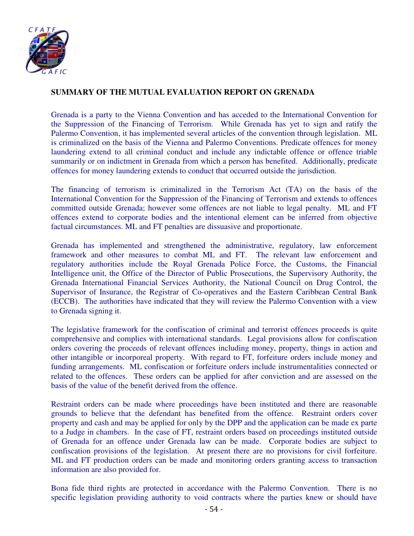

# **SUMMARY OF THE MUTUAL EVALUATION REPORT ON GRENADA**

Grenada is a party to the Vienna Convention and has acceded to the International Convention for the Suppression of the Financing of Terrorism. While Grenada has yet to sign and ratify the Palermo Convention, it has implemented several articles of the convention through legislation. ML is criminalized on the basis of the Vienna and Palermo Conventions. Predicate offences for money laundering extend to all criminal conduct and include any indictable offence or offence triable summarily or on indictment in Grenada from which a person has benefited. Additionally, predicate offences for money laundering extends to conduct that occurred outside the jurisdiction.

The financing of terrorism is criminalized in the Terrorism Act (TA) on the basis of the International Convention for the Suppression of the Financing of Terrorism and extends to offences committed outside Grenada; however some offences are not liable to legal penalty. ML and FT offences extend to corporate bodies and the intentional element can be inferred from objective factual circumstances. ML and FT penalties are dissuasive and proportionate.

Grenada has implemented and strengthened the administrative, regulatory, law enforcement framework and other measures to combat ML and FT. The relevant law enforcement and regulatory authorities include the Royal Grenada Police Force, the Customs, the Financial Intelligence unit, the Office of the Director of Public Prosecutions, the Supervisory Authority, the Grenada International Financial Services Authority, the National Council on Drug Control, the Supervisor of Insurance, the Registrar of Co-operatives and the Eastern Caribbean Central Bank (ECCB). The authorities have indicated that they will review the Palermo Convention with a view to Grenada signing it.

The legislative framework for the confiscation of criminal and terrorist offences proceeds is quite comprehensive and complies with international standards. Legal provisions allow for confiscation orders covering the proceeds of relevant offences including money, property, things in action and other intangible or incorporeal property. With regard to FT, forfeiture orders include money and funding arrangements. ML confiscation or forfeiture orders include instrumentalities connected or related to the offences. These orders can be applied for after conviction and are assessed on the basis of the value of the benefit derived from the offence.

Restraint orders can be made where proceedings have been instituted and there are reasonable grounds to believe that the defendant has benefited from the offence. Restraint orders cover property and cash and may be applied for only by the DPP and the application can be made ex parte to a Judge in chambers. In the case of FT, restraint orders based on proceedings instituted outside of Grenada for an offence under Grenada law can be made. Corporate bodies are subject to confiscation provisions of the legislation. At present there are no provisions for civil forfeiture. ML and FT production orders can be made and monitoring orders granting access to transaction information are also provided for.

Bona fide third rights are protected in accordance with the Palermo Convention. There is no specific legislation providing authority to void contracts where the parties knew or should have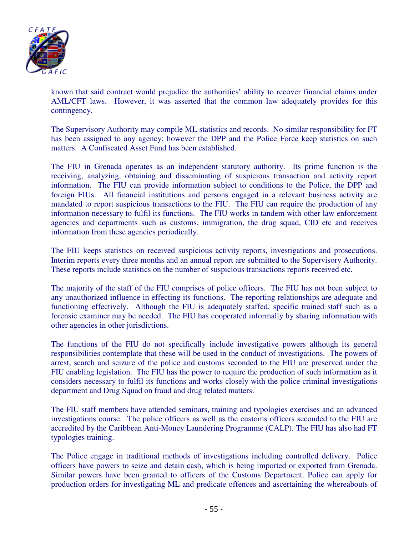

known that said contract would prejudice the authorities' ability to recover financial claims under AML/CFT laws. However, it was asserted that the common law adequately provides for this contingency.

The Supervisory Authority may compile ML statistics and records. No similar responsibility for FT has been assigned to any agency; however the DPP and the Police Force keep statistics on such matters. A Confiscated Asset Fund has been established.

The FIU in Grenada operates as an independent statutory authority. Its prime function is the receiving, analyzing, obtaining and disseminating of suspicious transaction and activity report information. The FIU can provide information subject to conditions to the Police, the DPP and foreign FIUs. All financial institutions and persons engaged in a relevant business activity are mandated to report suspicious transactions to the FIU. The FIU can require the production of any information necessary to fulfil its functions. The FIU works in tandem with other law enforcement agencies and departments such as customs, immigration, the drug squad, CID etc and receives information from these agencies periodically.

The FIU keeps statistics on received suspicious activity reports, investigations and prosecutions. Interim reports every three months and an annual report are submitted to the Supervisory Authority. These reports include statistics on the number of suspicious transactions reports received etc.

The majority of the staff of the FIU comprises of police officers. The FIU has not been subject to any unauthorized influence in effecting its functions. The reporting relationships are adequate and functioning effectively. Although the FIU is adequately staffed, specific trained staff such as a forensic examiner may be needed. The FIU has cooperated informally by sharing information with other agencies in other jurisdictions.

The functions of the FIU do not specifically include investigative powers although its general responsibilities contemplate that these will be used in the conduct of investigations. The powers of arrest, search and seizure of the police and customs seconded to the FIU are preserved under the FIU enabling legislation. The FIU has the power to require the production of such information as it considers necessary to fulfil its functions and works closely with the police criminal investigations department and Drug Squad on fraud and drug related matters.

The FIU staff members have attended seminars, training and typologies exercises and an advanced investigations course. The police officers as well as the customs officers seconded to the FIU are accredited by the Caribbean Anti-Money Laundering Programme (CALP). The FIU has also had FT typologies training.

The Police engage in traditional methods of investigations including controlled delivery. Police officers have powers to seize and detain cash, which is being imported or exported from Grenada. Similar powers have been granted to officers of the Customs Department. Police can apply for production orders for investigating ML and predicate offences and ascertaining the whereabouts of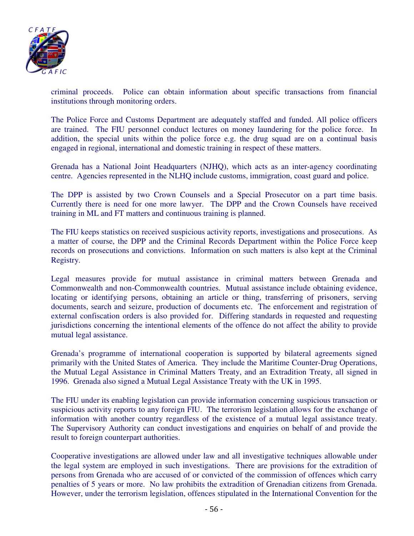

criminal proceeds. Police can obtain information about specific transactions from financial institutions through monitoring orders.

The Police Force and Customs Department are adequately staffed and funded. All police officers are trained. The FIU personnel conduct lectures on money laundering for the police force. In addition, the special units within the police force e.g. the drug squad are on a continual basis engaged in regional, international and domestic training in respect of these matters.

Grenada has a National Joint Headquarters (NJHQ), which acts as an inter-agency coordinating centre. Agencies represented in the NLHQ include customs, immigration, coast guard and police.

The DPP is assisted by two Crown Counsels and a Special Prosecutor on a part time basis. Currently there is need for one more lawyer. The DPP and the Crown Counsels have received training in ML and FT matters and continuous training is planned.

The FIU keeps statistics on received suspicious activity reports, investigations and prosecutions. As a matter of course, the DPP and the Criminal Records Department within the Police Force keep records on prosecutions and convictions. Information on such matters is also kept at the Criminal Registry.

Legal measures provide for mutual assistance in criminal matters between Grenada and Commonwealth and non-Commonwealth countries. Mutual assistance include obtaining evidence, locating or identifying persons, obtaining an article or thing, transferring of prisoners, serving documents, search and seizure, production of documents etc. The enforcement and registration of external confiscation orders is also provided for. Differing standards in requested and requesting jurisdictions concerning the intentional elements of the offence do not affect the ability to provide mutual legal assistance.

Grenada's programme of international cooperation is supported by bilateral agreements signed primarily with the United States of America. They include the Maritime Counter-Drug Operations, the Mutual Legal Assistance in Criminal Matters Treaty, and an Extradition Treaty, all signed in 1996. Grenada also signed a Mutual Legal Assistance Treaty with the UK in 1995.

The FIU under its enabling legislation can provide information concerning suspicious transaction or suspicious activity reports to any foreign FIU. The terrorism legislation allows for the exchange of information with another country regardless of the existence of a mutual legal assistance treaty. The Supervisory Authority can conduct investigations and enquiries on behalf of and provide the result to foreign counterpart authorities.

Cooperative investigations are allowed under law and all investigative techniques allowable under the legal system are employed in such investigations. There are provisions for the extradition of persons from Grenada who are accused of or convicted of the commission of offences which carry penalties of 5 years or more. No law prohibits the extradition of Grenadian citizens from Grenada. However, under the terrorism legislation, offences stipulated in the International Convention for the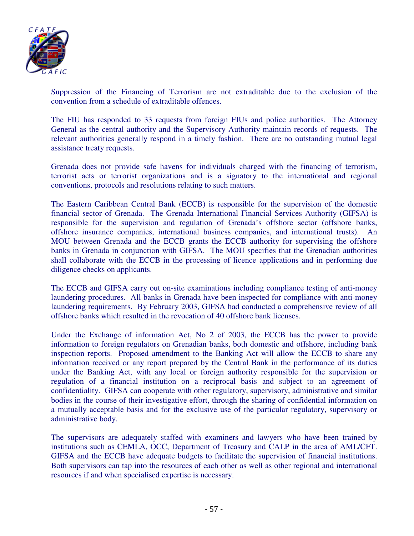

Suppression of the Financing of Terrorism are not extraditable due to the exclusion of the convention from a schedule of extraditable offences.

The FIU has responded to 33 requests from foreign FIUs and police authorities. The Attorney General as the central authority and the Supervisory Authority maintain records of requests. The relevant authorities generally respond in a timely fashion. There are no outstanding mutual legal assistance treaty requests.

Grenada does not provide safe havens for individuals charged with the financing of terrorism, terrorist acts or terrorist organizations and is a signatory to the international and regional conventions, protocols and resolutions relating to such matters.

The Eastern Caribbean Central Bank (ECCB) is responsible for the supervision of the domestic financial sector of Grenada. The Grenada International Financial Services Authority (GIFSA) is responsible for the supervision and regulation of Grenada's offshore sector (offshore banks, offshore insurance companies, international business companies, and international trusts). An MOU between Grenada and the ECCB grants the ECCB authority for supervising the offshore banks in Grenada in conjunction with GIFSA. The MOU specifies that the Grenadian authorities shall collaborate with the ECCB in the processing of licence applications and in performing due diligence checks on applicants.

The ECCB and GIFSA carry out on-site examinations including compliance testing of anti-money laundering procedures. All banks in Grenada have been inspected for compliance with anti-money laundering requirements. By February 2003, GIFSA had conducted a comprehensive review of all offshore banks which resulted in the revocation of 40 offshore bank licenses.

Under the Exchange of information Act, No 2 of 2003, the ECCB has the power to provide information to foreign regulators on Grenadian banks, both domestic and offshore, including bank inspection reports. Proposed amendment to the Banking Act will allow the ECCB to share any information received or any report prepared by the Central Bank in the performance of its duties under the Banking Act, with any local or foreign authority responsible for the supervision or regulation of a financial institution on a reciprocal basis and subject to an agreement of confidentiality. GIFSA can cooperate with other regulatory, supervisory, administrative and similar bodies in the course of their investigative effort, through the sharing of confidential information on a mutually acceptable basis and for the exclusive use of the particular regulatory, supervisory or administrative body.

The supervisors are adequately staffed with examiners and lawyers who have been trained by institutions such as CEMLA, OCC, Department of Treasury and CALP in the area of AML/CFT. GIFSA and the ECCB have adequate budgets to facilitate the supervision of financial institutions. Both supervisors can tap into the resources of each other as well as other regional and international resources if and when specialised expertise is necessary.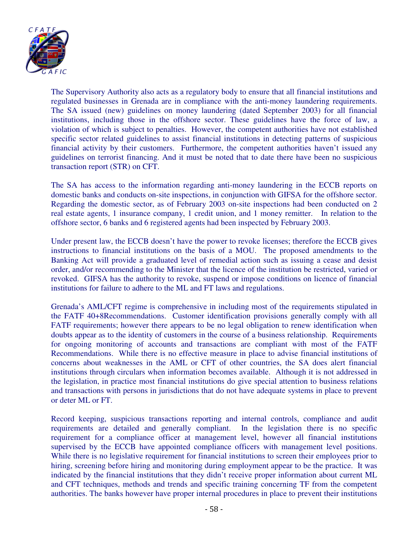

The Supervisory Authority also acts as a regulatory body to ensure that all financial institutions and regulated businesses in Grenada are in compliance with the anti-money laundering requirements. The SA issued (new) guidelines on money laundering (dated September 2003) for all financial institutions, including those in the offshore sector. These guidelines have the force of law, a violation of which is subject to penalties. However, the competent authorities have not established specific sector related guidelines to assist financial institutions in detecting patterns of suspicious financial activity by their customers. Furthermore, the competent authorities haven't issued any guidelines on terrorist financing. And it must be noted that to date there have been no suspicious transaction report (STR) on CFT.

The SA has access to the information regarding anti-money laundering in the ECCB reports on domestic banks and conducts on-site inspections, in conjunction with GIFSA for the offshore sector. Regarding the domestic sector, as of February 2003 on-site inspections had been conducted on 2 real estate agents, 1 insurance company, 1 credit union, and 1 money remitter. In relation to the offshore sector, 6 banks and 6 registered agents had been inspected by February 2003.

Under present law, the ECCB doesn't have the power to revoke licenses; therefore the ECCB gives instructions to financial institutions on the basis of a MOU. The proposed amendments to the Banking Act will provide a graduated level of remedial action such as issuing a cease and desist order, and/or recommending to the Minister that the licence of the institution be restricted, varied or revoked. GIFSA has the authority to revoke, suspend or impose conditions on licence of financial institutions for failure to adhere to the ML and FT laws and regulations.

Grenada's AML/CFT regime is comprehensive in including most of the requirements stipulated in the FATF 40+8Recommendations. Customer identification provisions generally comply with all FATF requirements; however there appears to be no legal obligation to renew identification when doubts appear as to the identity of customers in the course of a business relationship. Requirements for ongoing monitoring of accounts and transactions are compliant with most of the FATF Recommendations. While there is no effective measure in place to advise financial institutions of concerns about weaknesses in the AML or CFT of other countries, the SA does alert financial institutions through circulars when information becomes available. Although it is not addressed in the legislation, in practice most financial institutions do give special attention to business relations and transactions with persons in jurisdictions that do not have adequate systems in place to prevent or deter ML or FT.

Record keeping, suspicious transactions reporting and internal controls, compliance and audit requirements are detailed and generally compliant. In the legislation there is no specific requirement for a compliance officer at management level, however all financial institutions supervised by the ECCB have appointed compliance officers with management level positions. While there is no legislative requirement for financial institutions to screen their employees prior to hiring, screening before hiring and monitoring during employment appear to be the practice. It was indicated by the financial institutions that they didn't receive proper information about current ML and CFT techniques, methods and trends and specific training concerning TF from the competent authorities. The banks however have proper internal procedures in place to prevent their institutions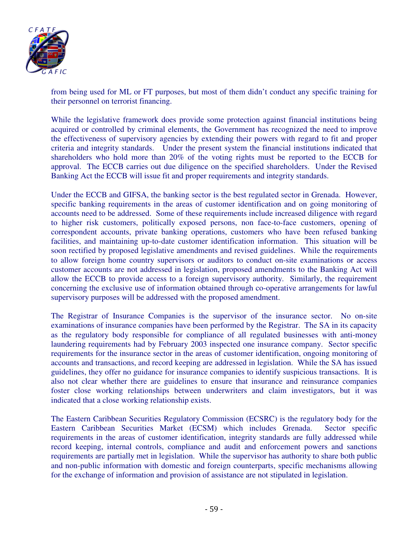

from being used for ML or FT purposes, but most of them didn't conduct any specific training for their personnel on terrorist financing.

While the legislative framework does provide some protection against financial institutions being acquired or controlled by criminal elements, the Government has recognized the need to improve the effectiveness of supervisory agencies by extending their powers with regard to fit and proper criteria and integrity standards. Under the present system the financial institutions indicated that shareholders who hold more than 20% of the voting rights must be reported to the ECCB for approval. The ECCB carries out due diligence on the specified shareholders. Under the Revised Banking Act the ECCB will issue fit and proper requirements and integrity standards.

Under the ECCB and GIFSA, the banking sector is the best regulated sector in Grenada. However, specific banking requirements in the areas of customer identification and on going monitoring of accounts need to be addressed. Some of these requirements include increased diligence with regard to higher risk customers, politically exposed persons, non face-to-face customers, opening of correspondent accounts, private banking operations, customers who have been refused banking facilities, and maintaining up-to-date customer identification information. This situation will be soon rectified by proposed legislative amendments and revised guidelines. While the requirements to allow foreign home country supervisors or auditors to conduct on-site examinations or access customer accounts are not addressed in legislation, proposed amendments to the Banking Act will allow the ECCB to provide access to a foreign supervisory authority. Similarly, the requirement concerning the exclusive use of information obtained through co-operative arrangements for lawful supervisory purposes will be addressed with the proposed amendment.

The Registrar of Insurance Companies is the supervisor of the insurance sector. No on-site examinations of insurance companies have been performed by the Registrar. The SA in its capacity as the regulatory body responsible for compliance of all regulated businesses with anti-money laundering requirements had by February 2003 inspected one insurance company. Sector specific requirements for the insurance sector in the areas of customer identification, ongoing monitoring of accounts and transactions, and record keeping are addressed in legislation. While the SA has issued guidelines, they offer no guidance for insurance companies to identify suspicious transactions. It is also not clear whether there are guidelines to ensure that insurance and reinsurance companies foster close working relationships between underwriters and claim investigators, but it was indicated that a close working relationship exists.

The Eastern Caribbean Securities Regulatory Commission (ECSRC) is the regulatory body for the Eastern Caribbean Securities Market (ECSM) which includes Grenada. Sector specific requirements in the areas of customer identification, integrity standards are fully addressed while record keeping, internal controls, compliance and audit and enforcement powers and sanctions requirements are partially met in legislation. While the supervisor has authority to share both public and non-public information with domestic and foreign counterparts, specific mechanisms allowing for the exchange of information and provision of assistance are not stipulated in legislation.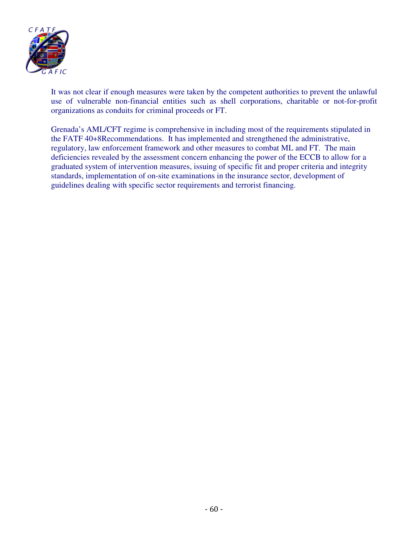

It was not clear if enough measures were taken by the competent authorities to prevent the unlawful use of vulnerable non-financial entities such as shell corporations, charitable or not-for-profit organizations as conduits for criminal proceeds or FT.

Grenada's AML/CFT regime is comprehensive in including most of the requirements stipulated in the FATF 40+8Recommendations. It has implemented and strengthened the administrative, regulatory, law enforcement framework and other measures to combat ML and FT. The main deficiencies revealed by the assessment concern enhancing the power of the ECCB to allow for a graduated system of intervention measures, issuing of specific fit and proper criteria and integrity standards, implementation of on-site examinations in the insurance sector, development of guidelines dealing with specific sector requirements and terrorist financing.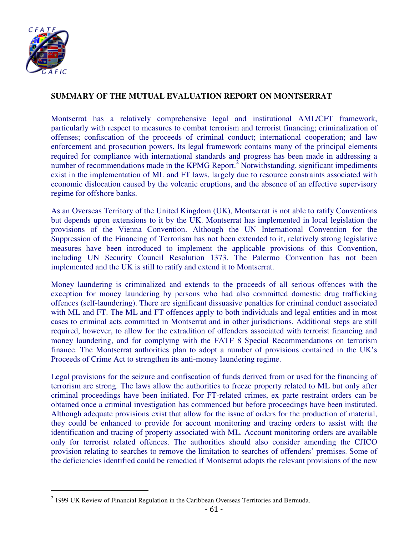

## **SUMMARY OF THE MUTUAL EVALUATION REPORT ON MONTSERRAT**

Montserrat has a relatively comprehensive legal and institutional AML/CFT framework, particularly with respect to measures to combat terrorism and terrorist financing; criminalization of offenses; confiscation of the proceeds of criminal conduct; international cooperation; and law enforcement and prosecution powers. Its legal framework contains many of the principal elements required for compliance with international standards and progress has been made in addressing a number of recommendations made in the KPMG Report.<sup>2</sup> Notwithstanding, significant impediments exist in the implementation of ML and FT laws, largely due to resource constraints associated with economic dislocation caused by the volcanic eruptions, and the absence of an effective supervisory regime for offshore banks.

As an Overseas Territory of the United Kingdom (UK), Montserrat is not able to ratify Conventions but depends upon extensions to it by the UK. Montserrat has implemented in local legislation the provisions of the Vienna Convention. Although the UN International Convention for the Suppression of the Financing of Terrorism has not been extended to it, relatively strong legislative measures have been introduced to implement the applicable provisions of this Convention, including UN Security Council Resolution 1373. The Palermo Convention has not been implemented and the UK is still to ratify and extend it to Montserrat.

Money laundering is criminalized and extends to the proceeds of all serious offences with the exception for money laundering by persons who had also committed domestic drug trafficking offences (self-laundering). There are significant dissuasive penalties for criminal conduct associated with ML and FT. The ML and FT offences apply to both individuals and legal entities and in most cases to criminal acts committed in Montserrat and in other jurisdictions. Additional steps are still required, however, to allow for the extradition of offenders associated with terrorist financing and money laundering, and for complying with the FATF 8 Special Recommendations on terrorism finance. The Montserrat authorities plan to adopt a number of provisions contained in the UK's Proceeds of Crime Act to strengthen its anti-money laundering regime.

Legal provisions for the seizure and confiscation of funds derived from or used for the financing of terrorism are strong. The laws allow the authorities to freeze property related to ML but only after criminal proceedings have been initiated. For FT-related crimes, ex parte restraint orders can be obtained once a criminal investigation has commenced but before proceedings have been instituted. Although adequate provisions exist that allow for the issue of orders for the production of material, they could be enhanced to provide for account monitoring and tracing orders to assist with the identification and tracing of property associated with ML. Account monitoring orders are available only for terrorist related offences. The authorities should also consider amending the CJICO provision relating to searches to remove the limitation to searches of offenders' premises. Some of the deficiencies identified could be remedied if Montserrat adopts the relevant provisions of the new

  $2$  1999 UK Review of Financial Regulation in the Caribbean Overseas Territories and Bermuda.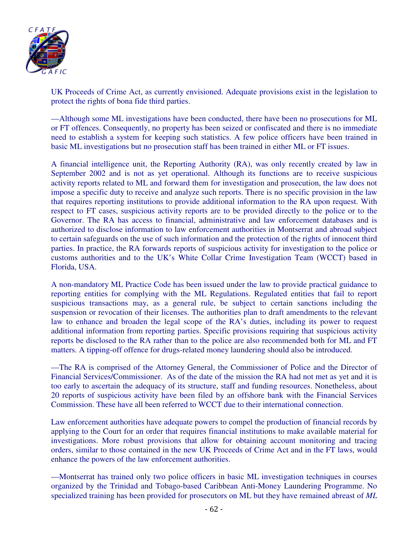

UK Proceeds of Crime Act, as currently envisioned. Adequate provisions exist in the legislation to protect the rights of bona fide third parties.

––Although some ML investigations have been conducted, there have been no prosecutions for ML or FT offences. Consequently, no property has been seized or confiscated and there is no immediate need to establish a system for keeping such statistics. A few police officers have been trained in basic ML investigations but no prosecution staff has been trained in either ML or FT issues.

A financial intelligence unit, the Reporting Authority (RA), was only recently created by law in September 2002 and is not as yet operational. Although its functions are to receive suspicious activity reports related to ML and forward them for investigation and prosecution, the law does not impose a specific duty to receive and analyze such reports. There is no specific provision in the law that requires reporting institutions to provide additional information to the RA upon request. With respect to FT cases, suspicious activity reports are to be provided directly to the police or to the Governor. The RA has access to financial, administrative and law enforcement databases and is authorized to disclose information to law enforcement authorities in Montserrat and abroad subject to certain safeguards on the use of such information and the protection of the rights of innocent third parties. In practice, the RA forwards reports of suspicious activity for investigation to the police or customs authorities and to the UK's White Collar Crime Investigation Team (WCCT) based in Florida, USA.

A non-mandatory ML Practice Code has been issued under the law to provide practical guidance to reporting entities for complying with the ML Regulations. Regulated entities that fail to report suspicious transactions may, as a general rule, be subject to certain sanctions including the suspension or revocation of their licenses. The authorities plan to draft amendments to the relevant law to enhance and broaden the legal scope of the RA's duties, including its power to request additional information from reporting parties. Specific provisions requiring that suspicious activity reports be disclosed to the RA rather than to the police are also recommended both for ML and FT matters. A tipping-off offence for drugs-related money laundering should also be introduced.

––The RA is comprised of the Attorney General, the Commissioner of Police and the Director of Financial Services/Commissioner. As of the date of the mission the RA had not met as yet and it is too early to ascertain the adequacy of its structure, staff and funding resources. Nonetheless, about 20 reports of suspicious activity have been filed by an offshore bank with the Financial Services Commission. These have all been referred to WCCT due to their international connection.

Law enforcement authorities have adequate powers to compel the production of financial records by applying to the Court for an order that requires financial institutions to make available material for investigations. More robust provisions that allow for obtaining account monitoring and tracing orders, similar to those contained in the new UK Proceeds of Crime Act and in the FT laws, would enhance the powers of the law enforcement authorities.

––Montserrat has trained only two police officers in basic ML investigation techniques in courses organized by the Trinidad and Tobago-based Caribbean Anti-Money Laundering Programme. No specialized training has been provided for prosecutors on ML but they have remained abreast of *ML*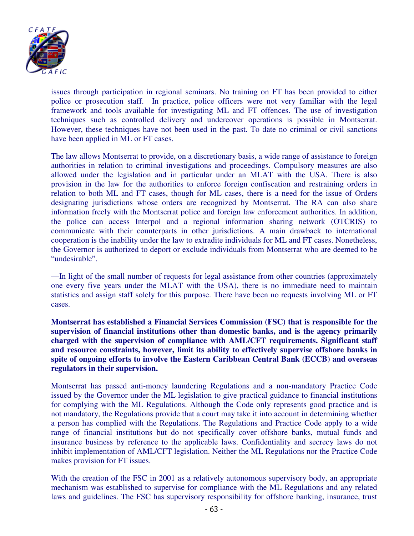

issues through participation in regional seminars. No training on FT has been provided to either police or prosecution staff. In practice, police officers were not very familiar with the legal framework and tools available for investigating ML and FT offences. The use of investigation techniques such as controlled delivery and undercover operations is possible in Montserrat. However, these techniques have not been used in the past. To date no criminal or civil sanctions have been applied in ML or FT cases.

The law allows Montserrat to provide, on a discretionary basis, a wide range of assistance to foreign authorities in relation to criminal investigations and proceedings. Compulsory measures are also allowed under the legislation and in particular under an MLAT with the USA. There is also provision in the law for the authorities to enforce foreign confiscation and restraining orders in relation to both ML and FT cases, though for ML cases, there is a need for the issue of Orders designating jurisdictions whose orders are recognized by Montserrat. The RA can also share information freely with the Montserrat police and foreign law enforcement authorities. In addition, the police can access Interpol and a regional information sharing network (OTCRIS) to communicate with their counterparts in other jurisdictions. A main drawback to international cooperation is the inability under the law to extradite individuals for ML and FT cases. Nonetheless, the Governor is authorized to deport or exclude individuals from Montserrat who are deemed to be "undesirable".

––In light of the small number of requests for legal assistance from other countries (approximately one every five years under the MLAT with the USA), there is no immediate need to maintain statistics and assign staff solely for this purpose. There have been no requests involving ML or FT cases.

**Montserrat has established a Financial Services Commission (FSC) that is responsible for the supervision of financial institutions other than domestic banks, and is the agency primarily charged with the supervision of compliance with AML/CFT requirements. Significant staff and resource constraints, however, limit its ability to effectively supervise offshore banks in spite of ongoing efforts to involve the Eastern Caribbean Central Bank (ECCB) and overseas regulators in their supervision.** 

Montserrat has passed anti-money laundering Regulations and a non-mandatory Practice Code issued by the Governor under the ML legislation to give practical guidance to financial institutions for complying with the ML Regulations. Although the Code only represents good practice and is not mandatory, the Regulations provide that a court may take it into account in determining whether a person has complied with the Regulations. The Regulations and Practice Code apply to a wide range of financial institutions but do not specifically cover offshore banks, mutual funds and insurance business by reference to the applicable laws. Confidentiality and secrecy laws do not inhibit implementation of AML/CFT legislation. Neither the ML Regulations nor the Practice Code makes provision for FT issues.

With the creation of the FSC in 2001 as a relatively autonomous supervisory body, an appropriate mechanism was established to supervise for compliance with the ML Regulations and any related laws and guidelines. The FSC has supervisory responsibility for offshore banking, insurance, trust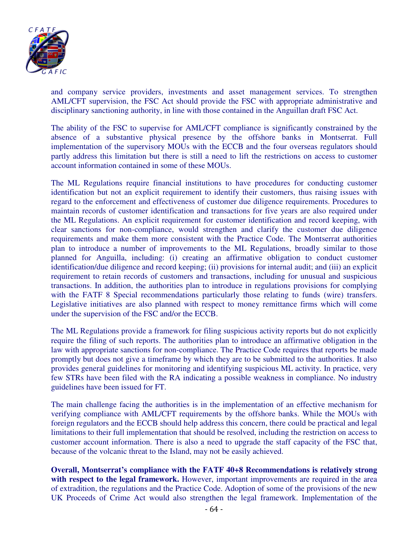

and company service providers, investments and asset management services. To strengthen AML/CFT supervision, the FSC Act should provide the FSC with appropriate administrative and disciplinary sanctioning authority, in line with those contained in the Anguillan draft FSC Act.

The ability of the FSC to supervise for AML/CFT compliance is significantly constrained by the absence of a substantive physical presence by the offshore banks in Montserrat. Full implementation of the supervisory MOUs with the ECCB and the four overseas regulators should partly address this limitation but there is still a need to lift the restrictions on access to customer account information contained in some of these MOUs.

The ML Regulations require financial institutions to have procedures for conducting customer identification but not an explicit requirement to identify their customers, thus raising issues with regard to the enforcement and effectiveness of customer due diligence requirements. Procedures to maintain records of customer identification and transactions for five years are also required under the ML Regulations. An explicit requirement for customer identification and record keeping, with clear sanctions for non-compliance, would strengthen and clarify the customer due diligence requirements and make them more consistent with the Practice Code. The Montserrat authorities plan to introduce a number of improvements to the ML Regulations, broadly similar to those planned for Anguilla, including: (i) creating an affirmative obligation to conduct customer identification/due diligence and record keeping; (ii) provisions for internal audit; and (iii) an explicit requirement to retain records of customers and transactions, including for unusual and suspicious transactions. In addition, the authorities plan to introduce in regulations provisions for complying with the FATF 8 Special recommendations particularly those relating to funds (wire) transfers. Legislative initiatives are also planned with respect to money remittance firms which will come under the supervision of the FSC and/or the ECCB.

The ML Regulations provide a framework for filing suspicious activity reports but do not explicitly require the filing of such reports. The authorities plan to introduce an affirmative obligation in the law with appropriate sanctions for non-compliance. The Practice Code requires that reports be made promptly but does not give a timeframe by which they are to be submitted to the authorities. It also provides general guidelines for monitoring and identifying suspicious ML activity. In practice, very few STRs have been filed with the RA indicating a possible weakness in compliance. No industry guidelines have been issued for FT.

The main challenge facing the authorities is in the implementation of an effective mechanism for verifying compliance with AML/CFT requirements by the offshore banks. While the MOUs with foreign regulators and the ECCB should help address this concern, there could be practical and legal limitations to their full implementation that should be resolved, including the restriction on access to customer account information. There is also a need to upgrade the staff capacity of the FSC that, because of the volcanic threat to the Island, may not be easily achieved.

**Overall, Montserrat's compliance with the FATF 40+8 Recommendations is relatively strong**  with respect to the legal framework. However, important improvements are required in the area of extradition, the regulations and the Practice Code. Adoption of some of the provisions of the new UK Proceeds of Crime Act would also strengthen the legal framework. Implementation of the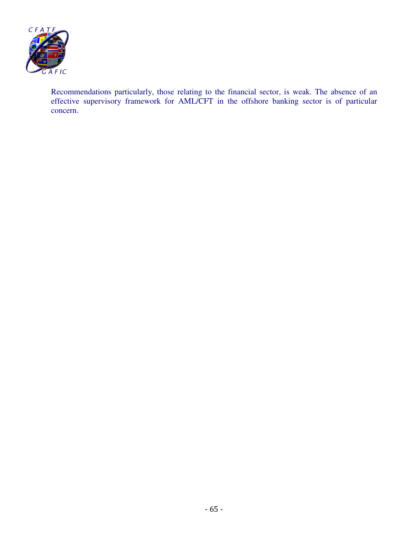

Recommendations particularly, those relating to the financial sector, is weak. The absence of an effective supervisory framework for AML/CFT in the offshore banking sector is of particular concern.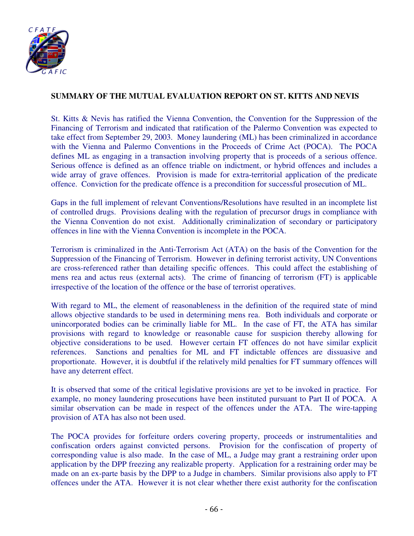

## **SUMMARY OF THE MUTUAL EVALUATION REPORT ON ST. KITTS AND NEVIS**

St. Kitts & Nevis has ratified the Vienna Convention, the Convention for the Suppression of the Financing of Terrorism and indicated that ratification of the Palermo Convention was expected to take effect from September 29, 2003. Money laundering (ML) has been criminalized in accordance with the Vienna and Palermo Conventions in the Proceeds of Crime Act (POCA). The POCA defines ML as engaging in a transaction involving property that is proceeds of a serious offence. Serious offence is defined as an offence triable on indictment, or hybrid offences and includes a wide array of grave offences. Provision is made for extra-territorial application of the predicate offence. Conviction for the predicate offence is a precondition for successful prosecution of ML.

Gaps in the full implement of relevant Conventions/Resolutions have resulted in an incomplete list of controlled drugs. Provisions dealing with the regulation of precursor drugs in compliance with the Vienna Convention do not exist. Additionally criminalization of secondary or participatory offences in line with the Vienna Convention is incomplete in the POCA.

Terrorism is criminalized in the Anti-Terrorism Act (ATA) on the basis of the Convention for the Suppression of the Financing of Terrorism. However in defining terrorist activity, UN Conventions are cross-referenced rather than detailing specific offences. This could affect the establishing of mens rea and actus reus (external acts). The crime of financing of terrorism (FT) is applicable irrespective of the location of the offence or the base of terrorist operatives.

With regard to ML, the element of reasonableness in the definition of the required state of mind allows objective standards to be used in determining mens rea. Both individuals and corporate or unincorporated bodies can be criminally liable for ML. In the case of FT, the ATA has similar provisions with regard to knowledge or reasonable cause for suspicion thereby allowing for objective considerations to be used. However certain FT offences do not have similar explicit references. Sanctions and penalties for ML and FT indictable offences are dissuasive and proportionate. However, it is doubtful if the relatively mild penalties for FT summary offences will have any deterrent effect.

It is observed that some of the critical legislative provisions are yet to be invoked in practice. For example, no money laundering prosecutions have been instituted pursuant to Part II of POCA. A similar observation can be made in respect of the offences under the ATA. The wire-tapping provision of ATA has also not been used.

The POCA provides for forfeiture orders covering property, proceeds or instrumentalities and confiscation orders against convicted persons. Provision for the confiscation of property of corresponding value is also made. In the case of ML, a Judge may grant a restraining order upon application by the DPP freezing any realizable property. Application for a restraining order may be made on an ex-parte basis by the DPP to a Judge in chambers. Similar provisions also apply to FT offences under the ATA. However it is not clear whether there exist authority for the confiscation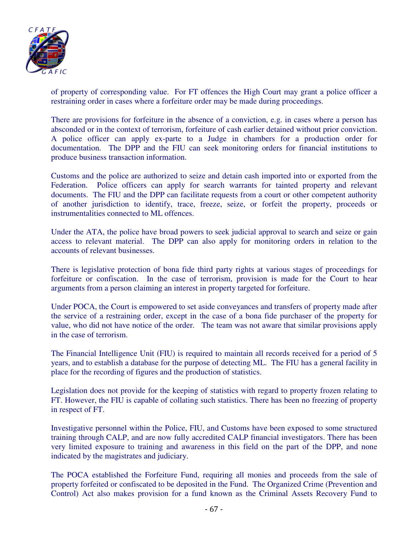

of property of corresponding value. For FT offences the High Court may grant a police officer a restraining order in cases where a forfeiture order may be made during proceedings.

There are provisions for forfeiture in the absence of a conviction, e.g. in cases where a person has absconded or in the context of terrorism, forfeiture of cash earlier detained without prior conviction. A police officer can apply ex-parte to a Judge in chambers for a production order for documentation. The DPP and the FIU can seek monitoring orders for financial institutions to produce business transaction information.

Customs and the police are authorized to seize and detain cash imported into or exported from the Federation. Police officers can apply for search warrants for tainted property and relevant documents. The FIU and the DPP can facilitate requests from a court or other competent authority of another jurisdiction to identify, trace, freeze, seize, or forfeit the property, proceeds or instrumentalities connected to ML offences.

Under the ATA, the police have broad powers to seek judicial approval to search and seize or gain access to relevant material. The DPP can also apply for monitoring orders in relation to the accounts of relevant businesses.

There is legislative protection of bona fide third party rights at various stages of proceedings for forfeiture or confiscation. In the case of terrorism, provision is made for the Court to hear arguments from a person claiming an interest in property targeted for forfeiture.

Under POCA, the Court is empowered to set aside conveyances and transfers of property made after the service of a restraining order, except in the case of a bona fide purchaser of the property for value, who did not have notice of the order. The team was not aware that similar provisions apply in the case of terrorism.

The Financial Intelligence Unit (FIU) is required to maintain all records received for a period of 5 years, and to establish a database for the purpose of detecting ML. The FIU has a general facility in place for the recording of figures and the production of statistics.

Legislation does not provide for the keeping of statistics with regard to property frozen relating to FT. However, the FIU is capable of collating such statistics. There has been no freezing of property in respect of FT.

Investigative personnel within the Police, FIU, and Customs have been exposed to some structured training through CALP, and are now fully accredited CALP financial investigators. There has been very limited exposure to training and awareness in this field on the part of the DPP, and none indicated by the magistrates and judiciary.

The POCA established the Forfeiture Fund, requiring all monies and proceeds from the sale of property forfeited or confiscated to be deposited in the Fund. The Organized Crime (Prevention and Control) Act also makes provision for a fund known as the Criminal Assets Recovery Fund to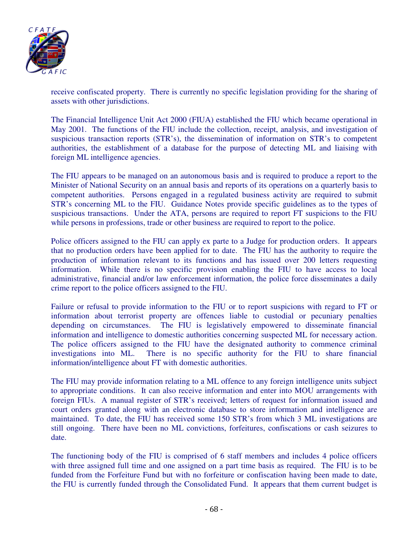

receive confiscated property. There is currently no specific legislation providing for the sharing of assets with other jurisdictions.

The Financial Intelligence Unit Act 2000 (FIUA) established the FIU which became operational in May 2001. The functions of the FIU include the collection, receipt, analysis, and investigation of suspicious transaction reports (STR's), the dissemination of information on STR's to competent authorities, the establishment of a database for the purpose of detecting ML and liaising with foreign ML intelligence agencies.

The FIU appears to be managed on an autonomous basis and is required to produce a report to the Minister of National Security on an annual basis and reports of its operations on a quarterly basis to competent authorities. Persons engaged in a regulated business activity are required to submit STR's concerning ML to the FIU. Guidance Notes provide specific guidelines as to the types of suspicious transactions. Under the ATA, persons are required to report FT suspicions to the FIU while persons in professions, trade or other business are required to report to the police.

Police officers assigned to the FIU can apply ex parte to a Judge for production orders. It appears that no production orders have been applied for to date. The FIU has the authority to require the production of information relevant to its functions and has issued over 200 letters requesting information. While there is no specific provision enabling the FIU to have access to local administrative, financial and/or law enforcement information, the police force disseminates a daily crime report to the police officers assigned to the FIU.

Failure or refusal to provide information to the FIU or to report suspicions with regard to FT or information about terrorist property are offences liable to custodial or pecuniary penalties depending on circumstances. The FIU is legislatively empowered to disseminate financial information and intelligence to domestic authorities concerning suspected ML for necessary action. The police officers assigned to the FIU have the designated authority to commence criminal investigations into ML. There is no specific authority for the FIU to share financial information/intelligence about FT with domestic authorities.

The FIU may provide information relating to a ML offence to any foreign intelligence units subject to appropriate conditions. It can also receive information and enter into MOU arrangements with foreign FIUs. A manual register of STR's received; letters of request for information issued and court orders granted along with an electronic database to store information and intelligence are maintained. To date, the FIU has received some 150 STR's from which 3 ML investigations are still ongoing. There have been no ML convictions, forfeitures, confiscations or cash seizures to date.

The functioning body of the FIU is comprised of 6 staff members and includes 4 police officers with three assigned full time and one assigned on a part time basis as required. The FIU is to be funded from the Forfeiture Fund but with no forfeiture or confiscation having been made to date, the FIU is currently funded through the Consolidated Fund. It appears that them current budget is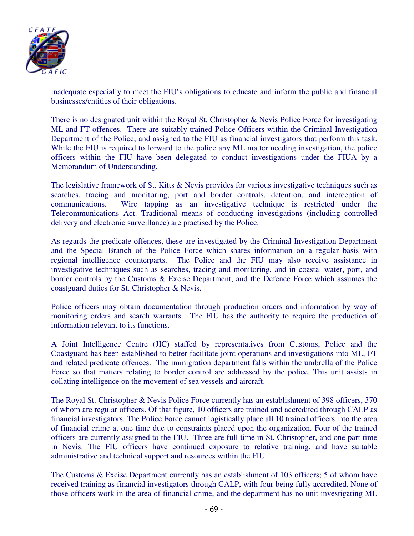

inadequate especially to meet the FIU's obligations to educate and inform the public and financial businesses/entities of their obligations.

There is no designated unit within the Royal St. Christopher & Nevis Police Force for investigating ML and FT offences. There are suitably trained Police Officers within the Criminal Investigation Department of the Police, and assigned to the FIU as financial investigators that perform this task. While the FIU is required to forward to the police any ML matter needing investigation, the police officers within the FIU have been delegated to conduct investigations under the FIUA by a Memorandum of Understanding.

The legislative framework of St. Kitts & Nevis provides for various investigative techniques such as searches, tracing and monitoring, port and border controls, detention, and interception of communications. Wire tapping as an investigative technique is restricted under the Telecommunications Act. Traditional means of conducting investigations (including controlled delivery and electronic surveillance) are practised by the Police.

As regards the predicate offences, these are investigated by the Criminal Investigation Department and the Special Branch of the Police Force which shares information on a regular basis with regional intelligence counterparts. The Police and the FIU may also receive assistance in investigative techniques such as searches, tracing and monitoring, and in coastal water, port, and border controls by the Customs & Excise Department, and the Defence Force which assumes the coastguard duties for St. Christopher & Nevis.

Police officers may obtain documentation through production orders and information by way of monitoring orders and search warrants. The FIU has the authority to require the production of information relevant to its functions.

A Joint Intelligence Centre (JIC) staffed by representatives from Customs, Police and the Coastguard has been established to better facilitate joint operations and investigations into ML, FT and related predicate offences. The immigration department falls within the umbrella of the Police Force so that matters relating to border control are addressed by the police. This unit assists in collating intelligence on the movement of sea vessels and aircraft.

The Royal St. Christopher & Nevis Police Force currently has an establishment of 398 officers, 370 of whom are regular officers. Of that figure, 10 officers are trained and accredited through CALP as financial investigators. The Police Force cannot logistically place all 10 trained officers into the area of financial crime at one time due to constraints placed upon the organization. Four of the trained officers are currently assigned to the FIU. Three are full time in St. Christopher, and one part time in Nevis. The FIU officers have continued exposure to relative training, and have suitable administrative and technical support and resources within the FIU.

The Customs & Excise Department currently has an establishment of 103 officers; 5 of whom have received training as financial investigators through CALP, with four being fully accredited. None of those officers work in the area of financial crime, and the department has no unit investigating ML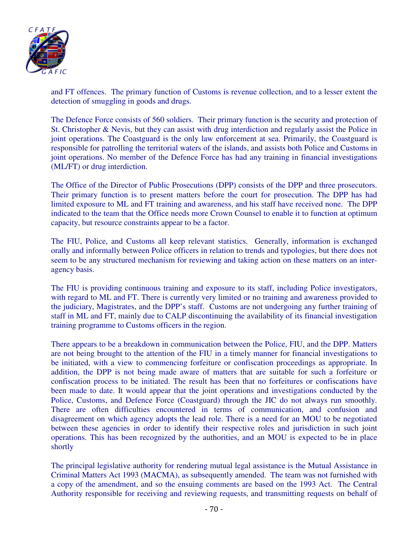

and FT offences. The primary function of Customs is revenue collection, and to a lesser extent the detection of smuggling in goods and drugs.

The Defence Force consists of 560 soldiers. Their primary function is the security and protection of St. Christopher & Nevis, but they can assist with drug interdiction and regularly assist the Police in joint operations. The Coastguard is the only law enforcement at sea. Primarily, the Coastguard is responsible for patrolling the territorial waters of the islands, and assists both Police and Customs in joint operations. No member of the Defence Force has had any training in financial investigations (ML/FT) or drug interdiction.

The Office of the Director of Public Prosecutions (DPP) consists of the DPP and three prosecutors. Their primary function is to present matters before the court for prosecution. The DPP has had limited exposure to ML and FT training and awareness, and his staff have received none. The DPP indicated to the team that the Office needs more Crown Counsel to enable it to function at optimum capacity, but resource constraints appear to be a factor.

The FIU, Police, and Customs all keep relevant statistics. Generally, information is exchanged orally and informally between Police officers in relation to trends and typologies, but there does not seem to be any structured mechanism for reviewing and taking action on these matters on an interagency basis.

The FIU is providing continuous training and exposure to its staff, including Police investigators, with regard to ML and FT. There is currently very limited or no training and awareness provided to the judiciary, Magistrates, and the DPP's staff. Customs are not undergoing any further training of staff in ML and FT, mainly due to CALP discontinuing the availability of its financial investigation training programme to Customs officers in the region.

There appears to be a breakdown in communication between the Police, FIU, and the DPP. Matters are not being brought to the attention of the FIU in a timely manner for financial investigations to be initiated, with a view to commencing forfeiture or confiscation proceedings as appropriate. In addition, the DPP is not being made aware of matters that are suitable for such a forfeiture or confiscation process to be initiated. The result has been that no forfeitures or confiscations have been made to date. It would appear that the joint operations and investigations conducted by the Police, Customs, and Defence Force (Coastguard) through the JIC do not always run smoothly. There are often difficulties encountered in terms of communication, and confusion and disagreement on which agency adopts the lead role. There is a need for an MOU to be negotiated between these agencies in order to identify their respective roles and jurisdiction in such joint operations. This has been recognized by the authorities, and an MOU is expected to be in place shortly

The principal legislative authority for rendering mutual legal assistance is the Mutual Assistance in Criminal Matters Act 1993 (MACMA), as subsequently amended. The team was not furnished with a copy of the amendment, and so the ensuing comments are based on the 1993 Act. The Central Authority responsible for receiving and reviewing requests, and transmitting requests on behalf of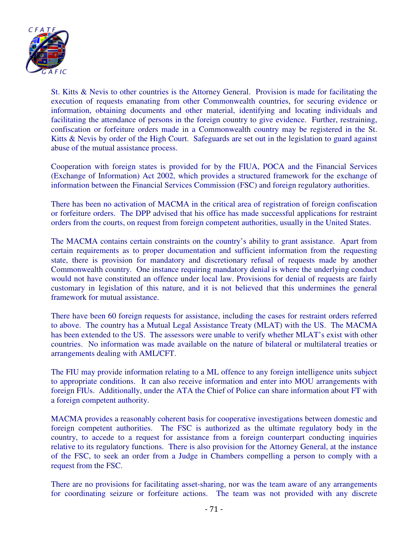

St. Kitts & Nevis to other countries is the Attorney General. Provision is made for facilitating the execution of requests emanating from other Commonwealth countries, for securing evidence or information, obtaining documents and other material, identifying and locating individuals and facilitating the attendance of persons in the foreign country to give evidence. Further, restraining, confiscation or forfeiture orders made in a Commonwealth country may be registered in the St. Kitts & Nevis by order of the High Court. Safeguards are set out in the legislation to guard against abuse of the mutual assistance process.

Cooperation with foreign states is provided for by the FIUA, POCA and the Financial Services (Exchange of Information) Act 2002, which provides a structured framework for the exchange of information between the Financial Services Commission (FSC) and foreign regulatory authorities.

There has been no activation of MACMA in the critical area of registration of foreign confiscation or forfeiture orders. The DPP advised that his office has made successful applications for restraint orders from the courts, on request from foreign competent authorities, usually in the United States.

The MACMA contains certain constraints on the country's ability to grant assistance. Apart from certain requirements as to proper documentation and sufficient information from the requesting state, there is provision for mandatory and discretionary refusal of requests made by another Commonwealth country. One instance requiring mandatory denial is where the underlying conduct would not have constituted an offence under local law. Provisions for denial of requests are fairly customary in legislation of this nature, and it is not believed that this undermines the general framework for mutual assistance.

There have been 60 foreign requests for assistance, including the cases for restraint orders referred to above. The country has a Mutual Legal Assistance Treaty (MLAT) with the US. The MACMA has been extended to the US. The assessors were unable to verify whether MLAT's exist with other countries. No information was made available on the nature of bilateral or multilateral treaties or arrangements dealing with AML/CFT.

The FIU may provide information relating to a ML offence to any foreign intelligence units subject to appropriate conditions. It can also receive information and enter into MOU arrangements with foreign FIUs. Additionally, under the ATA the Chief of Police can share information about FT with a foreign competent authority.

MACMA provides a reasonably coherent basis for cooperative investigations between domestic and foreign competent authorities. The FSC is authorized as the ultimate regulatory body in the country, to accede to a request for assistance from a foreign counterpart conducting inquiries relative to its regulatory functions. There is also provision for the Attorney General, at the instance of the FSC, to seek an order from a Judge in Chambers compelling a person to comply with a request from the FSC.

There are no provisions for facilitating asset-sharing, nor was the team aware of any arrangements for coordinating seizure or forfeiture actions. The team was not provided with any discrete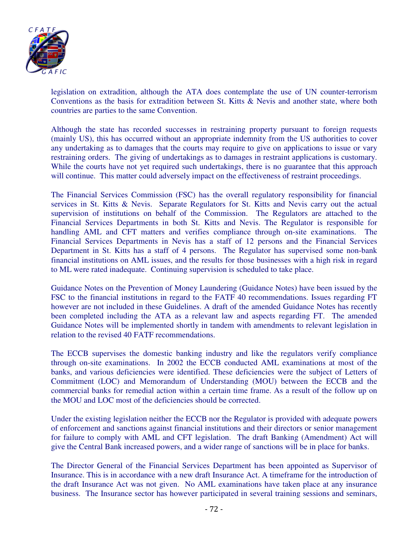

legislation on extradition, although the ATA does contemplate the use of UN counter-terrorism Conventions as the basis for extradition between St. Kitts & Nevis and another state, where both countries are parties to the same Convention.

Although the state has recorded successes in restraining property pursuant to foreign requests (mainly US), this has occurred without an appropriate indemnity from the US authorities to cover any undertaking as to damages that the courts may require to give on applications to issue or vary restraining orders. The giving of undertakings as to damages in restraint applications is customary. While the courts have not yet required such undertakings, there is no guarantee that this approach will continue. This matter could adversely impact on the effectiveness of restraint proceedings.

The Financial Services Commission (FSC) has the overall regulatory responsibility for financial services in St. Kitts & Nevis. Separate Regulators for St. Kitts and Nevis carry out the actual supervision of institutions on behalf of the Commission. The Regulators are attached to the Financial Services Departments in both St. Kitts and Nevis. The Regulator is responsible for handling AML and CFT matters and verifies compliance through on-site examinations. The Financial Services Departments in Nevis has a staff of 12 persons and the Financial Services Department in St. Kitts has a staff of 4 persons. The Regulator has supervised some non-bank financial institutions on AML issues, and the results for those businesses with a high risk in regard to ML were rated inadequate. Continuing supervision is scheduled to take place.

Guidance Notes on the Prevention of Money Laundering (Guidance Notes) have been issued by the FSC to the financial institutions in regard to the FATF 40 recommendations. Issues regarding FT however are not included in these Guidelines. A draft of the amended Guidance Notes has recently been completed including the ATA as a relevant law and aspects regarding FT. The amended Guidance Notes will be implemented shortly in tandem with amendments to relevant legislation in relation to the revised 40 FATF recommendations.

The ECCB supervises the domestic banking industry and like the regulators verify compliance through on-site examinations. In 2002 the ECCB conducted AML examinations at most of the banks, and various deficiencies were identified. These deficiencies were the subject of Letters of Commitment (LOC) and Memorandum of Understanding (MOU) between the ECCB and the commercial banks for remedial action within a certain time frame. As a result of the follow up on the MOU and LOC most of the deficiencies should be corrected.

Under the existing legislation neither the ECCB nor the Regulator is provided with adequate powers of enforcement and sanctions against financial institutions and their directors or senior management for failure to comply with AML and CFT legislation. The draft Banking (Amendment) Act will give the Central Bank increased powers, and a wider range of sanctions will be in place for banks.

The Director General of the Financial Services Department has been appointed as Supervisor of Insurance. This is in accordance with a new draft Insurance Act. A timeframe for the introduction of the draft Insurance Act was not given. No AML examinations have taken place at any insurance business. The Insurance sector has however participated in several training sessions and seminars,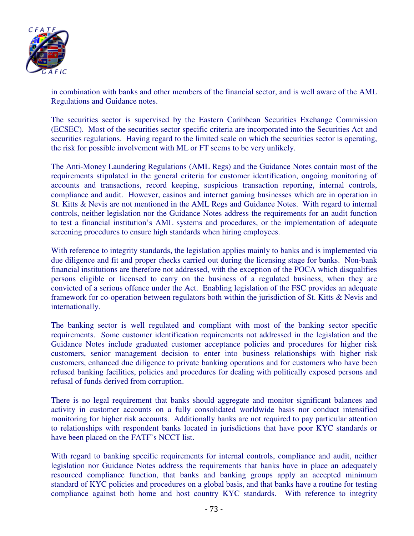

in combination with banks and other members of the financial sector, and is well aware of the AML Regulations and Guidance notes.

The securities sector is supervised by the Eastern Caribbean Securities Exchange Commission (ECSEC). Most of the securities sector specific criteria are incorporated into the Securities Act and securities regulations. Having regard to the limited scale on which the securities sector is operating, the risk for possible involvement with ML or FT seems to be very unlikely.

The Anti-Money Laundering Regulations (AML Regs) and the Guidance Notes contain most of the requirements stipulated in the general criteria for customer identification, ongoing monitoring of accounts and transactions, record keeping, suspicious transaction reporting, internal controls, compliance and audit. However, casinos and internet gaming businesses which are in operation in St. Kitts & Nevis are not mentioned in the AML Regs and Guidance Notes. With regard to internal controls, neither legislation nor the Guidance Notes address the requirements for an audit function to test a financial institution's AML systems and procedures, or the implementation of adequate screening procedures to ensure high standards when hiring employees.

With reference to integrity standards, the legislation applies mainly to banks and is implemented via due diligence and fit and proper checks carried out during the licensing stage for banks. Non-bank financial institutions are therefore not addressed, with the exception of the POCA which disqualifies persons eligible or licensed to carry on the business of a regulated business, when they are convicted of a serious offence under the Act. Enabling legislation of the FSC provides an adequate framework for co-operation between regulators both within the jurisdiction of St. Kitts & Nevis and internationally.

The banking sector is well regulated and compliant with most of the banking sector specific requirements. Some customer identification requirements not addressed in the legislation and the Guidance Notes include graduated customer acceptance policies and procedures for higher risk customers, senior management decision to enter into business relationships with higher risk customers, enhanced due diligence to private banking operations and for customers who have been refused banking facilities, policies and procedures for dealing with politically exposed persons and refusal of funds derived from corruption.

There is no legal requirement that banks should aggregate and monitor significant balances and activity in customer accounts on a fully consolidated worldwide basis nor conduct intensified monitoring for higher risk accounts. Additionally banks are not required to pay particular attention to relationships with respondent banks located in jurisdictions that have poor KYC standards or have been placed on the FATF's NCCT list.

With regard to banking specific requirements for internal controls, compliance and audit, neither legislation nor Guidance Notes address the requirements that banks have in place an adequately resourced compliance function, that banks and banking groups apply an accepted minimum standard of KYC policies and procedures on a global basis, and that banks have a routine for testing compliance against both home and host country KYC standards. With reference to integrity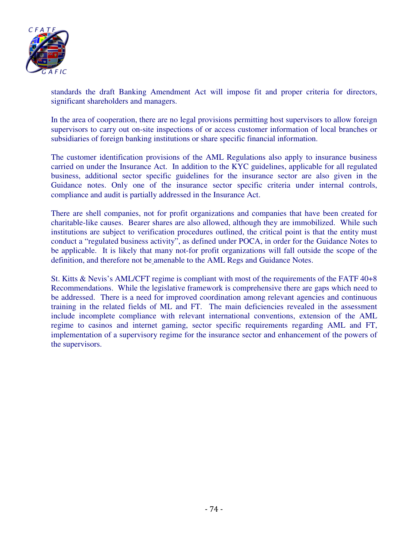

standards the draft Banking Amendment Act will impose fit and proper criteria for directors, significant shareholders and managers.

In the area of cooperation, there are no legal provisions permitting host supervisors to allow foreign supervisors to carry out on-site inspections of or access customer information of local branches or subsidiaries of foreign banking institutions or share specific financial information.

The customer identification provisions of the AML Regulations also apply to insurance business carried on under the Insurance Act. In addition to the KYC guidelines, applicable for all regulated business, additional sector specific guidelines for the insurance sector are also given in the Guidance notes. Only one of the insurance sector specific criteria under internal controls, compliance and audit is partially addressed in the Insurance Act.

There are shell companies, not for profit organizations and companies that have been created for charitable-like causes. Bearer shares are also allowed, although they are immobilized. While such institutions are subject to verification procedures outlined, the critical point is that the entity must conduct a "regulated business activity", as defined under POCA, in order for the Guidance Notes to be applicable. It is likely that many not-for profit organizations will fall outside the scope of the definition, and therefore not be amenable to the AML Regs and Guidance Notes.

St. Kitts & Nevis's AML/CFT regime is compliant with most of the requirements of the FATF 40+8 Recommendations. While the legislative framework is comprehensive there are gaps which need to be addressed. There is a need for improved coordination among relevant agencies and continuous training in the related fields of ML and FT. The main deficiencies revealed in the assessment include incomplete compliance with relevant international conventions, extension of the AML regime to casinos and internet gaming, sector specific requirements regarding AML and FT, implementation of a supervisory regime for the insurance sector and enhancement of the powers of the supervisors.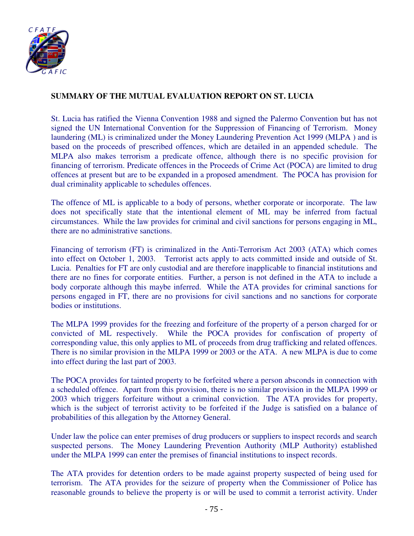

## **SUMMARY OF THE MUTUAL EVALUATION REPORT ON ST. LUCIA**

St. Lucia has ratified the Vienna Convention 1988 and signed the Palermo Convention but has not signed the UN International Convention for the Suppression of Financing of Terrorism. Money laundering (ML) is criminalized under the Money Laundering Prevention Act 1999 (MLPA ) and is based on the proceeds of prescribed offences, which are detailed in an appended schedule. The MLPA also makes terrorism a predicate offence, although there is no specific provision for financing of terrorism. Predicate offences in the Proceeds of Crime Act (POCA) are limited to drug offences at present but are to be expanded in a proposed amendment. The POCA has provision for dual criminality applicable to schedules offences.

The offence of ML is applicable to a body of persons, whether corporate or incorporate. The law does not specifically state that the intentional element of ML may be inferred from factual circumstances. While the law provides for criminal and civil sanctions for persons engaging in ML, there are no administrative sanctions.

Financing of terrorism (FT) is criminalized in the Anti-Terrorism Act 2003 (ATA) which comes into effect on October 1, 2003. Terrorist acts apply to acts committed inside and outside of St. Lucia. Penalties for FT are only custodial and are therefore inapplicable to financial institutions and there are no fines for corporate entities. Further, a person is not defined in the ATA to include a body corporate although this maybe inferred. While the ATA provides for criminal sanctions for persons engaged in FT, there are no provisions for civil sanctions and no sanctions for corporate bodies or institutions.

The MLPA 1999 provides for the freezing and forfeiture of the property of a person charged for or convicted of ML respectively. While the POCA provides for confiscation of property of corresponding value, this only applies to ML of proceeds from drug trafficking and related offences. There is no similar provision in the MLPA 1999 or 2003 or the ATA. A new MLPA is due to come into effect during the last part of 2003.

The POCA provides for tainted property to be forfeited where a person absconds in connection with a scheduled offence. Apart from this provision, there is no similar provision in the MLPA 1999 or 2003 which triggers forfeiture without a criminal conviction. The ATA provides for property, which is the subject of terrorist activity to be forfeited if the Judge is satisfied on a balance of probabilities of this allegation by the Attorney General.

Under law the police can enter premises of drug producers or suppliers to inspect records and search suspected persons. The Money Laundering Prevention Authority (MLP Authority) established under the MLPA 1999 can enter the premises of financial institutions to inspect records.

The ATA provides for detention orders to be made against property suspected of being used for terrorism. The ATA provides for the seizure of property when the Commissioner of Police has reasonable grounds to believe the property is or will be used to commit a terrorist activity. Under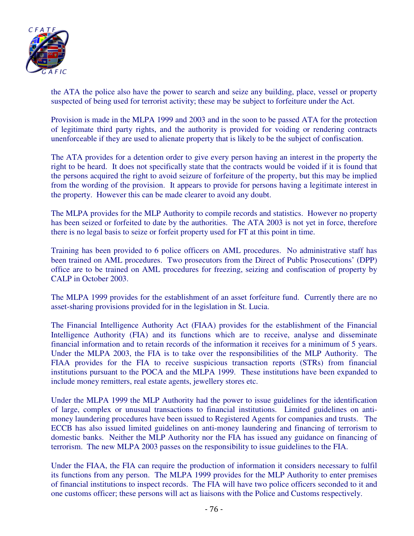

the ATA the police also have the power to search and seize any building, place, vessel or property suspected of being used for terrorist activity; these may be subject to forfeiture under the Act.

Provision is made in the MLPA 1999 and 2003 and in the soon to be passed ATA for the protection of legitimate third party rights, and the authority is provided for voiding or rendering contracts unenforceable if they are used to alienate property that is likely to be the subject of confiscation.

The ATA provides for a detention order to give every person having an interest in the property the right to be heard. It does not specifically state that the contracts would be voided if it is found that the persons acquired the right to avoid seizure of forfeiture of the property, but this may be implied from the wording of the provision. It appears to provide for persons having a legitimate interest in the property. However this can be made clearer to avoid any doubt.

The MLPA provides for the MLP Authority to compile records and statistics. However no property has been seized or forfeited to date by the authorities. The ATA 2003 is not yet in force, therefore there is no legal basis to seize or forfeit property used for FT at this point in time.

Training has been provided to 6 police officers on AML procedures. No administrative staff has been trained on AML procedures. Two prosecutors from the Direct of Public Prosecutions' (DPP) office are to be trained on AML procedures for freezing, seizing and confiscation of property by CALP in October 2003.

The MLPA 1999 provides for the establishment of an asset forfeiture fund. Currently there are no asset-sharing provisions provided for in the legislation in St. Lucia.

The Financial Intelligence Authority Act (FIAA) provides for the establishment of the Financial Intelligence Authority (FIA) and its functions which are to receive, analyse and disseminate financial information and to retain records of the information it receives for a minimum of 5 years. Under the MLPA 2003, the FIA is to take over the responsibilities of the MLP Authority. The FIAA provides for the FIA to receive suspicious transaction reports (STRs) from financial institutions pursuant to the POCA and the MLPA 1999. These institutions have been expanded to include money remitters, real estate agents, jewellery stores etc.

Under the MLPA 1999 the MLP Authority had the power to issue guidelines for the identification of large, complex or unusual transactions to financial institutions. Limited guidelines on antimoney laundering procedures have been issued to Registered Agents for companies and trusts. The ECCB has also issued limited guidelines on anti-money laundering and financing of terrorism to domestic banks. Neither the MLP Authority nor the FIA has issued any guidance on financing of terrorism. The new MLPA 2003 passes on the responsibility to issue guidelines to the FIA.

Under the FIAA, the FIA can require the production of information it considers necessary to fulfil its functions from any person. The MLPA 1999 provides for the MLP Authority to enter premises of financial institutions to inspect records. The FIA will have two police officers seconded to it and one customs officer; these persons will act as liaisons with the Police and Customs respectively.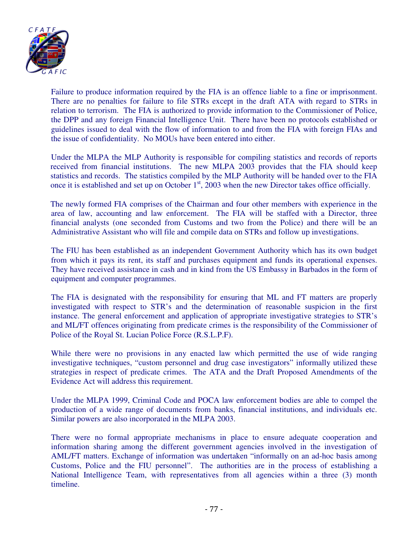

Failure to produce information required by the FIA is an offence liable to a fine or imprisonment. There are no penalties for failure to file STRs except in the draft ATA with regard to STRs in relation to terrorism. The FIA is authorized to provide information to the Commissioner of Police, the DPP and any foreign Financial Intelligence Unit. There have been no protocols established or guidelines issued to deal with the flow of information to and from the FIA with foreign FIAs and the issue of confidentiality. No MOUs have been entered into either.

Under the MLPA the MLP Authority is responsible for compiling statistics and records of reports received from financial institutions. The new MLPA 2003 provides that the FIA should keep statistics and records. The statistics compiled by the MLP Authority will be handed over to the FIA once it is established and set up on October  $1<sup>st</sup>$ , 2003 when the new Director takes office officially.

The newly formed FIA comprises of the Chairman and four other members with experience in the area of law, accounting and law enforcement. The FIA will be staffed with a Director, three financial analysts (one seconded from Customs and two from the Police) and there will be an Administrative Assistant who will file and compile data on STRs and follow up investigations.

The FIU has been established as an independent Government Authority which has its own budget from which it pays its rent, its staff and purchases equipment and funds its operational expenses. They have received assistance in cash and in kind from the US Embassy in Barbados in the form of equipment and computer programmes.

The FIA is designated with the responsibility for ensuring that ML and FT matters are properly investigated with respect to STR's and the determination of reasonable suspicion in the first instance. The general enforcement and application of appropriate investigative strategies to STR's and ML/FT offences originating from predicate crimes is the responsibility of the Commissioner of Police of the Royal St. Lucian Police Force (R.S.L.P.F).

While there were no provisions in any enacted law which permitted the use of wide ranging investigative techniques, "custom personnel and drug case investigators" informally utilized these strategies in respect of predicate crimes. The ATA and the Draft Proposed Amendments of the Evidence Act will address this requirement.

Under the MLPA 1999, Criminal Code and POCA law enforcement bodies are able to compel the production of a wide range of documents from banks, financial institutions, and individuals etc. Similar powers are also incorporated in the MLPA 2003.

There were no formal appropriate mechanisms in place to ensure adequate cooperation and information sharing among the different government agencies involved in the investigation of AML/FT matters. Exchange of information was undertaken "informally on an ad-hoc basis among Customs, Police and the FIU personnel". The authorities are in the process of establishing a National Intelligence Team, with representatives from all agencies within a three (3) month timeline.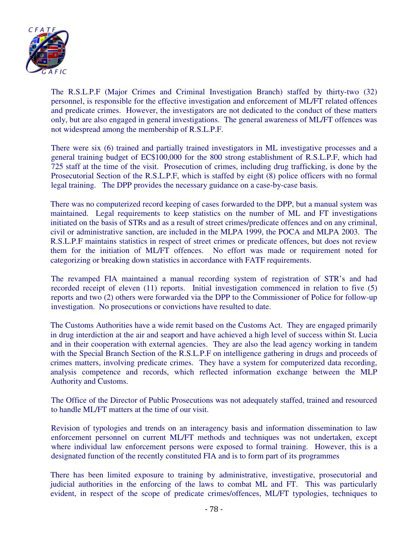

The R.S.L.P.F (Major Crimes and Criminal Investigation Branch) staffed by thirty-two (32) personnel, is responsible for the effective investigation and enforcement of ML/FT related offences and predicate crimes. However, the investigators are not dedicated to the conduct of these matters only, but are also engaged in general investigations. The general awareness of ML/FT offences was not widespread among the membership of R.S.L.P.F.

There were six (6) trained and partially trained investigators in ML investigative processes and a general training budget of EC\$100,000 for the 800 strong establishment of R.S.L.P.F, which had 725 staff at the time of the visit. Prosecution of crimes, including drug trafficking, is done by the Prosecutorial Section of the R.S.L.P.F, which is staffed by eight (8) police officers with no formal legal training. The DPP provides the necessary guidance on a case-by-case basis.

There was no computerized record keeping of cases forwarded to the DPP, but a manual system was maintained. Legal requirements to keep statistics on the number of ML and FT investigations initiated on the basis of STRs and as a result of street crimes/predicate offences and on any criminal, civil or administrative sanction, are included in the MLPA 1999, the POCA and MLPA 2003. The R.S.L.P.F maintains statistics in respect of street crimes or predicate offences, but does not review them for the initiation of ML/FT offences. No effort was made or requirement noted for categorizing or breaking down statistics in accordance with FATF requirements.

The revamped FIA maintained a manual recording system of registration of STR's and had recorded receipt of eleven (11) reports. Initial investigation commenced in relation to five (5) reports and two (2) others were forwarded via the DPP to the Commissioner of Police for follow-up investigation. No prosecutions or convictions have resulted to date.

The Customs Authorities have a wide remit based on the Customs Act. They are engaged primarily in drug interdiction at the air and seaport and have achieved a high level of success within St. Lucia and in their cooperation with external agencies. They are also the lead agency working in tandem with the Special Branch Section of the R.S.L.P.F on intelligence gathering in drugs and proceeds of crimes matters, involving predicate crimes. They have a system for computerized data recording, analysis competence and records, which reflected information exchange between the MLP Authority and Customs.

The Office of the Director of Public Prosecutions was not adequately staffed, trained and resourced to handle ML/FT matters at the time of our visit.

Revision of typologies and trends on an interagency basis and information dissemination to law enforcement personnel on current ML/FT methods and techniques was not undertaken, except where individual law enforcement persons were exposed to formal training. However, this is a designated function of the recently constituted FIA and is to form part of its programmes

There has been limited exposure to training by administrative, investigative, prosecutorial and judicial authorities in the enforcing of the laws to combat ML and FT. This was particularly evident, in respect of the scope of predicate crimes/offences, ML/FT typologies, techniques to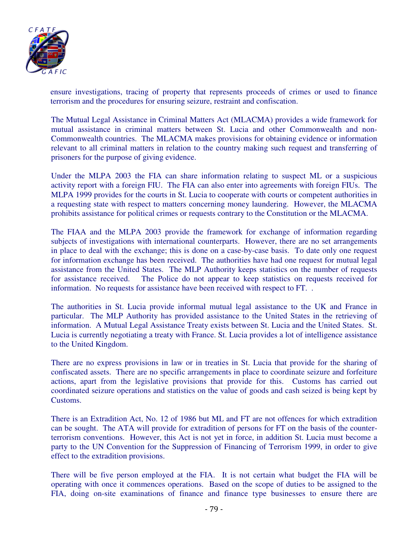

ensure investigations, tracing of property that represents proceeds of crimes or used to finance terrorism and the procedures for ensuring seizure, restraint and confiscation.

The Mutual Legal Assistance in Criminal Matters Act (MLACMA) provides a wide framework for mutual assistance in criminal matters between St. Lucia and other Commonwealth and non-Commonwealth countries. The MLACMA makes provisions for obtaining evidence or information relevant to all criminal matters in relation to the country making such request and transferring of prisoners for the purpose of giving evidence.

Under the MLPA 2003 the FIA can share information relating to suspect ML or a suspicious activity report with a foreign FIU. The FIA can also enter into agreements with foreign FIUs. The MLPA 1999 provides for the courts in St. Lucia to cooperate with courts or competent authorities in a requesting state with respect to matters concerning money laundering. However, the MLACMA prohibits assistance for political crimes or requests contrary to the Constitution or the MLACMA.

The FIAA and the MLPA 2003 provide the framework for exchange of information regarding subjects of investigations with international counterparts. However, there are no set arrangements in place to deal with the exchange; this is done on a case-by-case basis. To date only one request for information exchange has been received. The authorities have had one request for mutual legal assistance from the United States. The MLP Authority keeps statistics on the number of requests for assistance received. The Police do not appear to keep statistics on requests received for information. No requests for assistance have been received with respect to FT. .

The authorities in St. Lucia provide informal mutual legal assistance to the UK and France in particular. The MLP Authority has provided assistance to the United States in the retrieving of information. A Mutual Legal Assistance Treaty exists between St. Lucia and the United States. St. Lucia is currently negotiating a treaty with France. St. Lucia provides a lot of intelligence assistance to the United Kingdom.

There are no express provisions in law or in treaties in St. Lucia that provide for the sharing of confiscated assets. There are no specific arrangements in place to coordinate seizure and forfeiture actions, apart from the legislative provisions that provide for this. Customs has carried out coordinated seizure operations and statistics on the value of goods and cash seized is being kept by Customs.

There is an Extradition Act, No. 12 of 1986 but ML and FT are not offences for which extradition can be sought. The ATA will provide for extradition of persons for FT on the basis of the counterterrorism conventions. However, this Act is not yet in force, in addition St. Lucia must become a party to the UN Convention for the Suppression of Financing of Terrorism 1999, in order to give effect to the extradition provisions.

There will be five person employed at the FIA. It is not certain what budget the FIA will be operating with once it commences operations. Based on the scope of duties to be assigned to the FIA, doing on-site examinations of finance and finance type businesses to ensure there are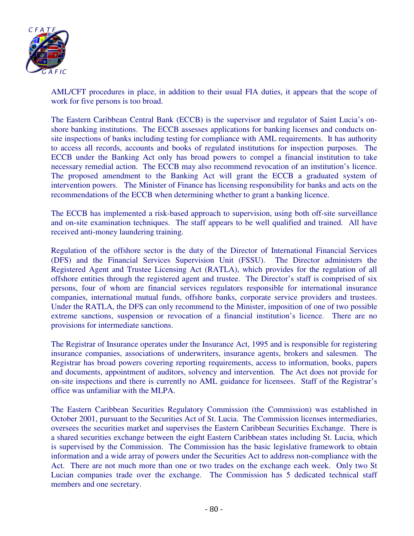

AML/CFT procedures in place, in addition to their usual FIA duties, it appears that the scope of work for five persons is too broad.

The Eastern Caribbean Central Bank (ECCB) is the supervisor and regulator of Saint Lucia's onshore banking institutions. The ECCB assesses applications for banking licenses and conducts onsite inspections of banks including testing for compliance with AML requirements. It has authority to access all records, accounts and books of regulated institutions for inspection purposes. The ECCB under the Banking Act only has broad powers to compel a financial institution to take necessary remedial action. The ECCB may also recommend revocation of an institution's licence. The proposed amendment to the Banking Act will grant the ECCB a graduated system of intervention powers. The Minister of Finance has licensing responsibility for banks and acts on the recommendations of the ECCB when determining whether to grant a banking licence.

The ECCB has implemented a risk-based approach to supervision, using both off-site surveillance and on-site examination techniques. The staff appears to be well qualified and trained. All have received anti-money laundering training.

Regulation of the offshore sector is the duty of the Director of International Financial Services (DFS) and the Financial Services Supervision Unit (FSSU). The Director administers the Registered Agent and Trustee Licensing Act (RATLA), which provides for the regulation of all offshore entities through the registered agent and trustee. The Director's staff is comprised of six persons, four of whom are financial services regulators responsible for international insurance companies, international mutual funds, offshore banks, corporate service providers and trustees. Under the RATLA, the DFS can only recommend to the Minister, imposition of one of two possible extreme sanctions, suspension or revocation of a financial institution's licence. There are no provisions for intermediate sanctions.

The Registrar of Insurance operates under the Insurance Act, 1995 and is responsible for registering insurance companies, associations of underwriters, insurance agents, brokers and salesmen. The Registrar has broad powers covering reporting requirements, access to information, books, papers and documents, appointment of auditors, solvency and intervention. The Act does not provide for on-site inspections and there is currently no AML guidance for licensees. Staff of the Registrar's office was unfamiliar with the MLPA.

The Eastern Caribbean Securities Regulatory Commission (the Commission) was established in October 2001, pursuant to the Securities Act of St. Lucia. The Commission licenses intermediaries, oversees the securities market and supervises the Eastern Caribbean Securities Exchange. There is a shared securities exchange between the eight Eastern Caribbean states including St. Lucia, which is supervised by the Commission. The Commission has the basic legislative framework to obtain information and a wide array of powers under the Securities Act to address non-compliance with the Act. There are not much more than one or two trades on the exchange each week. Only two St Lucian companies trade over the exchange. The Commission has 5 dedicated technical staff members and one secretary.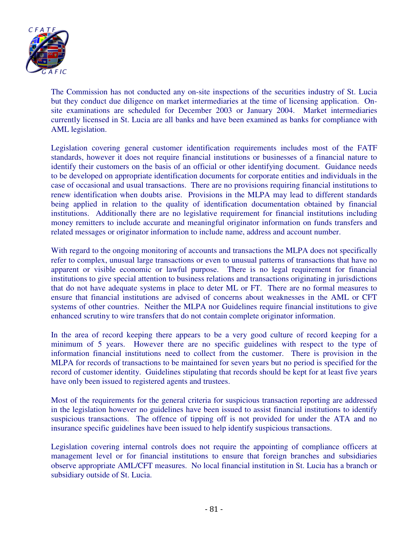

The Commission has not conducted any on-site inspections of the securities industry of St. Lucia but they conduct due diligence on market intermediaries at the time of licensing application. Onsite examinations are scheduled for December 2003 or January 2004. Market intermediaries currently licensed in St. Lucia are all banks and have been examined as banks for compliance with AML legislation.

Legislation covering general customer identification requirements includes most of the FATF standards, however it does not require financial institutions or businesses of a financial nature to identify their customers on the basis of an official or other identifying document. Guidance needs to be developed on appropriate identification documents for corporate entities and individuals in the case of occasional and usual transactions. There are no provisions requiring financial institutions to renew identification when doubts arise. Provisions in the MLPA may lead to different standards being applied in relation to the quality of identification documentation obtained by financial institutions. Additionally there are no legislative requirement for financial institutions including money remitters to include accurate and meaningful originator information on funds transfers and related messages or originator information to include name, address and account number.

With regard to the ongoing monitoring of accounts and transactions the MLPA does not specifically refer to complex, unusual large transactions or even to unusual patterns of transactions that have no apparent or visible economic or lawful purpose. There is no legal requirement for financial institutions to give special attention to business relations and transactions originating in jurisdictions that do not have adequate systems in place to deter ML or FT. There are no formal measures to ensure that financial institutions are advised of concerns about weaknesses in the AML or CFT systems of other countries. Neither the MLPA nor Guidelines require financial institutions to give enhanced scrutiny to wire transfers that do not contain complete originator information.

In the area of record keeping there appears to be a very good culture of record keeping for a minimum of 5 years. However there are no specific guidelines with respect to the type of information financial institutions need to collect from the customer. There is provision in the MLPA for records of transactions to be maintained for seven years but no period is specified for the record of customer identity. Guidelines stipulating that records should be kept for at least five years have only been issued to registered agents and trustees.

Most of the requirements for the general criteria for suspicious transaction reporting are addressed in the legislation however no guidelines have been issued to assist financial institutions to identify suspicious transactions. The offence of tipping off is not provided for under the ATA and no insurance specific guidelines have been issued to help identify suspicious transactions.

Legislation covering internal controls does not require the appointing of compliance officers at management level or for financial institutions to ensure that foreign branches and subsidiaries observe appropriate AML/CFT measures. No local financial institution in St. Lucia has a branch or subsidiary outside of St. Lucia.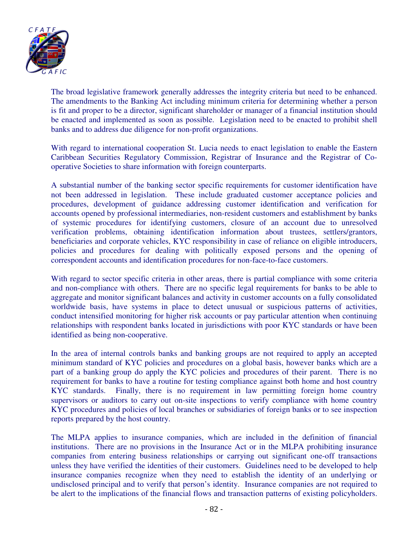

The broad legislative framework generally addresses the integrity criteria but need to be enhanced. The amendments to the Banking Act including minimum criteria for determining whether a person is fit and proper to be a director, significant shareholder or manager of a financial institution should be enacted and implemented as soon as possible. Legislation need to be enacted to prohibit shell banks and to address due diligence for non-profit organizations.

With regard to international cooperation St. Lucia needs to enact legislation to enable the Eastern Caribbean Securities Regulatory Commission, Registrar of Insurance and the Registrar of Cooperative Societies to share information with foreign counterparts.

A substantial number of the banking sector specific requirements for customer identification have not been addressed in legislation. These include graduated customer acceptance policies and procedures, development of guidance addressing customer identification and verification for accounts opened by professional intermediaries, non-resident customers and establishment by banks of systemic procedures for identifying customers, closure of an account due to unresolved verification problems, obtaining identification information about trustees, settlers/grantors, beneficiaries and corporate vehicles, KYC responsibility in case of reliance on eligible introducers, policies and procedures for dealing with politically exposed persons and the opening of correspondent accounts and identification procedures for non-face-to-face customers.

With regard to sector specific criteria in other areas, there is partial compliance with some criteria and non-compliance with others. There are no specific legal requirements for banks to be able to aggregate and monitor significant balances and activity in customer accounts on a fully consolidated worldwide basis, have systems in place to detect unusual or suspicious patterns of activities, conduct intensified monitoring for higher risk accounts or pay particular attention when continuing relationships with respondent banks located in jurisdictions with poor KYC standards or have been identified as being non-cooperative.

In the area of internal controls banks and banking groups are not required to apply an accepted minimum standard of KYC policies and procedures on a global basis, however banks which are a part of a banking group do apply the KYC policies and procedures of their parent. There is no requirement for banks to have a routine for testing compliance against both home and host country KYC standards. Finally, there is no requirement in law permitting foreign home country supervisors or auditors to carry out on-site inspections to verify compliance with home country KYC procedures and policies of local branches or subsidiaries of foreign banks or to see inspection reports prepared by the host country.

The MLPA applies to insurance companies, which are included in the definition of financial institutions. There are no provisions in the Insurance Act or in the MLPA prohibiting insurance companies from entering business relationships or carrying out significant one-off transactions unless they have verified the identities of their customers. Guidelines need to be developed to help insurance companies recognize when they need to establish the identity of an underlying or undisclosed principal and to verify that person's identity. Insurance companies are not required to be alert to the implications of the financial flows and transaction patterns of existing policyholders.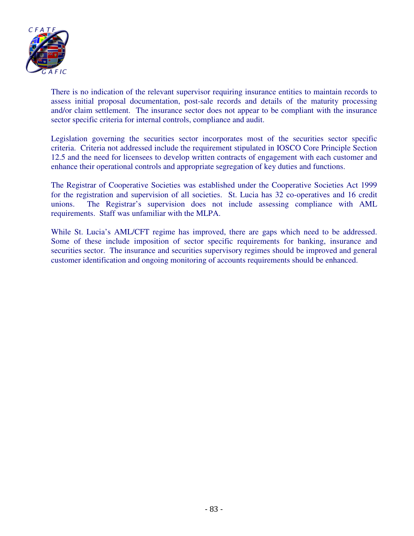

There is no indication of the relevant supervisor requiring insurance entities to maintain records to assess initial proposal documentation, post-sale records and details of the maturity processing and/or claim settlement. The insurance sector does not appear to be compliant with the insurance sector specific criteria for internal controls, compliance and audit.

Legislation governing the securities sector incorporates most of the securities sector specific criteria. Criteria not addressed include the requirement stipulated in IOSCO Core Principle Section 12.5 and the need for licensees to develop written contracts of engagement with each customer and enhance their operational controls and appropriate segregation of key duties and functions.

The Registrar of Cooperative Societies was established under the Cooperative Societies Act 1999 for the registration and supervision of all societies. St. Lucia has 32 co-operatives and 16 credit unions. The Registrar's supervision does not include assessing compliance with AML requirements. Staff was unfamiliar with the MLPA.

While St. Lucia's AML/CFT regime has improved, there are gaps which need to be addressed. Some of these include imposition of sector specific requirements for banking, insurance and securities sector. The insurance and securities supervisory regimes should be improved and general customer identification and ongoing monitoring of accounts requirements should be enhanced.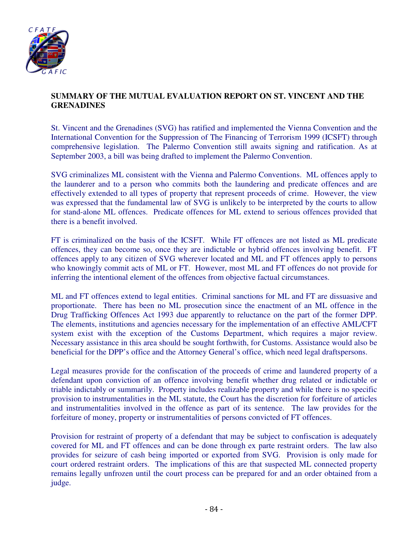

## **SUMMARY OF THE MUTUAL EVALUATION REPORT ON ST. VINCENT AND THE GRENADINES**

St. Vincent and the Grenadines (SVG) has ratified and implemented the Vienna Convention and the International Convention for the Suppression of The Financing of Terrorism 1999 (ICSFT) through comprehensive legislation. The Palermo Convention still awaits signing and ratification. As at September 2003, a bill was being drafted to implement the Palermo Convention.

SVG criminalizes ML consistent with the Vienna and Palermo Conventions. ML offences apply to the launderer and to a person who commits both the laundering and predicate offences and are effectively extended to all types of property that represent proceeds of crime. However, the view was expressed that the fundamental law of SVG is unlikely to be interpreted by the courts to allow for stand-alone ML offences. Predicate offences for ML extend to serious offences provided that there is a benefit involved.

FT is criminalized on the basis of the ICSFT. While FT offences are not listed as ML predicate offences, they can become so, once they are indictable or hybrid offences involving benefit. FT offences apply to any citizen of SVG wherever located and ML and FT offences apply to persons who knowingly commit acts of ML or FT. However, most ML and FT offences do not provide for inferring the intentional element of the offences from objective factual circumstances.

ML and FT offences extend to legal entities. Criminal sanctions for ML and FT are dissuasive and proportionate. There has been no ML prosecution since the enactment of an ML offence in the Drug Trafficking Offences Act 1993 due apparently to reluctance on the part of the former DPP. The elements, institutions and agencies necessary for the implementation of an effective AML/CFT system exist with the exception of the Customs Department, which requires a major review. Necessary assistance in this area should be sought forthwith, for Customs. Assistance would also be beneficial for the DPP's office and the Attorney General's office, which need legal draftspersons.

Legal measures provide for the confiscation of the proceeds of crime and laundered property of a defendant upon conviction of an offence involving benefit whether drug related or indictable or triable indictably or summarily. Property includes realizable property and while there is no specific provision to instrumentalities in the ML statute, the Court has the discretion for forfeiture of articles and instrumentalities involved in the offence as part of its sentence. The law provides for the forfeiture of money, property or instrumentalities of persons convicted of FT offences.

Provision for restraint of property of a defendant that may be subject to confiscation is adequately covered for ML and FT offences and can be done through ex parte restraint orders. The law also provides for seizure of cash being imported or exported from SVG. Provision is only made for court ordered restraint orders. The implications of this are that suspected ML connected property remains legally unfrozen until the court process can be prepared for and an order obtained from a judge.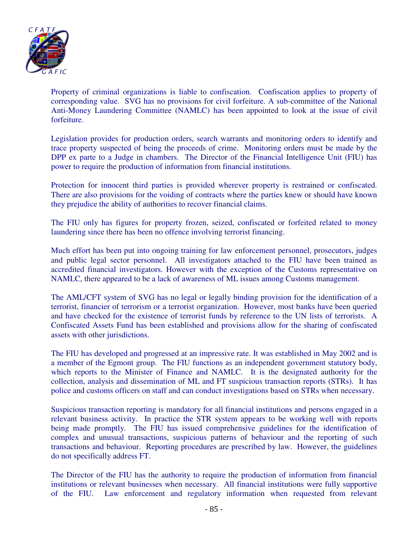

Property of criminal organizations is liable to confiscation. Confiscation applies to property of corresponding value. SVG has no provisions for civil forfeiture. A sub-committee of the National Anti-Money Laundering Committee (NAMLC) has been appointed to look at the issue of civil forfeiture.

Legislation provides for production orders, search warrants and monitoring orders to identify and trace property suspected of being the proceeds of crime. Monitoring orders must be made by the DPP ex parte to a Judge in chambers. The Director of the Financial Intelligence Unit (FIU) has power to require the production of information from financial institutions.

Protection for innocent third parties is provided wherever property is restrained or confiscated. There are also provisions for the voiding of contracts where the parties knew or should have known they prejudice the ability of authorities to recover financial claims.

The FIU only has figures for property frozen, seized, confiscated or forfeited related to money laundering since there has been no offence involving terrorist financing.

Much effort has been put into ongoing training for law enforcement personnel, prosecutors, judges and public legal sector personnel. All investigators attached to the FIU have been trained as accredited financial investigators. However with the exception of the Customs representative on NAMLC, there appeared to be a lack of awareness of ML issues among Customs management.

The AML/CFT system of SVG has no legal or legally binding provision for the identification of a terrorist, financier of terrorism or a terrorist organization. However, most banks have been queried and have checked for the existence of terrorist funds by reference to the UN lists of terrorists. A Confiscated Assets Fund has been established and provisions allow for the sharing of confiscated assets with other jurisdictions.

The FIU has developed and progressed at an impressive rate. It was established in May 2002 and is a member of the Egmont group. The FIU functions as an independent government statutory body, which reports to the Minister of Finance and NAMLC. It is the designated authority for the collection, analysis and dissemination of ML and FT suspicious transaction reports (STRs). It has police and customs officers on staff and can conduct investigations based on STRs when necessary.

Suspicious transaction reporting is mandatory for all financial institutions and persons engaged in a relevant business activity. In practice the STR system appears to be working well with reports being made promptly. The FIU has issued comprehensive guidelines for the identification of complex and unusual transactions, suspicious patterns of behaviour and the reporting of such transactions and behaviour. Reporting procedures are prescribed by law. However, the guidelines do not specifically address FT.

The Director of the FIU has the authority to require the production of information from financial institutions or relevant businesses when necessary. All financial institutions were fully supportive of the FIU. Law enforcement and regulatory information when requested from relevant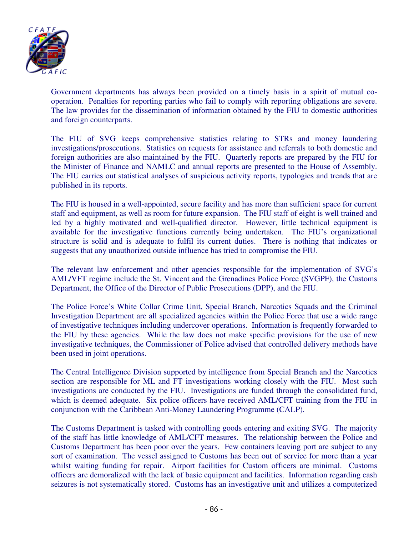

Government departments has always been provided on a timely basis in a spirit of mutual cooperation. Penalties for reporting parties who fail to comply with reporting obligations are severe. The law provides for the dissemination of information obtained by the FIU to domestic authorities and foreign counterparts.

The FIU of SVG keeps comprehensive statistics relating to STRs and money laundering investigations/prosecutions. Statistics on requests for assistance and referrals to both domestic and foreign authorities are also maintained by the FIU. Quarterly reports are prepared by the FIU for the Minister of Finance and NAMLC and annual reports are presented to the House of Assembly. The FIU carries out statistical analyses of suspicious activity reports, typologies and trends that are published in its reports.

The FIU is housed in a well-appointed, secure facility and has more than sufficient space for current staff and equipment, as well as room for future expansion. The FIU staff of eight is well trained and led by a highly motivated and well-qualified director. However, little technical equipment is available for the investigative functions currently being undertaken. The FIU's organizational structure is solid and is adequate to fulfil its current duties. There is nothing that indicates or suggests that any unauthorized outside influence has tried to compromise the FIU.

The relevant law enforcement and other agencies responsible for the implementation of SVG's AML/VFT regime include the St. Vincent and the Grenadines Police Force (SVGPF), the Customs Department, the Office of the Director of Public Prosecutions (DPP), and the FIU.

The Police Force's White Collar Crime Unit, Special Branch, Narcotics Squads and the Criminal Investigation Department are all specialized agencies within the Police Force that use a wide range of investigative techniques including undercover operations. Information is frequently forwarded to the FIU by these agencies. While the law does not make specific provisions for the use of new investigative techniques, the Commissioner of Police advised that controlled delivery methods have been used in joint operations.

The Central Intelligence Division supported by intelligence from Special Branch and the Narcotics section are responsible for ML and FT investigations working closely with the FIU. Most such investigations are conducted by the FIU. Investigations are funded through the consolidated fund, which is deemed adequate. Six police officers have received AML/CFT training from the FIU in conjunction with the Caribbean Anti-Money Laundering Programme (CALP).

The Customs Department is tasked with controlling goods entering and exiting SVG. The majority of the staff has little knowledge of AML/CFT measures. The relationship between the Police and Customs Department has been poor over the years. Few containers leaving port are subject to any sort of examination. The vessel assigned to Customs has been out of service for more than a year whilst waiting funding for repair. Airport facilities for Custom officers are minimal. Customs officers are demoralized with the lack of basic equipment and facilities. Information regarding cash seizures is not systematically stored. Customs has an investigative unit and utilizes a computerized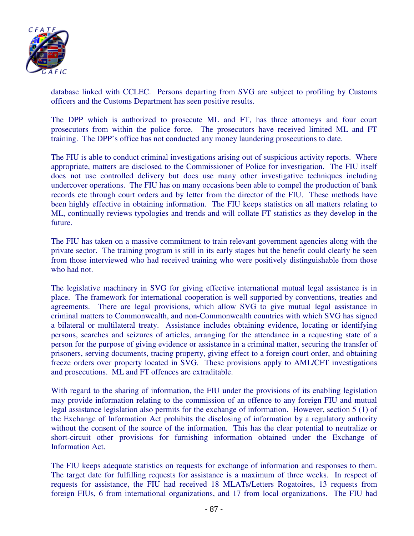

database linked with CCLEC. Persons departing from SVG are subject to profiling by Customs officers and the Customs Department has seen positive results.

The DPP which is authorized to prosecute ML and FT, has three attorneys and four court prosecutors from within the police force. The prosecutors have received limited ML and FT training. The DPP's office has not conducted any money laundering prosecutions to date.

The FIU is able to conduct criminal investigations arising out of suspicious activity reports. Where appropriate, matters are disclosed to the Commissioner of Police for investigation. The FIU itself does not use controlled delivery but does use many other investigative techniques including undercover operations. The FIU has on many occasions been able to compel the production of bank records etc through court orders and by letter from the director of the FIU. These methods have been highly effective in obtaining information. The FIU keeps statistics on all matters relating to ML, continually reviews typologies and trends and will collate FT statistics as they develop in the future.

The FIU has taken on a massive commitment to train relevant government agencies along with the private sector. The training program is still in its early stages but the benefit could clearly be seen from those interviewed who had received training who were positively distinguishable from those who had not.

The legislative machinery in SVG for giving effective international mutual legal assistance is in place. The framework for international cooperation is well supported by conventions, treaties and agreements. There are legal provisions, which allow SVG to give mutual legal assistance in criminal matters to Commonwealth, and non-Commonwealth countries with which SVG has signed a bilateral or multilateral treaty. Assistance includes obtaining evidence, locating or identifying persons, searches and seizures of articles, arranging for the attendance in a requesting state of a person for the purpose of giving evidence or assistance in a criminal matter, securing the transfer of prisoners, serving documents, tracing property, giving effect to a foreign court order, and obtaining freeze orders over property located in SVG. These provisions apply to AML/CFT investigations and prosecutions. ML and FT offences are extraditable.

With regard to the sharing of information, the FIU under the provisions of its enabling legislation may provide information relating to the commission of an offence to any foreign FIU and mutual legal assistance legislation also permits for the exchange of information. However, section 5 (1) of the Exchange of Information Act prohibits the disclosing of information by a regulatory authority without the consent of the source of the information. This has the clear potential to neutralize or short-circuit other provisions for furnishing information obtained under the Exchange of Information Act.

The FIU keeps adequate statistics on requests for exchange of information and responses to them. The target date for fulfilling requests for assistance is a maximum of three weeks. In respect of requests for assistance, the FIU had received 18 MLATs/Letters Rogatoires, 13 requests from foreign FIUs, 6 from international organizations, and 17 from local organizations. The FIU had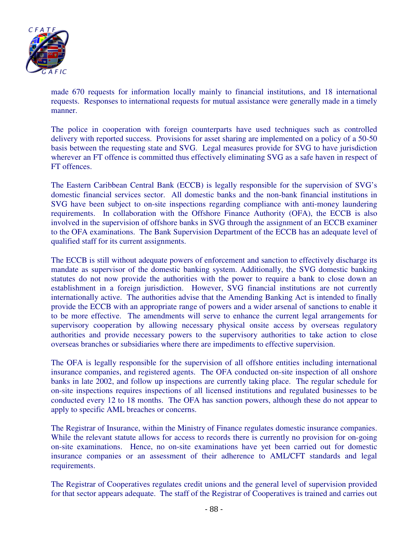

made 670 requests for information locally mainly to financial institutions, and 18 international requests. Responses to international requests for mutual assistance were generally made in a timely manner.

The police in cooperation with foreign counterparts have used techniques such as controlled delivery with reported success. Provisions for asset sharing are implemented on a policy of a 50-50 basis between the requesting state and SVG. Legal measures provide for SVG to have jurisdiction wherever an FT offence is committed thus effectively eliminating SVG as a safe haven in respect of FT offences.

The Eastern Caribbean Central Bank (ECCB) is legally responsible for the supervision of SVG's domestic financial services sector. All domestic banks and the non-bank financial institutions in SVG have been subject to on-site inspections regarding compliance with anti-money laundering requirements. In collaboration with the Offshore Finance Authority (OFA), the ECCB is also involved in the supervision of offshore banks in SVG through the assignment of an ECCB examiner to the OFA examinations. The Bank Supervision Department of the ECCB has an adequate level of qualified staff for its current assignments.

The ECCB is still without adequate powers of enforcement and sanction to effectively discharge its mandate as supervisor of the domestic banking system. Additionally, the SVG domestic banking statutes do not now provide the authorities with the power to require a bank to close down an establishment in a foreign jurisdiction. However, SVG financial institutions are not currently internationally active. The authorities advise that the Amending Banking Act is intended to finally provide the ECCB with an appropriate range of powers and a wider arsenal of sanctions to enable it to be more effective. The amendments will serve to enhance the current legal arrangements for supervisory cooperation by allowing necessary physical onsite access by overseas regulatory authorities and provide necessary powers to the supervisory authorities to take action to close overseas branches or subsidiaries where there are impediments to effective supervision.

The OFA is legally responsible for the supervision of all offshore entities including international insurance companies, and registered agents. The OFA conducted on-site inspection of all onshore banks in late 2002, and follow up inspections are currently taking place. The regular schedule for on-site inspections requires inspections of all licensed institutions and regulated businesses to be conducted every 12 to 18 months. The OFA has sanction powers, although these do not appear to apply to specific AML breaches or concerns.

The Registrar of Insurance, within the Ministry of Finance regulates domestic insurance companies. While the relevant statute allows for access to records there is currently no provision for on-going on-site examinations. Hence, no on-site examinations have yet been carried out for domestic insurance companies or an assessment of their adherence to AML/CFT standards and legal requirements.

The Registrar of Cooperatives regulates credit unions and the general level of supervision provided for that sector appears adequate. The staff of the Registrar of Cooperatives is trained and carries out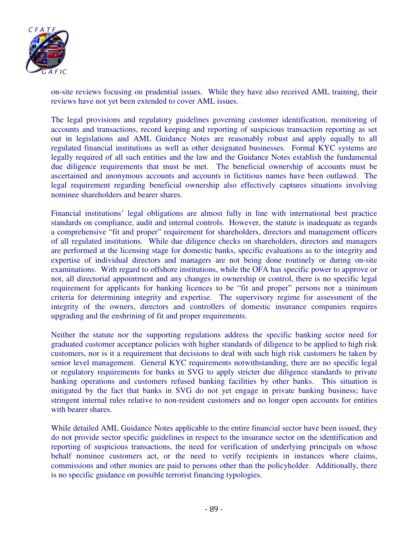

on-site reviews focusing on prudential issues. While they have also received AML training, their reviews have not yet been extended to cover AML issues.

The legal provisions and regulatory guidelines governing customer identification, monitoring of accounts and transactions, record keeping and reporting of suspicious transaction reporting as set out in legislations and AML Guidance Notes are reasonably robust and apply equally to all regulated financial institutions as well as other designated businesses. Formal KYC systems are legally required of all such entities and the law and the Guidance Notes establish the fundamental due diligence requirements that must be met. The beneficial ownership of accounts must be ascertained and anonymous accounts and accounts in fictitious names have been outlawed. The legal requirement regarding beneficial ownership also effectively captures situations involving nominee shareholders and bearer shares.

Financial institutions' legal obligations are almost fully in line with international best practice standards on compliance, audit and internal controls. However, the statute is inadequate as regards a comprehensive "fit and proper" requirement for shareholders, directors and management officers of all regulated institutions. While due diligence checks on shareholders, directors and managers are performed at the licensing stage for domestic banks, specific evaluations as to the integrity and expertise of individual directors and managers are not being done routinely or during on-site examinations. With regard to offshore institutions, while the OFA has specific power to approve or not, all directorial appointment and any changes in ownership or control, there is no specific legal requirement for applicants for banking licences to be "fit and proper" persons nor a minimum criteria for determining integrity and expertise. The supervisory regime for assessment of the integrity of the owners, directors and controllers of domestic insurance companies requires upgrading and the enshrining of fit and proper requirements.

Neither the statute nor the supporting regulations address the specific banking sector need for graduated customer acceptance policies with higher standards of diligence to be applied to high risk customers, nor is it a requirement that decisions to deal with such high risk customers be taken by senior level management. General KYC requirements notwithstanding, there are no specific legal or regulatory requirements for banks in SVG to apply stricter due diligence standards to private banking operations and customers refused banking facilities by other banks. This situation is mitigated by the fact that banks in SVG do not yet engage in private banking business; have stringent internal rules relative to non-resident customers and no longer open accounts for entities with bearer shares.

While detailed AML Guidance Notes applicable to the entire financial sector have been issued, they do not provide sector specific guidelines in respect to the insurance sector on the identification and reporting of suspicious transactions, the need for verification of underlying principals on whose behalf nominee customers act, or the need to verify recipients in instances where claims, commissions and other monies are paid to persons other than the policyholder. Additionally, there is no specific guidance on possible terrorist financing typologies.